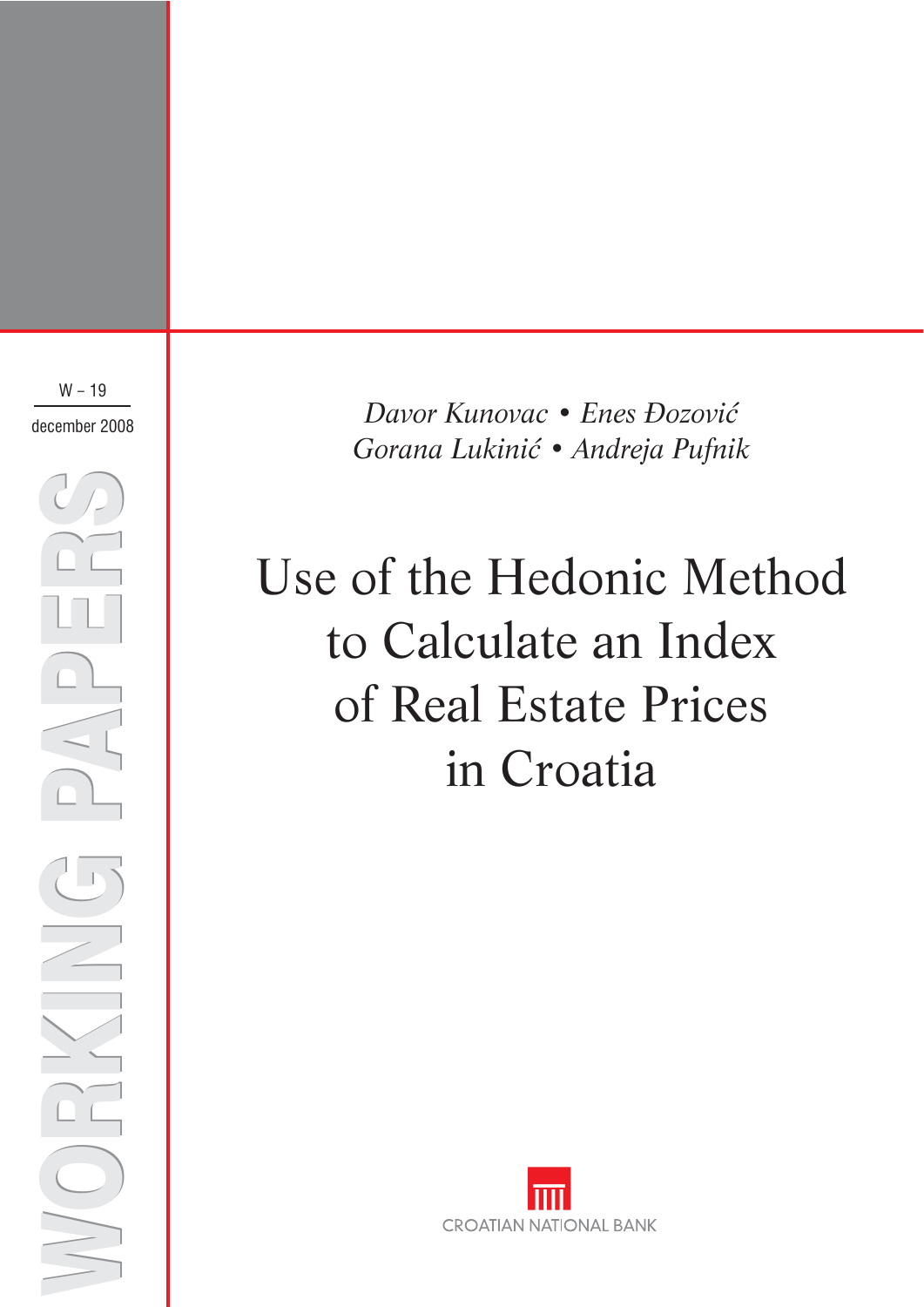$W - 19$ december 2008

WORKING PAPERS WORKING PAPERS

*Davor Kunovac Enes Đozović* • *Gorana Lukinić Andreja Pufnik* •

# Use of the Hedonic Method to Calculate an Index of Real Estate Prices in Croatia

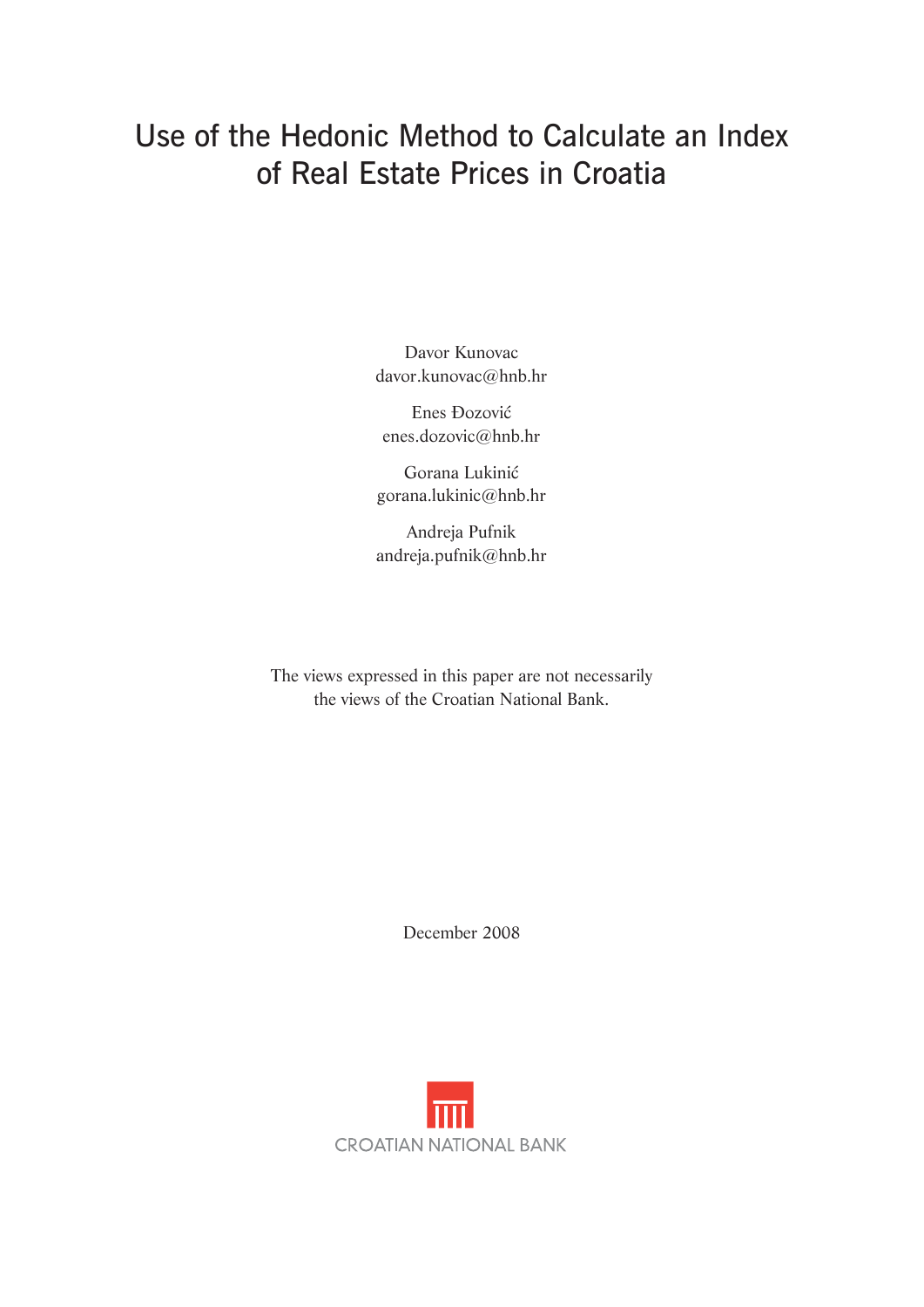# Use of the Hedonic Method to Calculate an Index of Real Estate Prices in Croatia

Davor Kunovac davor.kunovac@hnb.hr

Enes Đozović enes.dozovic@hnb.hr

Gorana Lukinić gorana.lukinic@hnb.hr

Andreja Pufnik andreja.pufnik@hnb.hr

The views expressed in this paper are not necessarily the views of the Croatian National Bank.

December 2008

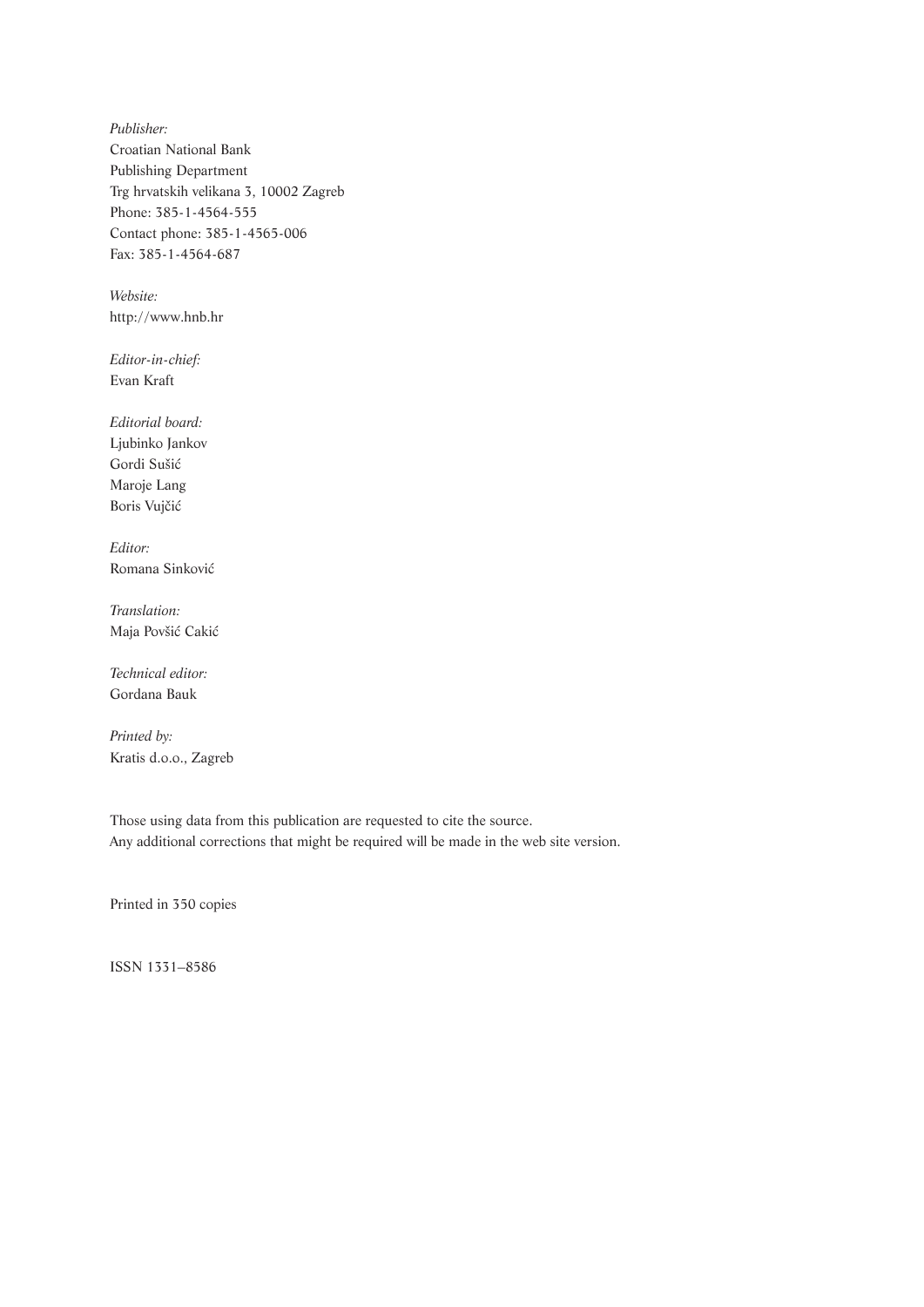*Publisher:* Croatian National Bank Publishing Department Trg hrvatskih velikana 3, 10002 Zagreb Phone: 385-1-4564-555 Contact phone: 385-1-4565-006 Fax: 385-1-4564-687

*Website:* http://www.hnb.hr

*Editor-in-chief:* Evan Kraft

*Editorial board:* Ljubinko Jankov Gordi Sušić Maroje Lang Boris Vujčić

*Editor:* Romana Sinković

*Translation:* Maja Povšić Cakić

*Technical editor:* Gordana Bauk

*Printed by:* Kratis d.o.o., Zagreb

Those using data from this publication are requested to cite the source. Any additional corrections that might be required will be made in the web site version.

Printed in 350 copies

ISSN 1331–8586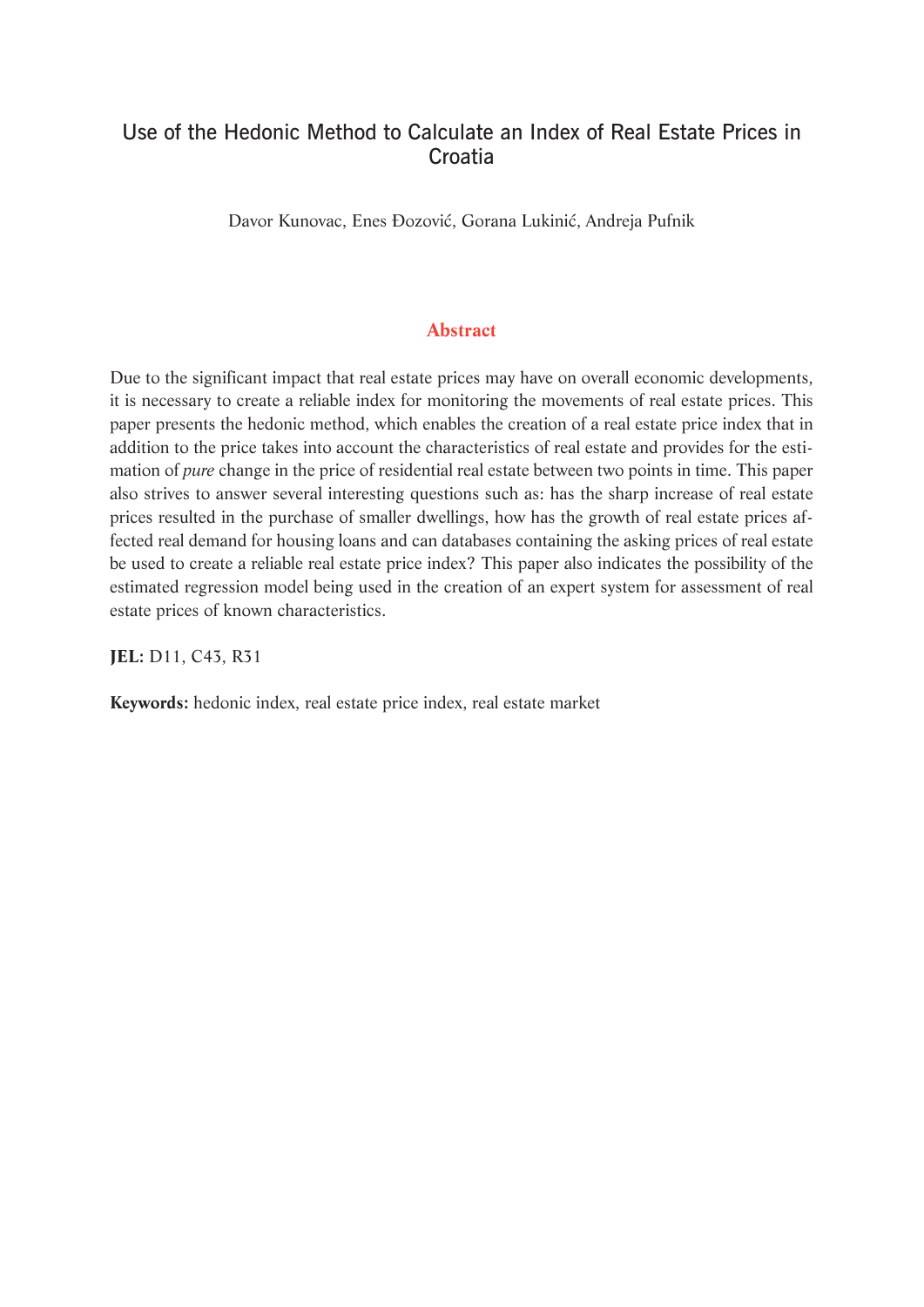## Use of the Hedonic Method to Calculate an Index of Real Estate Prices in **Croatia**

Davor Kunovac, Enes Đozović, Gorana Lukinić, Andreja Pufnik

## **Abstract**

Due to the significant impact that real estate prices may have on overall economic developments, it is necessary to create a reliable index for monitoring the movements of real estate prices. This paper presents the hedonic method, which enables the creation of a real estate price index that in addition to the price takes into account the characteristics of real estate and provides for the estimation of *pure* change in the price of residential real estate between two points in time. This paper also strives to answer several interesting questions such as: has the sharp increase of real estate prices resulted in the purchase of smaller dwellings, how has the growth of real estate prices affected real demand for housing loans and can databases containing the asking prices of real estate be used to create a reliable real estate price index? This paper also indicates the possibility of the estimated regression model being used in the creation of an expert system for assessment of real estate prices of known characteristics.

**JEL:** D11, C43, R31

**Keywords:** hedonic index, real estate price index, real estate market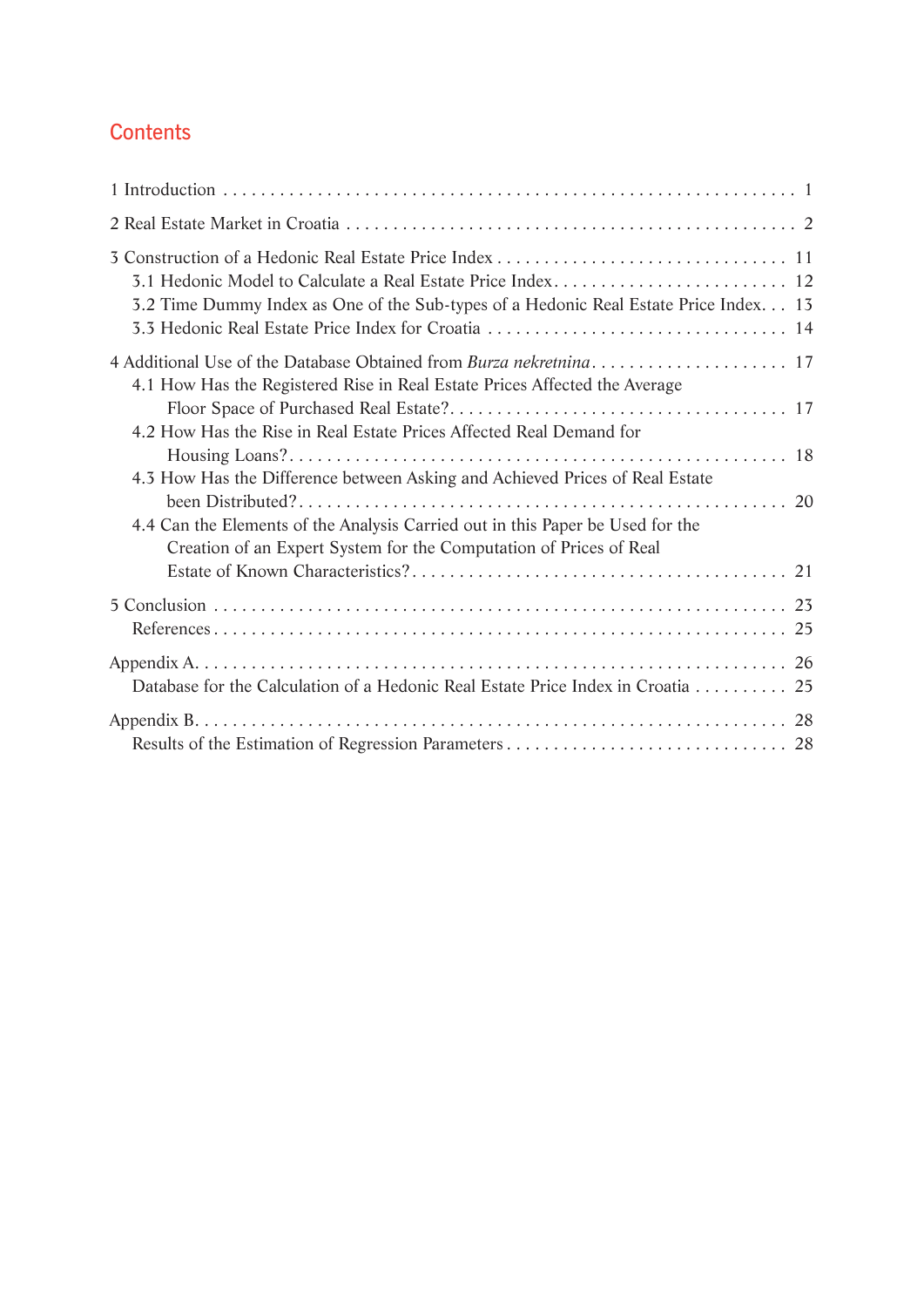## **Contents**

| 3.2 Time Dummy Index as One of the Sub-types of a Hedonic Real Estate Price Index. 13                                                                |
|------------------------------------------------------------------------------------------------------------------------------------------------------|
| 4.1 How Has the Registered Rise in Real Estate Prices Affected the Average                                                                           |
| 4.2 How Has the Rise in Real Estate Prices Affected Real Demand for                                                                                  |
| 4.3 How Has the Difference between Asking and Achieved Prices of Real Estate                                                                         |
| 4.4 Can the Elements of the Analysis Carried out in this Paper be Used for the<br>Creation of an Expert System for the Computation of Prices of Real |
|                                                                                                                                                      |
| Database for the Calculation of a Hedonic Real Estate Price Index in Croatia 25                                                                      |
|                                                                                                                                                      |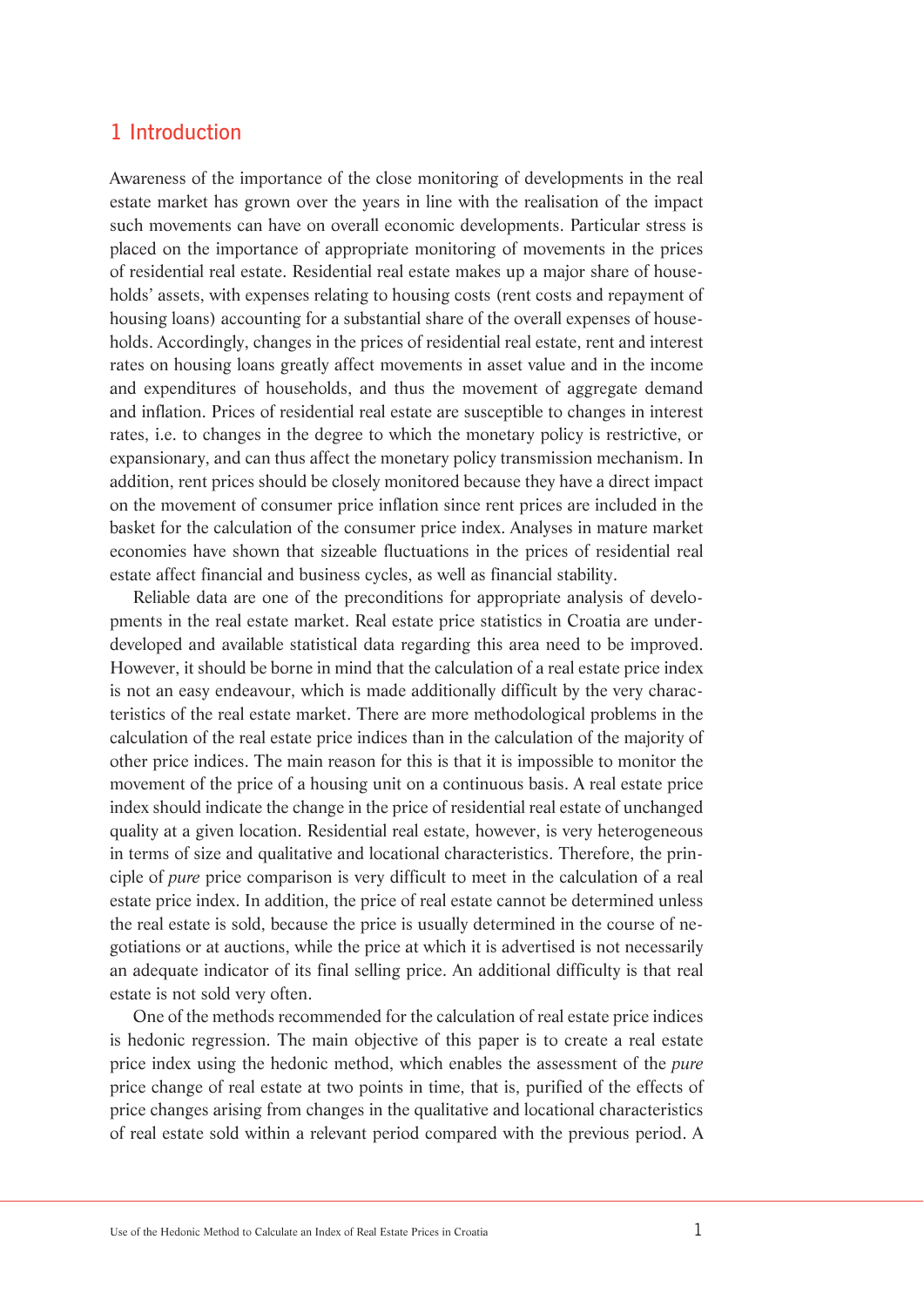## 1 Introduction

Awareness of the importance of the close monitoring of developments in the real estate market has grown over the years in line with the realisation of the impact such movements can have on overall economic developments. Particular stress is placed on the importance of appropriate monitoring of movements in the prices of residential real estate. Residential real estate makes up a major share of households' assets, with expenses relating to housing costs (rent costs and repayment of housing loans) accounting for a substantial share of the overall expenses of households. Accordingly, changes in the prices of residential real estate, rent and interest rates on housing loans greatly affect movements in asset value and in the income and expenditures of households, and thus the movement of aggregate demand and inflation. Prices of residential real estate are susceptible to changes in interest rates, i.e. to changes in the degree to which the monetary policy is restrictive, or expansionary, and can thus affect the monetary policy transmission mechanism. In addition, rent prices should be closely monitored because they have a direct impact on the movement of consumer price inflation since rent prices are included in the basket for the calculation of the consumer price index. Analyses in mature market economies have shown that sizeable fluctuations in the prices of residential real estate affect financial and business cycles, as well as financial stability.

Reliable data are one of the preconditions for appropriate analysis of developments in the real estate market. Real estate price statistics in Croatia are underdeveloped and available statistical data regarding this area need to be improved. However, it should be borne in mind that the calculation of a real estate price index is not an easy endeavour, which is made additionally difficult by the very characteristics of the real estate market. There are more methodological problems in the calculation of the real estate price indices than in the calculation of the majority of other price indices. The main reason for this is that it is impossible to monitor the movement of the price of a housing unit on a continuous basis. A real estate price index should indicate the change in the price of residential real estate of unchanged quality at a given location. Residential real estate, however, is very heterogeneous in terms of size and qualitative and locational characteristics. Therefore, the principle of *pure* price comparison is very difficult to meet in the calculation of a real estate price index. In addition, the price of real estate cannot be determined unless the real estate is sold, because the price is usually determined in the course of negotiations or at auctions, while the price at which it is advertised is not necessarily an adequate indicator of its final selling price. An additional difficulty is that real estate is not sold very often.

One of the methods recommended for the calculation of real estate price indices is hedonic regression. The main objective of this paper is to create a real estate price index using the hedonic method, which enables the assessment of the *pure* price change of real estate at two points in time, that is, purified of the effects of price changes arising from changes in the qualitative and locational characteristics of real estate sold within a relevant period compared with the previous period. A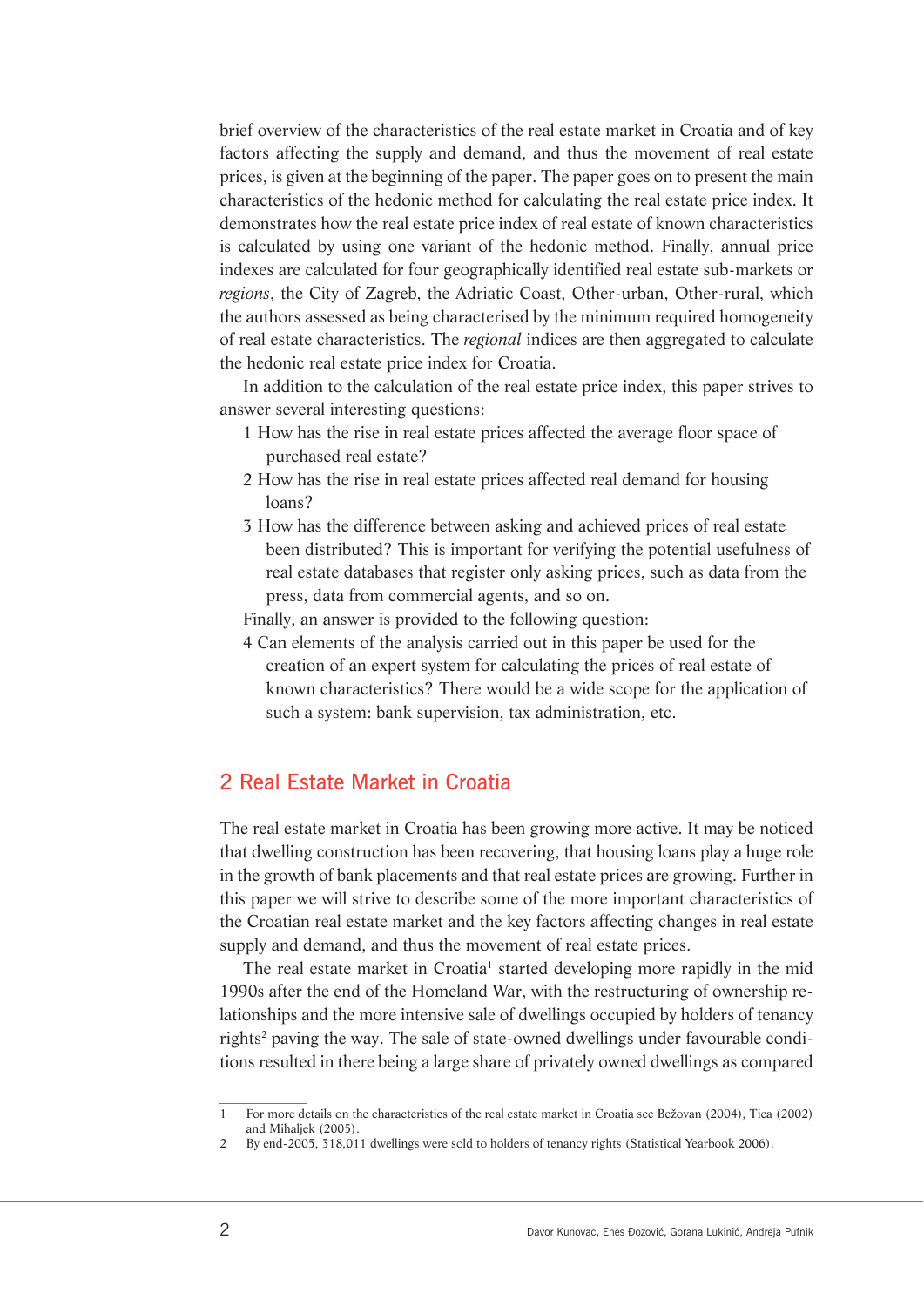brief overview of the characteristics of the real estate market in Croatia and of key factors affecting the supply and demand, and thus the movement of real estate prices, is given at the beginning of the paper. The paper goes on to present the main characteristics of the hedonic method for calculating the real estate price index. It demonstrates how the real estate price index of real estate of known characteristics is calculated by using one variant of the hedonic method. Finally, annual price indexes are calculated for four geographically identified real estate sub-markets or *regions*, the City of Zagreb, the Adriatic Coast, Other-urban, Other-rural, which the authors assessed as being characterised by the minimum required homogeneity of real estate characteristics. The *regional* indices are then aggregated to calculate the hedonic real estate price index for Croatia.

In addition to the calculation of the real estate price index, this paper strives to answer several interesting questions:

- 1 How has the rise in real estate prices affected the average floor space of purchased real estate?
- 2 How has the rise in real estate prices affected real demand for housing loans?
- 3 How has the difference between asking and achieved prices of real estate been distributed? This is important for verifying the potential usefulness of real estate databases that register only asking prices, such as data from the press, data from commercial agents, and so on.

Finally, an answer is provided to the following question:

4 Can elements of the analysis carried out in this paper be used for the creation of an expert system for calculating the prices of real estate of known characteristics? There would be a wide scope for the application of such a system: bank supervision, tax administration, etc.

## 2 Real Estate Market in Croatia

The real estate market in Croatia has been growing more active. It may be noticed that dwelling construction has been recovering, that housing loans play a huge role in the growth of bank placements and that real estate prices are growing. Further in this paper we will strive to describe some of the more important characteristics of the Croatian real estate market and the key factors affecting changes in real estate supply and demand, and thus the movement of real estate prices.

The real estate market in Croatia<sup>1</sup> started developing more rapidly in the mid 1990s after the end of the Homeland War, with the restructuring of ownership relationships and the more intensive sale of dwellings occupied by holders of tenancy rights<sup>2</sup> paving the way. The sale of state-owned dwellings under favourable conditions resulted in there being a large share of privately owned dwellings as compared

<sup>1</sup> For more details on the characteristics of the real estate market in Croatia see Bežovan (2004), Tica (2002) and Mihaljek (2005).

<sup>2</sup> By end-2005, 318,011 dwellings were sold to holders of tenancy rights (Statistical Yearbook 2006).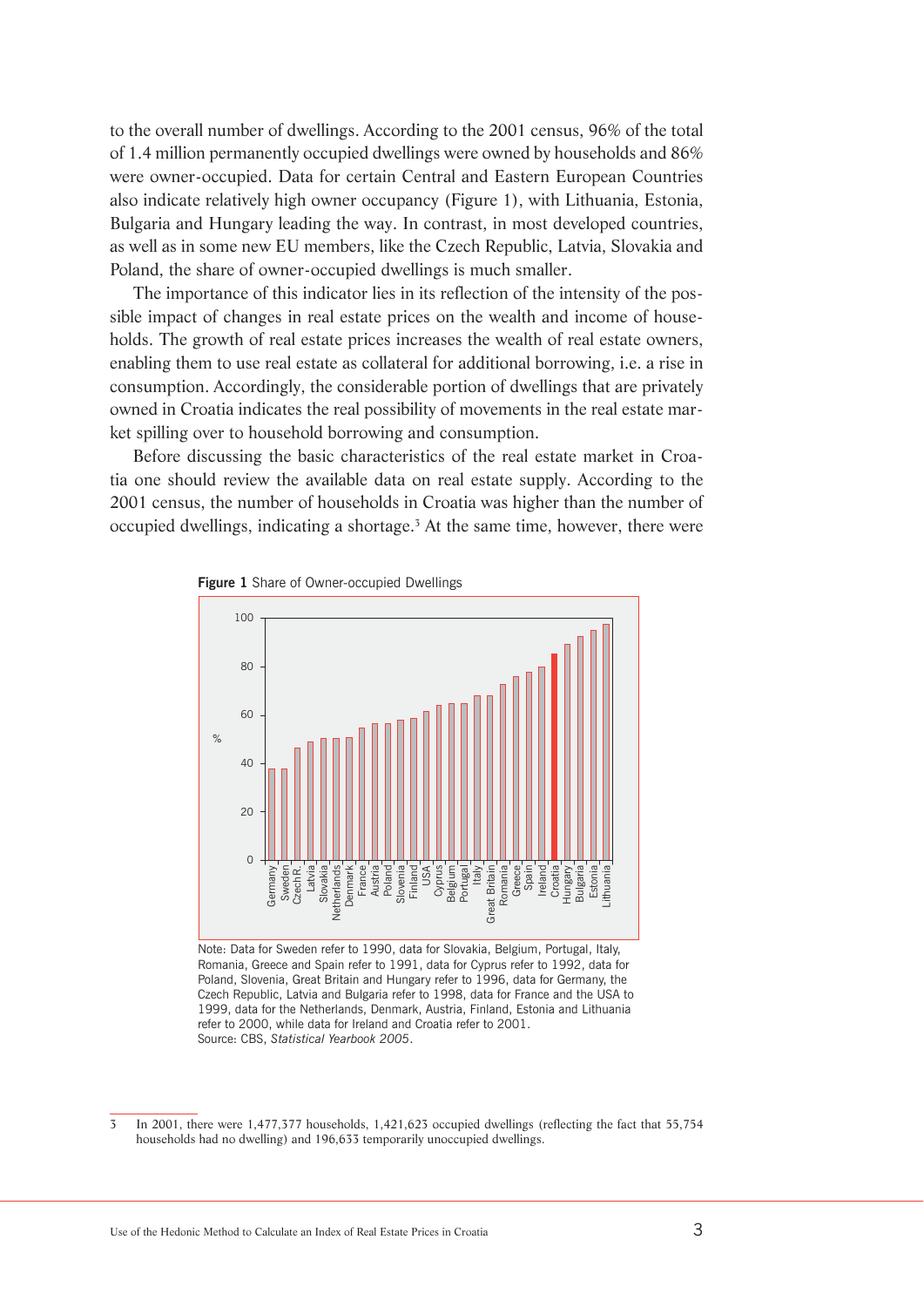to the overall number of dwellings. According to the 2001 census, 96% of the total of 1.4 million permanently occupied dwellings were owned by households and 86% were owner-occupied. Data for certain Central and Eastern European Countries also indicate relatively high owner occupancy (Figure 1), with Lithuania, Estonia, Bulgaria and Hungary leading the way. In contrast, in most developed countries, as well as in some new EU members, like the Czech Republic, Latvia, Slovakia and Poland, the share of owner-occupied dwellings is much smaller.

The importance of this indicator lies in its reflection of the intensity of the possible impact of changes in real estate prices on the wealth and income of households. The growth of real estate prices increases the wealth of real estate owners, enabling them to use real estate as collateral for additional borrowing, i.e. a rise in consumption. Accordingly, the considerable portion of dwellings that are privately owned in Croatia indicates the real possibility of movements in the real estate market spilling over to household borrowing and consumption.

Before discussing the basic characteristics of the real estate market in Croatia one should review the available data on real estate supply. According to the 2001 census, the number of households in Croatia was higher than the number of occupied dwellings, indicating a shortage.<sup>3</sup> At the same time, however, there were



**Figure 1** Share of Owner-occupied Dwellings

Note: Data for Sweden refer to 1990, data for Slovakia, Belgium, Portugal, Italy, Romania, Greece and Spain refer to 1991, data for Cyprus refer to 1992, data for Poland, Slovenia, Great Britain and Hungary refer to 1996, data for Germany, the Czech Republic, Latvia and Bulgaria refer to 1998, data for France and the USA to 1999, data for the Netherlands, Denmark, Austria, Finland, Estonia and Lithuania refer to 2000, while data for Ireland and Croatia refer to 2001. Source: CBS, *Statistical Yearbook 2005*.

<sup>3</sup> In 2001, there were 1,477,377 households, 1,421,623 occupied dwellings (reflecting the fact that 55,754 households had no dwelling) and 196,633 temporarily unoccupied dwellings.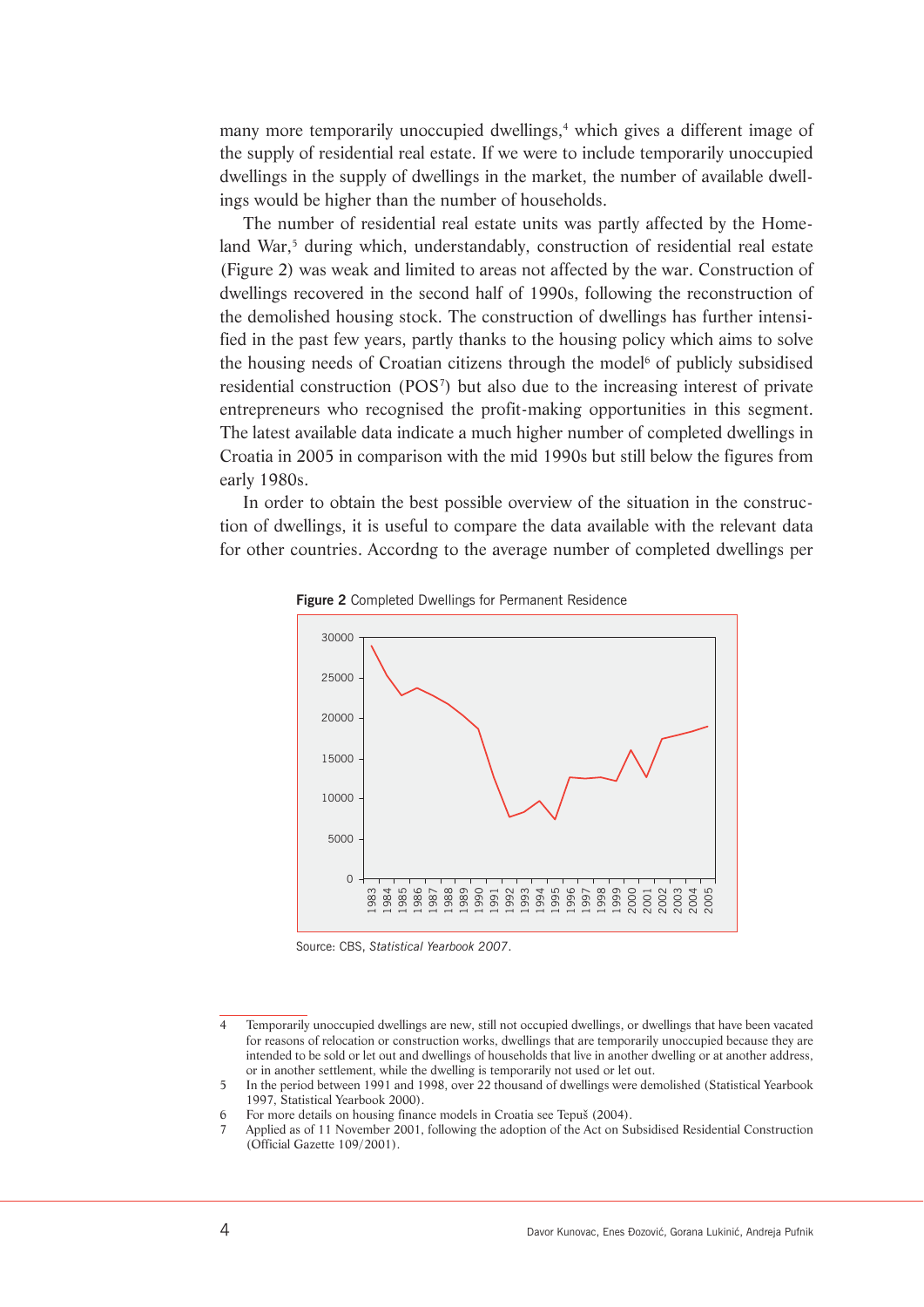many more temporarily unoccupied dwellings,<sup>4</sup> which gives a different image of the supply of residential real estate. If we were to include temporarily unoccupied dwellings in the supply of dwellings in the market, the number of available dwellings would be higher than the number of households.

The number of residential real estate units was partly affected by the Homeland War,<sup>5</sup> during which, understandably, construction of residential real estate (Figure 2) was weak and limited to areas not affected by the war. Construction of dwellings recovered in the second half of 1990s, following the reconstruction of the demolished housing stock. The construction of dwellings has further intensified in the past few years, partly thanks to the housing policy which aims to solve the housing needs of Croatian citizens through the model<sup>6</sup> of publicly subsidised residential construction (POS7 ) but also due to the increasing interest of private entrepreneurs who recognised the profit-making opportunities in this segment. The latest available data indicate a much higher number of completed dwellings in Croatia in 2005 in comparison with the mid 1990s but still below the figures from early 1980s.

In order to obtain the best possible overview of the situation in the construction of dwellings, it is useful to compare the data available with the relevant data for other countries. Accordng to the average number of completed dwellings per



**Figure 2** Completed Dwellings for Permanent Residence

Source: CBS, *Statistical Yearbook 2007*.

<sup>4</sup> Temporarily unoccupied dwellings are new, still not occupied dwellings, or dwellings that have been vacated for reasons of relocation or construction works, dwellings that are temporarily unoccupied because they are intended to be sold or let out and dwellings of households that live in another dwelling or at another address, or in another settlement, while the dwelling is temporarily not used or let out.

<sup>5</sup> In the period between 1991 and 1998, over 22 thousand of dwellings were demolished (Statistical Yearbook 1997, Statistical Yearbook 2000).

<sup>6</sup> For more details on housing finance models in Croatia see Tepuš (2004).

Applied as of 11 November 2001, following the adoption of the Act on Subsidised Residential Construction (Official Gazette 109/2001).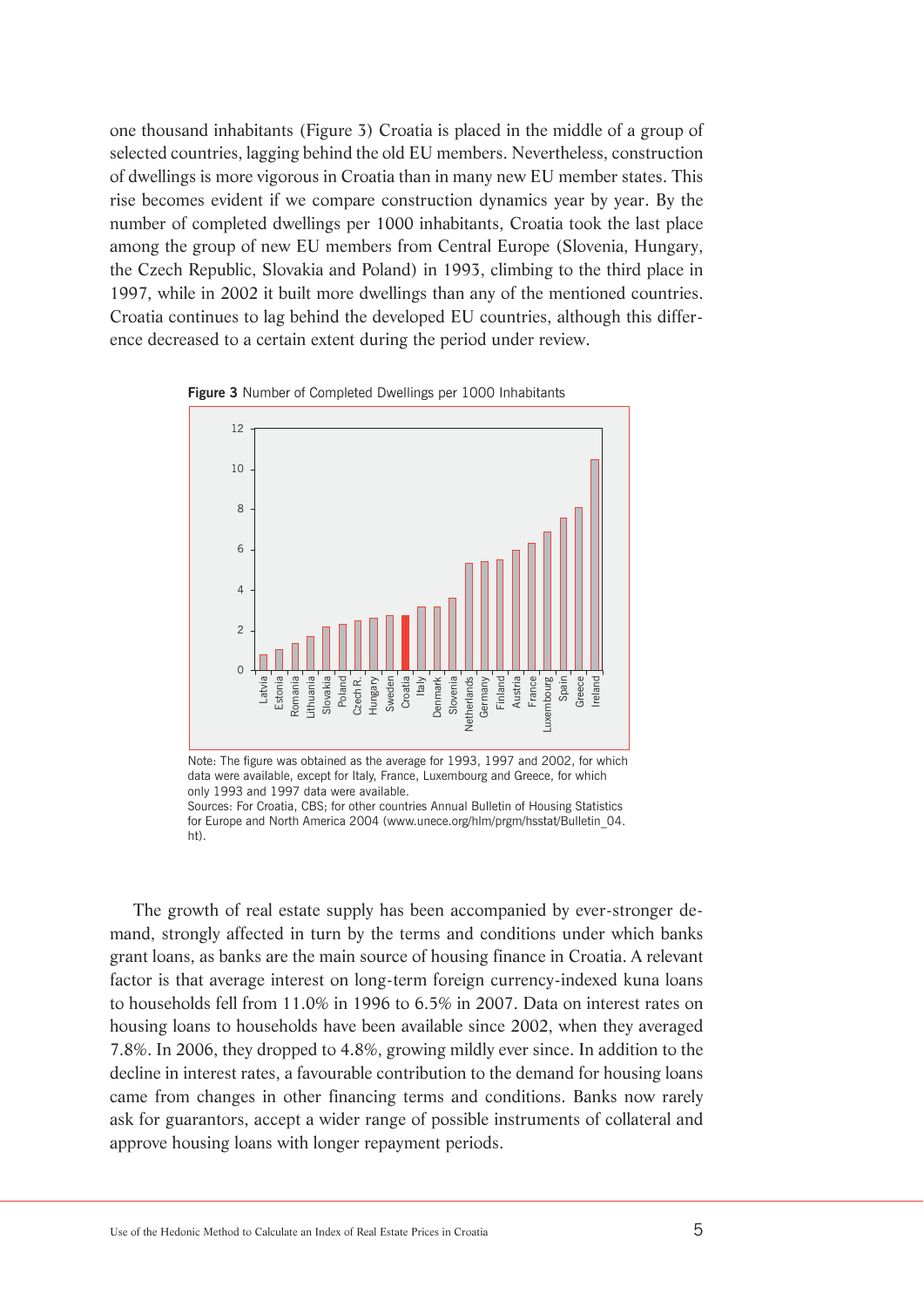one thousand inhabitants (Figure 3) Croatia is placed in the middle of a group of selected countries, lagging behind the old EU members. Nevertheless, construction of dwellings is more vigorous in Croatia than in many new EU member states. This rise becomes evident if we compare construction dynamics year by year. By the number of completed dwellings per 1000 inhabitants, Croatia took the last place among the group of new EU members from Central Europe (Slovenia, Hungary, the Czech Republic, Slovakia and Poland) in 1993, climbing to the third place in 1997, while in 2002 it built more dwellings than any of the mentioned countries. Croatia continues to lag behind the developed EU countries, although this difference decreased to a certain extent during the period under review.



**Figure 3** Number of Completed Dwellings per 1000 Inhabitants

Note: The figure was obtained as the average for 1993, 1997 and 2002, for which data were available, except for Italy, France, Luxembourg and Greece, for which only 1993 and 1997 data were available.

Sources: For Croatia, CBS; for other countries Annual Bulletin of Housing Statistics for Europe and North America 2004 (www.unece.org/hlm/prgm/hsstat/Bulletin\_04. ht).

The growth of real estate supply has been accompanied by ever-stronger demand, strongly affected in turn by the terms and conditions under which banks grant loans, as banks are the main source of housing finance in Croatia. A relevant factor is that average interest on long-term foreign currency-indexed kuna loans to households fell from 11.0% in 1996 to 6.5% in 2007. Data on interest rates on housing loans to households have been available since 2002, when they averaged 7.8%. In 2006, they dropped to 4.8%, growing mildly ever since. In addition to the decline in interest rates, a favourable contribution to the demand for housing loans came from changes in other financing terms and conditions. Banks now rarely ask for guarantors, accept a wider range of possible instruments of collateral and approve housing loans with longer repayment periods.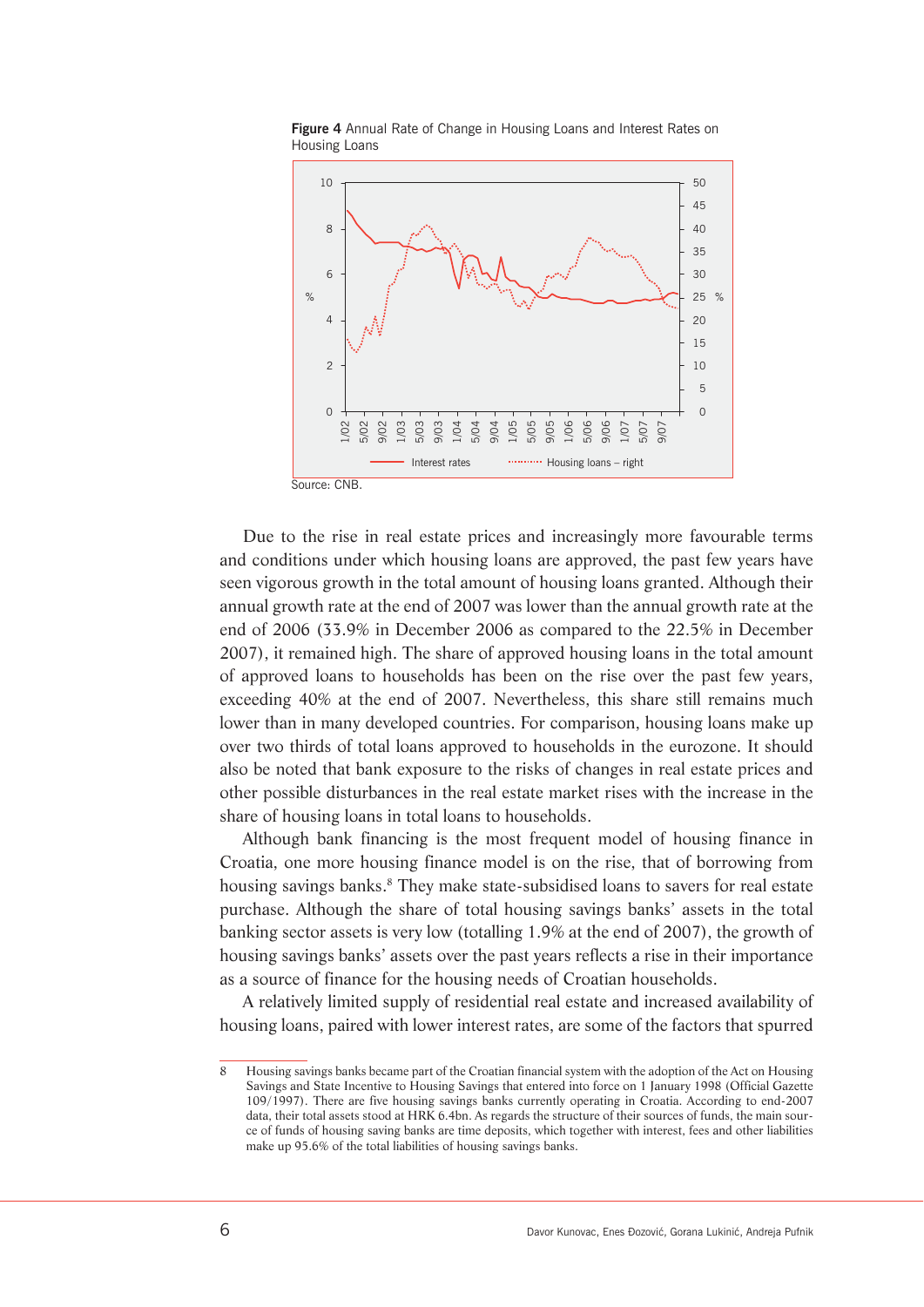

**Figure 4** Annual Rate of Change in Housing Loans and Interest Rates on Housing Loans

Due to the rise in real estate prices and increasingly more favourable terms and conditions under which housing loans are approved, the past few years have seen vigorous growth in the total amount of housing loans granted. Although their annual growth rate at the end of 2007 was lower than the annual growth rate at the end of 2006 (33.9% in December 2006 as compared to the 22.5% in December 2007), it remained high. The share of approved housing loans in the total amount of approved loans to households has been on the rise over the past few years, exceeding 40% at the end of 2007. Nevertheless, this share still remains much lower than in many developed countries. For comparison, housing loans make up over two thirds of total loans approved to households in the eurozone. It should also be noted that bank exposure to the risks of changes in real estate prices and other possible disturbances in the real estate market rises with the increase in the share of housing loans in total loans to households.

Although bank financing is the most frequent model of housing finance in Croatia, one more housing finance model is on the rise, that of borrowing from housing savings banks.<sup>8</sup> They make state-subsidised loans to savers for real estate purchase. Although the share of total housing savings banks' assets in the total banking sector assets is very low (totalling 1.9% at the end of 2007), the growth of housing savings banks' assets over the past years reflects a rise in their importance as a source of finance for the housing needs of Croatian households.

A relatively limited supply of residential real estate and increased availability of housing loans, paired with lower interest rates, are some of the factors that spurred

<sup>8</sup> Housing savings banks became part of the Croatian financial system with the adoption of the Act on Housing Savings and State Incentive to Housing Savings that entered into force on 1 January 1998 (Official Gazette 109/1997). There are five housing savings banks currently operating in Croatia. According to end-2007 data, their total assets stood at HRK 6.4bn. As regards the structure of their sources of funds, the main source of funds of housing saving banks are time deposits, which together with interest, fees and other liabilities make up 95.6% of the total liabilities of housing savings banks.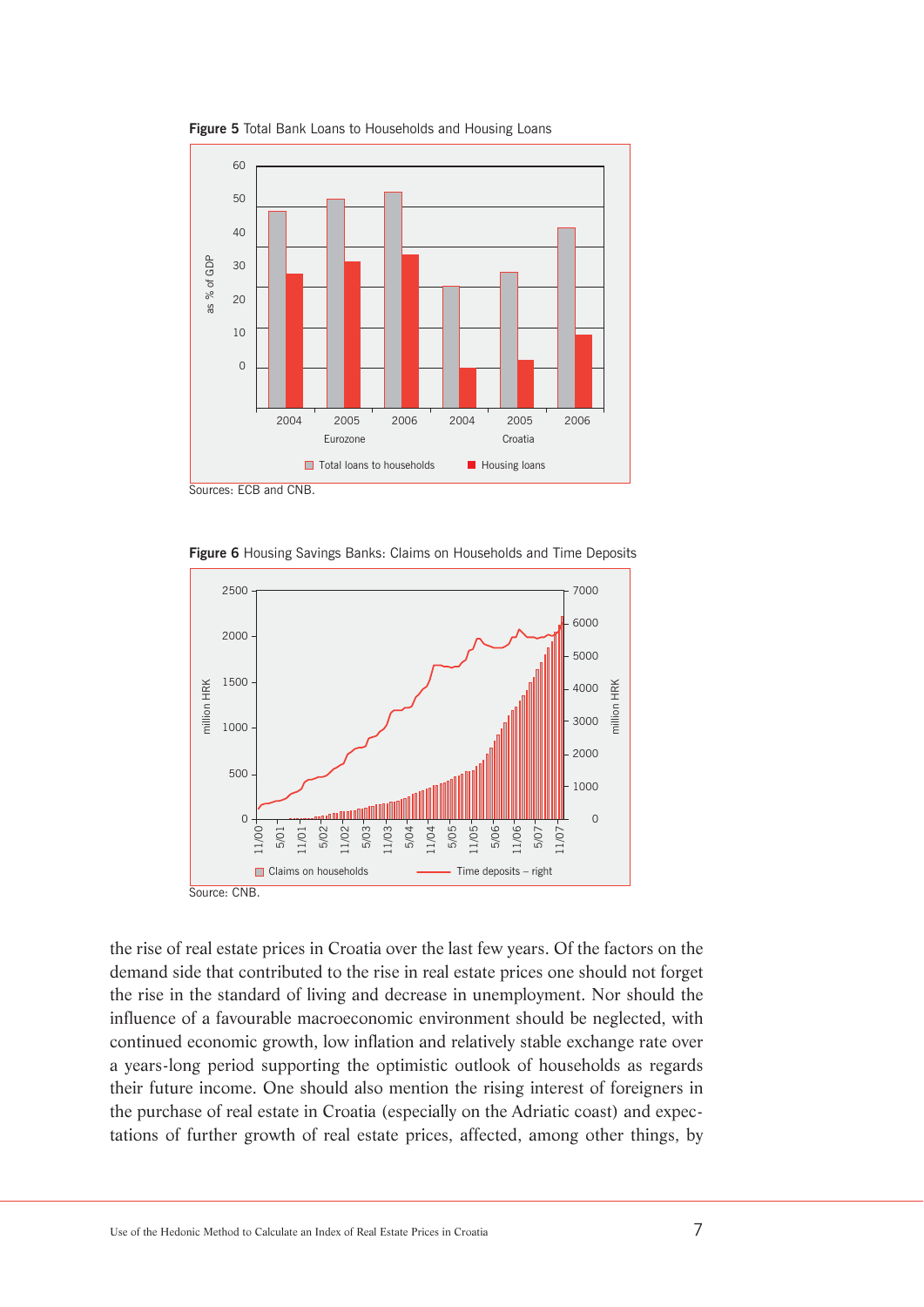

**Figure 5** Total Bank Loans to Households and Housing Loans





the rise of real estate prices in Croatia over the last few years. Of the factors on the demand side that contributed to the rise in real estate prices one should not forget the rise in the standard of living and decrease in unemployment. Nor should the influence of a favourable macroeconomic environment should be neglected, with continued economic growth, low inflation and relatively stable exchange rate over a years-long period supporting the optimistic outlook of households as regards their future income. One should also mention the rising interest of foreigners in the purchase of real estate in Croatia (especially on the Adriatic coast) and expectations of further growth of real estate prices, affected, among other things, by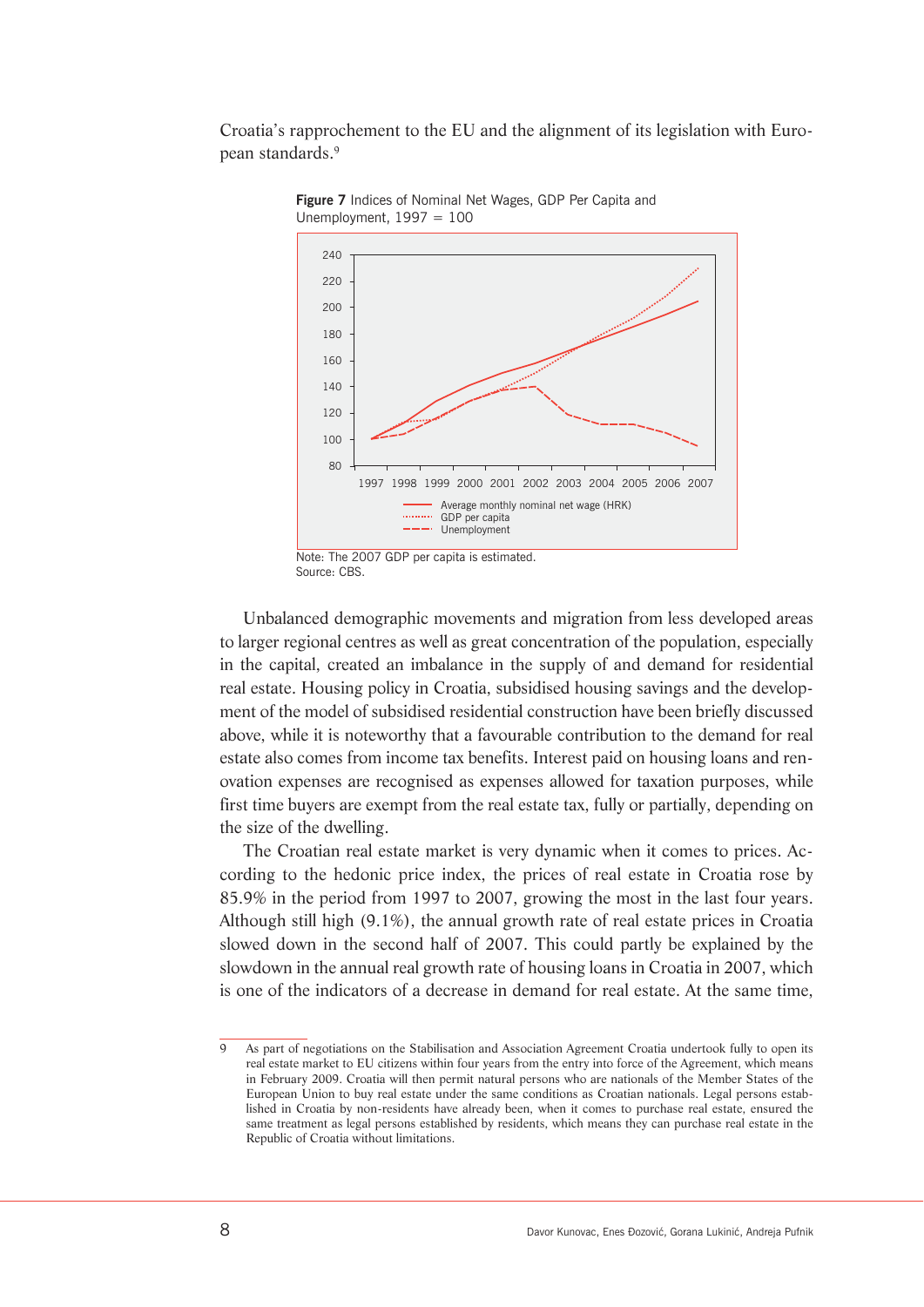Croatia's rapprochement to the EU and the alignment of its legislation with European standards.9



**Figure 7** Indices of Nominal Net Wages, GDP Per Capita and Unemployment,  $1997 = 100$ 

Unbalanced demographic movements and migration from less developed areas to larger regional centres as well as great concentration of the population, especially in the capital, created an imbalance in the supply of and demand for residential real estate. Housing policy in Croatia, subsidised housing savings and the development of the model of subsidised residential construction have been briefly discussed above, while it is noteworthy that a favourable contribution to the demand for real estate also comes from income tax benefits. Interest paid on housing loans and renovation expenses are recognised as expenses allowed for taxation purposes, while first time buyers are exempt from the real estate tax, fully or partially, depending on the size of the dwelling.

The Croatian real estate market is very dynamic when it comes to prices. According to the hedonic price index, the prices of real estate in Croatia rose by 85.9% in the period from 1997 to 2007, growing the most in the last four years. Although still high (9.1%), the annual growth rate of real estate prices in Croatia slowed down in the second half of 2007. This could partly be explained by the slowdown in the annual real growth rate of housing loans in Croatia in 2007, which is one of the indicators of a decrease in demand for real estate. At the same time,

Note: The 2007 GDP per capita is estimated. Source: CBS.

As part of negotiations on the Stabilisation and Association Agreement Croatia undertook fully to open its real estate market to EU citizens within four years from the entry into force of the Agreement, which means in February 2009. Croatia will then permit natural persons who are nationals of the Member States of the European Union to buy real estate under the same conditions as Croatian nationals. Legal persons established in Croatia by non-residents have already been, when it comes to purchase real estate, ensured the same treatment as legal persons established by residents, which means they can purchase real estate in the Republic of Croatia without limitations.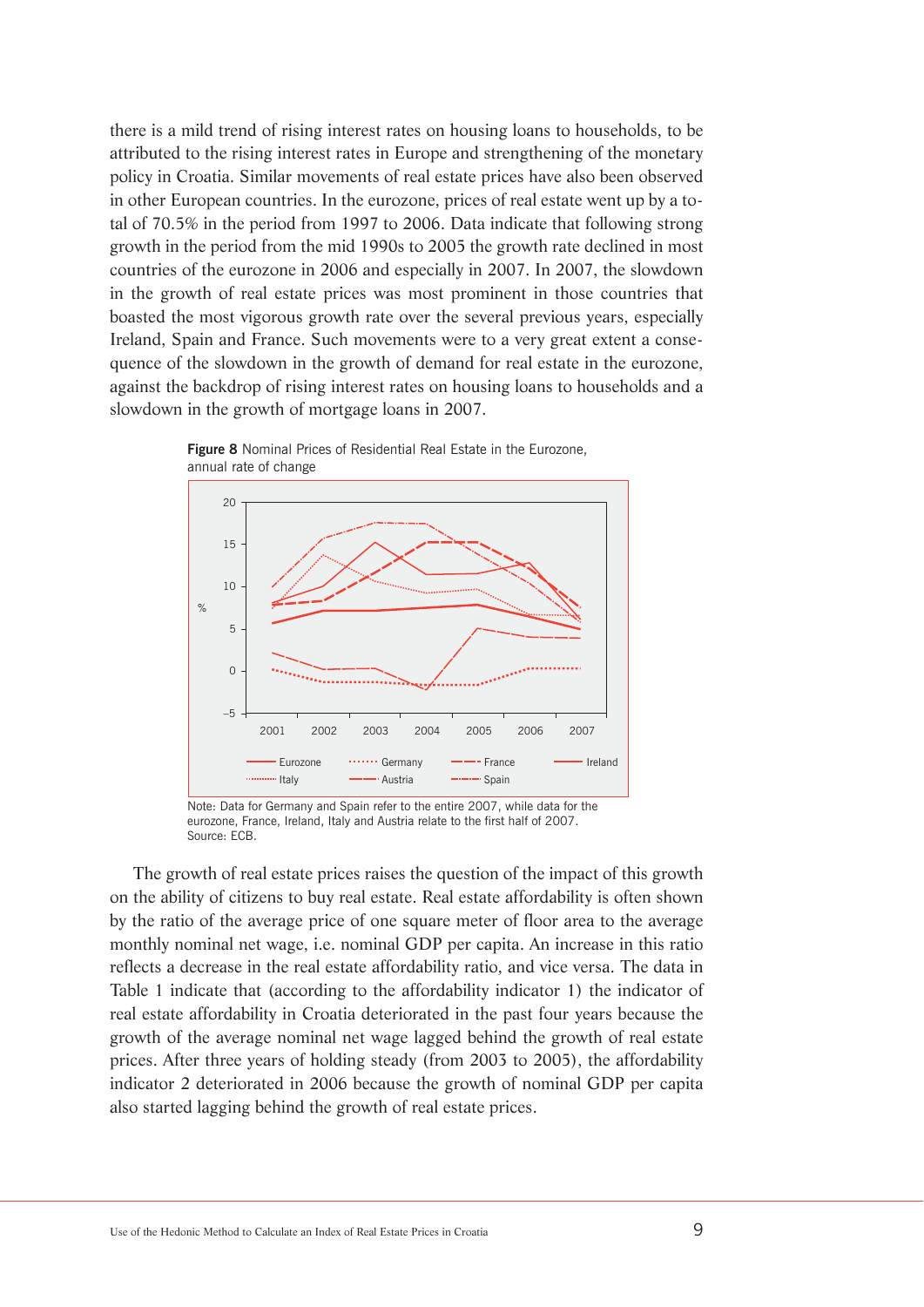there is a mild trend of rising interest rates on housing loans to households, to be attributed to the rising interest rates in Europe and strengthening of the monetary policy in Croatia. Similar movements of real estate prices have also been observed in other European countries. In the eurozone, prices of real estate went up by a total of 70.5% in the period from 1997 to 2006. Data indicate that following strong growth in the period from the mid 1990s to 2005 the growth rate declined in most countries of the eurozone in 2006 and especially in 2007. In 2007, the slowdown in the growth of real estate prices was most prominent in those countries that boasted the most vigorous growth rate over the several previous years, especially Ireland, Spain and France. Such movements were to a very great extent a consequence of the slowdown in the growth of demand for real estate in the eurozone, against the backdrop of rising interest rates on housing loans to households and a slowdown in the growth of mortgage loans in 2007.



**Figure 8** Nominal Prices of Residential Real Estate in the Eurozone, annual rate of change

Note: Data for Germany and Spain refer to the entire 2007, while data for the eurozone, France, Ireland, Italy and Austria relate to the first half of 2007. Source: ECB.

The growth of real estate prices raises the question of the impact of this growth on the ability of citizens to buy real estate. Real estate affordability is often shown by the ratio of the average price of one square meter of floor area to the average monthly nominal net wage, i.e. nominal GDP per capita. An increase in this ratio reflects a decrease in the real estate affordability ratio, and vice versa. The data in Table 1 indicate that (according to the affordability indicator 1) the indicator of real estate affordability in Croatia deteriorated in the past four years because the growth of the average nominal net wage lagged behind the growth of real estate prices. After three years of holding steady (from 2003 to 2005), the affordability indicator 2 deteriorated in 2006 because the growth of nominal GDP per capita also started lagging behind the growth of real estate prices.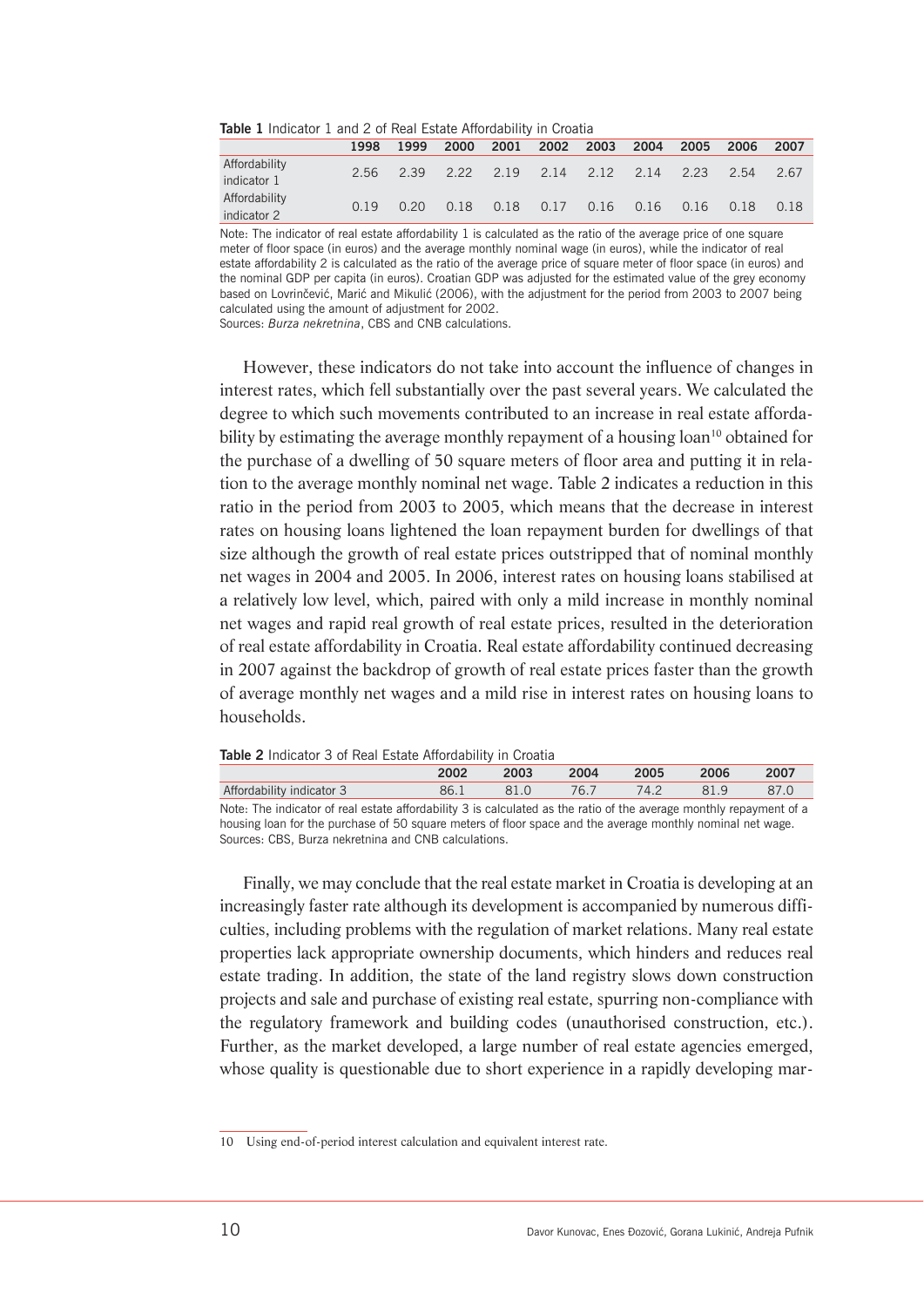| <b>Trable 1</b> Indicator 1 and 2 or Real Estate Anordability in Croatia |      |  |  |  |  |  |                                              |  |  |      |
|--------------------------------------------------------------------------|------|--|--|--|--|--|----------------------------------------------|--|--|------|
|                                                                          | 1998 |  |  |  |  |  | 1999 2000 2001 2002 2003 2004 2005 2006 2007 |  |  |      |
| Affordability<br>indicator 1                                             |      |  |  |  |  |  | 2.56 2.39 2.22 2.19 2.14 2.12 2.14 2.23 2.54 |  |  | 2.67 |
| Affordability<br>indicator 2                                             | 0.19 |  |  |  |  |  | 0.20 0.18 0.18 0.17 0.16 0.16 0.16 0.18 0.18 |  |  |      |

#### **Table 1** Indicator 1 and 2 of Real Estate Affordability in Croatia

Note: The indicator of real estate affordability 1 is calculated as the ratio of the average price of one square meter of floor space (in euros) and the average monthly nominal wage (in euros), while the indicator of real estate affordability 2 is calculated as the ratio of the average price of square meter of floor space (in euros) and the nominal GDP per capita (in euros). Croatian GDP was adjusted for the estimated value of the grey economy based on Lovrinčević, Marić and Mikulić (2006), with the adjustment for the period from 2003 to 2007 being calculated using the amount of adjustment for 2002. Sources: *Burza nekretnina*, CBS and CNB calculations.

However, these indicators do not take into account the influence of changes in interest rates, which fell substantially over the past several years. We calculated the degree to which such movements contributed to an increase in real estate affordability by estimating the average monthly repayment of a housing loan<sup>10</sup> obtained for the purchase of a dwelling of 50 square meters of floor area and putting it in relation to the average monthly nominal net wage. Table 2 indicates a reduction in this ratio in the period from 2003 to 2005, which means that the decrease in interest rates on housing loans lightened the loan repayment burden for dwellings of that size although the growth of real estate prices outstripped that of nominal monthly net wages in 2004 and 2005. In 2006, interest rates on housing loans stabilised at a relatively low level, which, paired with only a mild increase in monthly nominal net wages and rapid real growth of real estate prices, resulted in the deterioration of real estate affordability in Croatia. Real estate affordability continued decreasing in 2007 against the backdrop of growth of real estate prices faster than the growth of average monthly net wages and a mild rise in interest rates on housing loans to households.

**Table 2** Indicator 3 of Real Estate Affordability in Croatia

|                                                                                                                     | 2002 | 2003 | 2004    | 2005 | 2006 | 2007 |
|---------------------------------------------------------------------------------------------------------------------|------|------|---------|------|------|------|
| Affordability indicator 3                                                                                           | 86.1 | 81.O | $-76.7$ | 74.2 | 81.9 | 87.0 |
| Note: The indicator of real estate affordability 3 is calculated as the ratio of the average monthly repayment of a |      |      |         |      |      |      |

housing loan for the purchase of 50 square meters of floor space and the average monthly nominal net wage. Sources: CBS, Burza nekretnina and CNB calculations.

Finally, we may conclude that the real estate market in Croatia is developing at an increasingly faster rate although its development is accompanied by numerous difficulties, including problems with the regulation of market relations. Many real estate properties lack appropriate ownership documents, which hinders and reduces real estate trading. In addition, the state of the land registry slows down construction projects and sale and purchase of existing real estate, spurring non-compliance with the regulatory framework and building codes (unauthorised construction, etc.). Further, as the market developed, a large number of real estate agencies emerged, whose quality is questionable due to short experience in a rapidly developing mar-

<sup>10</sup> Using end-of-period interest calculation and equivalent interest rate.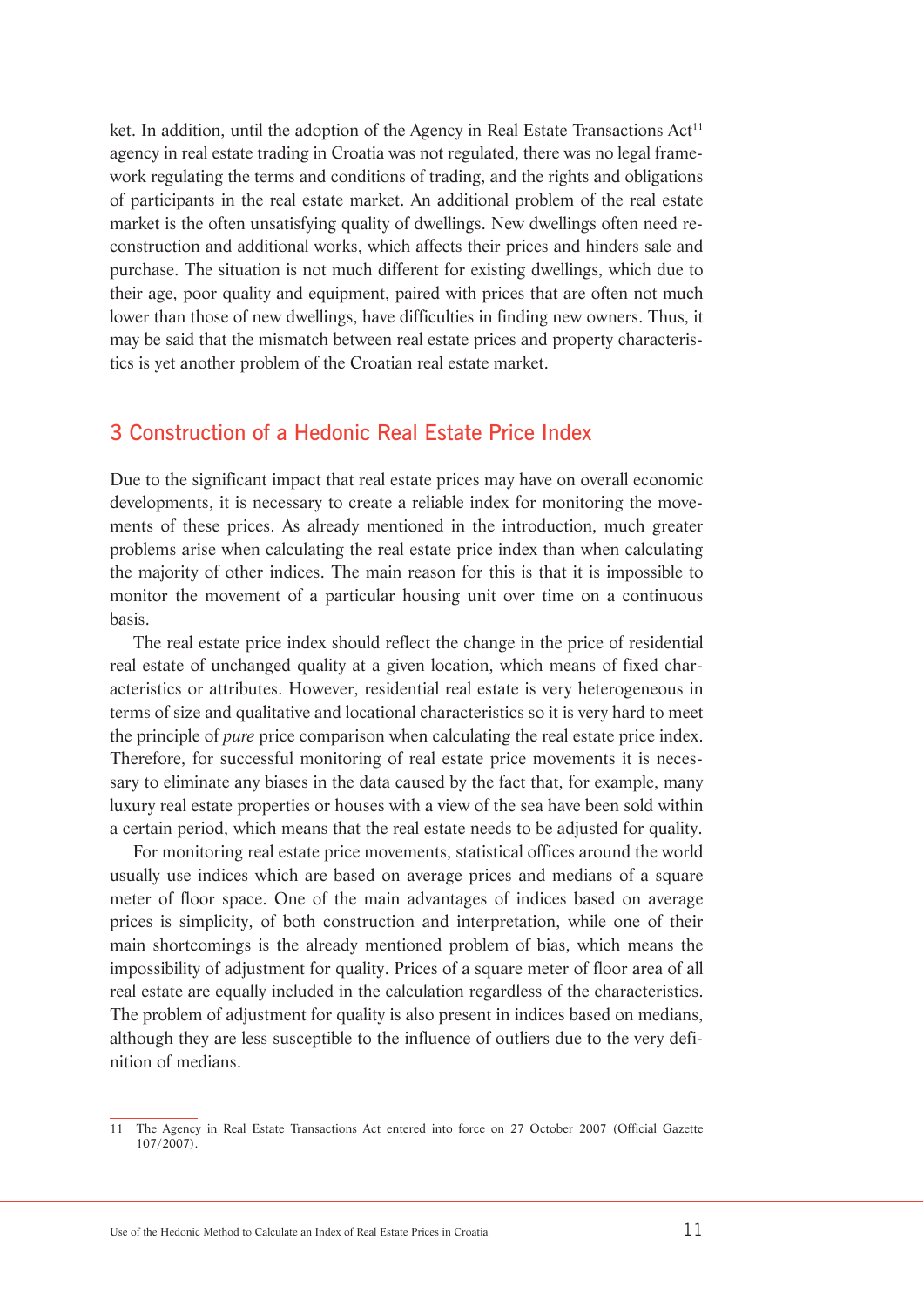ket. In addition, until the adoption of the Agency in Real Estate Transactions  $Act^{11}$ agency in real estate trading in Croatia was not regulated, there was no legal framework regulating the terms and conditions of trading, and the rights and obligations of participants in the real estate market. An additional problem of the real estate market is the often unsatisfying quality of dwellings. New dwellings often need reconstruction and additional works, which affects their prices and hinders sale and purchase. The situation is not much different for existing dwellings, which due to their age, poor quality and equipment, paired with prices that are often not much lower than those of new dwellings, have difficulties in finding new owners. Thus, it may be said that the mismatch between real estate prices and property characteristics is yet another problem of the Croatian real estate market.

## 3 Construction of a Hedonic Real Estate Price Index

Due to the significant impact that real estate prices may have on overall economic developments, it is necessary to create a reliable index for monitoring the movements of these prices. As already mentioned in the introduction, much greater problems arise when calculating the real estate price index than when calculating the majority of other indices. The main reason for this is that it is impossible to monitor the movement of a particular housing unit over time on a continuous basis.

The real estate price index should reflect the change in the price of residential real estate of unchanged quality at a given location, which means of fixed characteristics or attributes. However, residential real estate is very heterogeneous in terms of size and qualitative and locational characteristics so it is very hard to meet the principle of *pure* price comparison when calculating the real estate price index. Therefore, for successful monitoring of real estate price movements it is necessary to eliminate any biases in the data caused by the fact that, for example, many luxury real estate properties or houses with a view of the sea have been sold within a certain period, which means that the real estate needs to be adjusted for quality.

For monitoring real estate price movements, statistical offices around the world usually use indices which are based on average prices and medians of a square meter of floor space. One of the main advantages of indices based on average prices is simplicity, of both construction and interpretation, while one of their main shortcomings is the already mentioned problem of bias, which means the impossibility of adjustment for quality. Prices of a square meter of floor area of all real estate are equally included in the calculation regardless of the characteristics. The problem of adjustment for quality is also present in indices based on medians, although they are less susceptible to the influence of outliers due to the very definition of medians.

<sup>11</sup> The Agency in Real Estate Transactions Act entered into force on 27 October 2007 (Official Gazette 107/2007).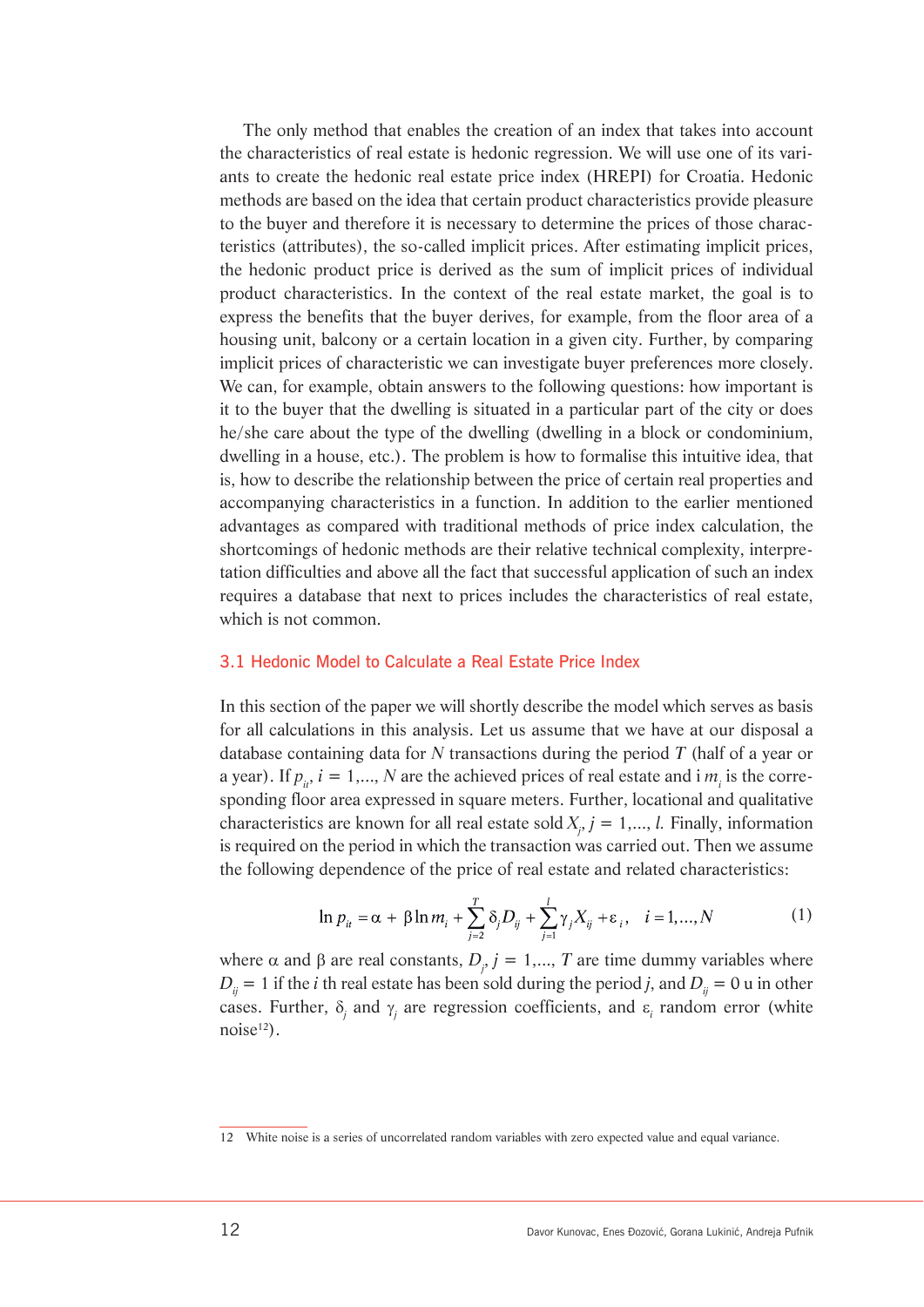The only method that enables the creation of an index that takes into account the characteristics of real estate is hedonic regression. We will use one of its variants to create the hedonic real estate price index (HREPI) for Croatia. Hedonic methods are based on the idea that certain product characteristics provide pleasure to the buyer and therefore it is necessary to determine the prices of those characteristics (attributes), the so-called implicit prices. After estimating implicit prices, the hedonic product price is derived as the sum of implicit prices of individual product characteristics. In the context of the real estate market, the goal is to express the benefits that the buyer derives, for example, from the floor area of a housing unit, balcony or a certain location in a given city. Further, by comparing implicit prices of characteristic we can investigate buyer preferences more closely. We can, for example, obtain answers to the following questions: how important is it to the buyer that the dwelling is situated in a particular part of the city or does he/she care about the type of the dwelling (dwelling in a block or condominium, dwelling in a house, etc.). The problem is how to formalise this intuitive idea, that is, how to describe the relationship between the price of certain real properties and accompanying characteristics in a function. In addition to the earlier mentioned advantages as compared with traditional methods of price index calculation, the shortcomings of hedonic methods are their relative technical complexity, interpretation difficulties and above all the fact that successful application of such an index requires a database that next to prices includes the characteristics of real estate, which is not common.

#### 3.1 Hedonic Model to Calculate a Real Estate Price Index

In this section of the paper we will shortly describe the model which serves as basis for all calculations in this analysis. Let us assume that we have at our disposal a database containing data for *N* transactions during the period *T* (half of a year or a year). If  $p_{\mu}$ ,  $i = 1,..., N$  are the achieved prices of real estate and i  $m_{i}$  is the corresponding floor area expressed in square meters. Further, locational and qualitative characteristics are known for all real estate sold  $X_j$ ,  $j = 1,..., l$ . Finally, information is required on the period in which the transaction was carried out. Then we assume the following dependence of the price of real estate and related characteristics:

$$
\ln p_{it} = \alpha + \beta \ln m_i + \sum_{j=2}^{T} \delta_j D_{ij} + \sum_{j=1}^{l} \gamma_j X_{ij} + \varepsilon_i, \quad i = 1, ..., N
$$
 (1)

where  $\alpha$  and  $\beta$  are real constants,  $D_i$ ,  $j = 1,..., T$  are time dummy variables where  $D_{ii}$  = 1 if the *i* th real estate has been sold during the period *j*, and  $D_{ii}$  = 0 u in other cases. Further,  $\delta_j$  and  $\gamma_j$  are regression coefficients, and  $\varepsilon_i$  random error (white  $noise<sup>12</sup>$ .

<sup>12</sup> White noise is a series of uncorrelated random variables with zero expected value and equal variance.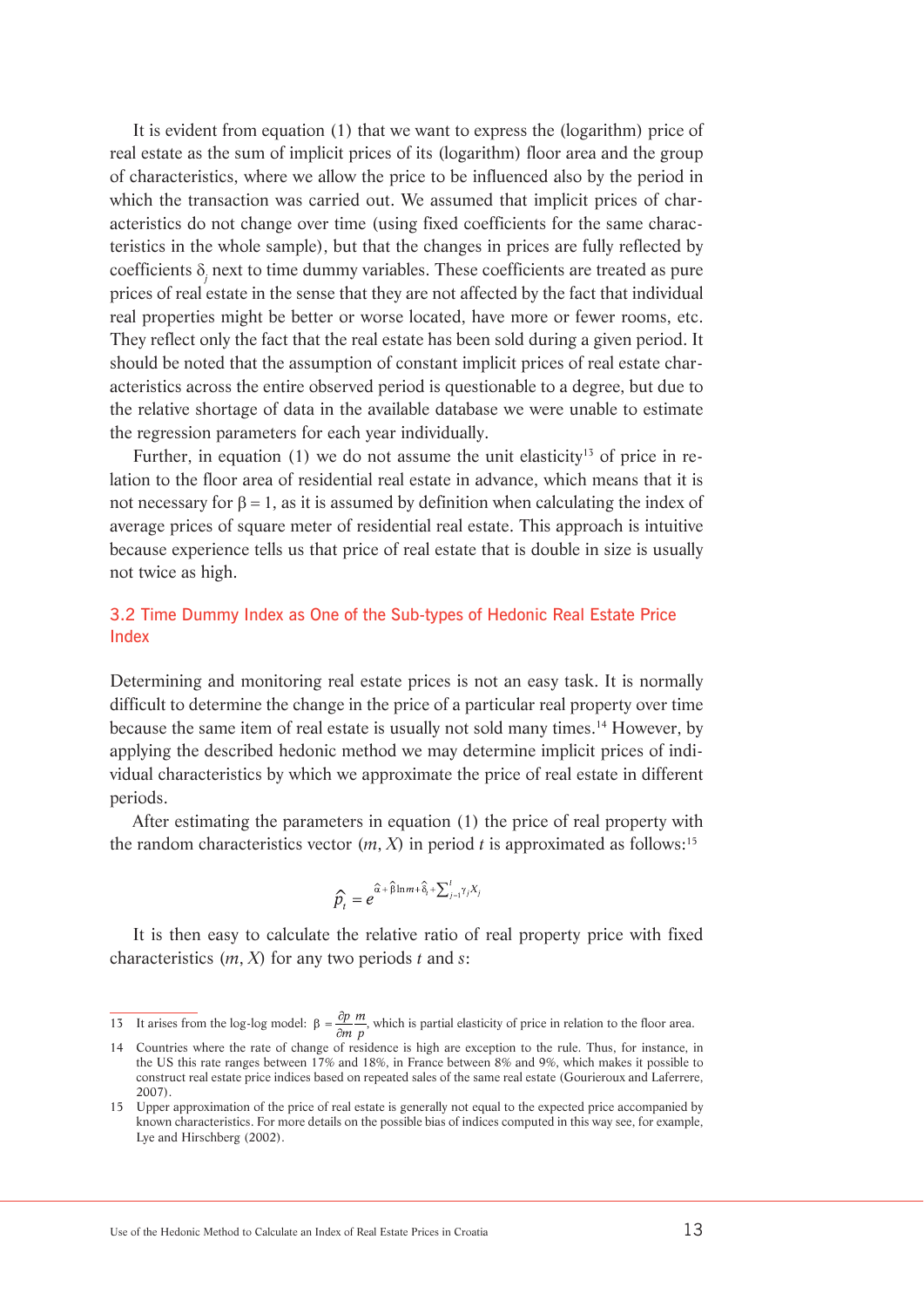It is evident from equation (1) that we want to express the (logarithm) price of real estate as the sum of implicit prices of its (logarithm) floor area and the group of characteristics, where we allow the price to be influenced also by the period in which the transaction was carried out. We assumed that implicit prices of characteristics do not change over time (using fixed coefficients for the same characteristics in the whole sample), but that the changes in prices are fully reflected by coefficients  $\delta_j$  next to time dummy variables. These coefficients are treated as pure prices of real estate in the sense that they are not affected by the fact that individual real properties might be better or worse located, have more or fewer rooms, etc. They reflect only the fact that the real estate has been sold during a given period. It should be noted that the assumption of constant implicit prices of real estate characteristics across the entire observed period is questionable to a degree, but due to the relative shortage of data in the available database we were unable to estimate the regression parameters for each year individually.

Further, in equation (1) we do not assume the unit elasticity<sup>13</sup> of price in relation to the floor area of residential real estate in advance, which means that it is not necessary for  $β = 1$ , as it is assumed by definition when calculating the index of average prices of square meter of residential real estate. This approach is intuitive because experience tells us that price of real estate that is double in size is usually not twice as high.

### 3.2 Time Dummy Index as One of the Sub-types of Hedonic Real Estate Price Index

Determining and monitoring real estate prices is not an easy task. It is normally difficult to determine the change in the price of a particular real property over time because the same item of real estate is usually not sold many times.14 However, by applying the described hedonic method we may determine implicit prices of individual characteristics by which we approximate the price of real estate in different periods.

After estimating the parameters in equation (1) the price of real property with the random characteristics vector  $(m, X)$  in period *t* is approximated as follows:<sup>15</sup>

$$
\widehat{p}_t = e^{\widehat{\alpha} + \widehat{\beta}\ln m + \widehat{\delta}_t + \sum_{j=1}^l \gamma_j X_j}
$$

It is then easy to calculate the relative ratio of real property price with fixed characteristics (*m*, *X*) for any two periods *t* and *s*:

<sup>13</sup> It arises from the log-log model:  $\beta = \frac{\partial p}{\partial m} \frac{m}{p}$ , which is partial elasticity of price in relation to the floor area.

<sup>14</sup> Countries where the rate of change of residence is high are exception to the rule. Thus, for instance, in the US this rate ranges between 17% and 18%, in France between 8% and 9%, which makes it possible to construct real estate price indices based on repeated sales of the same real estate (Gourieroux and Laferrere, 2007).

<sup>15</sup> Upper approximation of the price of real estate is generally not equal to the expected price accompanied by known characteristics. For more details on the possible bias of indices computed in this way see, for example, Lye and Hirschberg (2002).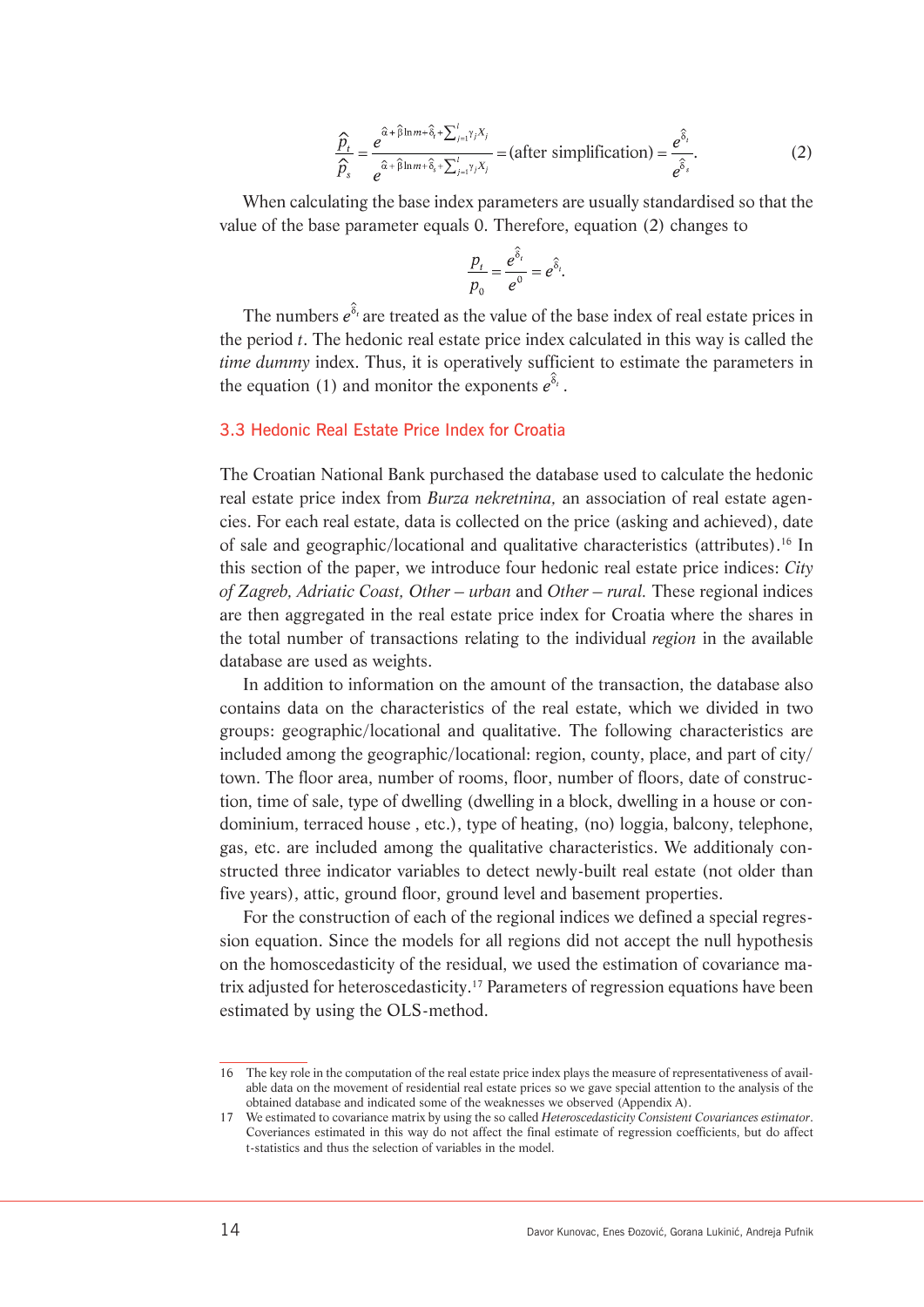$$
\frac{\widehat{p}_t}{\widehat{p}_s} = \frac{e^{\widehat{\alpha} + \widehat{\beta}\ln m + \widehat{\delta}_t + \sum_{j=1}^t \gamma_j X_j}}{e^{\widehat{\alpha} + \widehat{\beta}\ln m + \widehat{\delta}_s + \sum_{j=1}^t \gamma_j X_j}} = (\text{after simplification}) = \frac{e^{\widehat{\delta}_t}}{e^{\widehat{\delta}_s}}.
$$
\n(2)

When calculating the base index parameters are usually standardised so that the value of the base parameter equals 0. Therefore, equation (2) changes to

$$
\frac{p_t}{p_0} = \frac{e^{\hat{\delta}_t}}{e^0} = e^{\hat{\delta}_t}.
$$

The numbers  $e^{\hat{\delta}_t}$  are treated as the value of the base index of real estate prices in the period *t*. The hedonic real estate price index calculated in this way is called the *time dummy* index. Thus, it is operatively sufficient to estimate the parameters in the equation (1) and monitor the exponents  $e^{\delta_t}$ .

#### 3.3 Hedonic Real Estate Price Index for Croatia

The Croatian National Bank purchased the database used to calculate the hedonic real estate price index from *Burza nekretnina,* an association of real estate agencies. For each real estate, data is collected on the price (asking and achieved), date of sale and geographic/locational and qualitative characteristics (attributes).16 In this section of the paper, we introduce four hedonic real estate price indices: *City of Zagreb, Adriatic Coast, Other – urban* and *Other – rural.* These regional indices are then aggregated in the real estate price index for Croatia where the shares in the total number of transactions relating to the individual *region* in the available database are used as weights.

In addition to information on the amount of the transaction, the database also contains data on the characteristics of the real estate, which we divided in two groups: geographic/locational and qualitative. The following characteristics are included among the geographic/locational: region, county, place, and part of city/ town. The floor area, number of rooms, floor, number of floors, date of construction, time of sale, type of dwelling (dwelling in a block, dwelling in a house or condominium, terraced house , etc.), type of heating, (no) loggia, balcony, telephone, gas, etc. are included among the qualitative characteristics. We additionaly constructed three indicator variables to detect newly-built real estate (not older than five years), attic, ground floor, ground level and basement properties.

For the construction of each of the regional indices we defined a special regression equation. Since the models for all regions did not accept the null hypothesis on the homoscedasticity of the residual, we used the estimation of covariance matrix adjusted for heteroscedasticity.17 Parameters of regression equations have been estimated by using the OLS-method.

<sup>16</sup> The key role in the computation of the real estate price index plays the measure of representativeness of available data on the movement of residential real estate prices so we gave special attention to the analysis of the obtained database and indicated some of the weaknesses we observed (Appendix A).

<sup>17</sup> We estimated to covariance matrix by using the so called *Heteroscedasticity Consistent Covariances estimator*. Coveriances estimated in this way do not affect the final estimate of regression coefficients, but do affect t-statistics and thus the selection of variables in the model.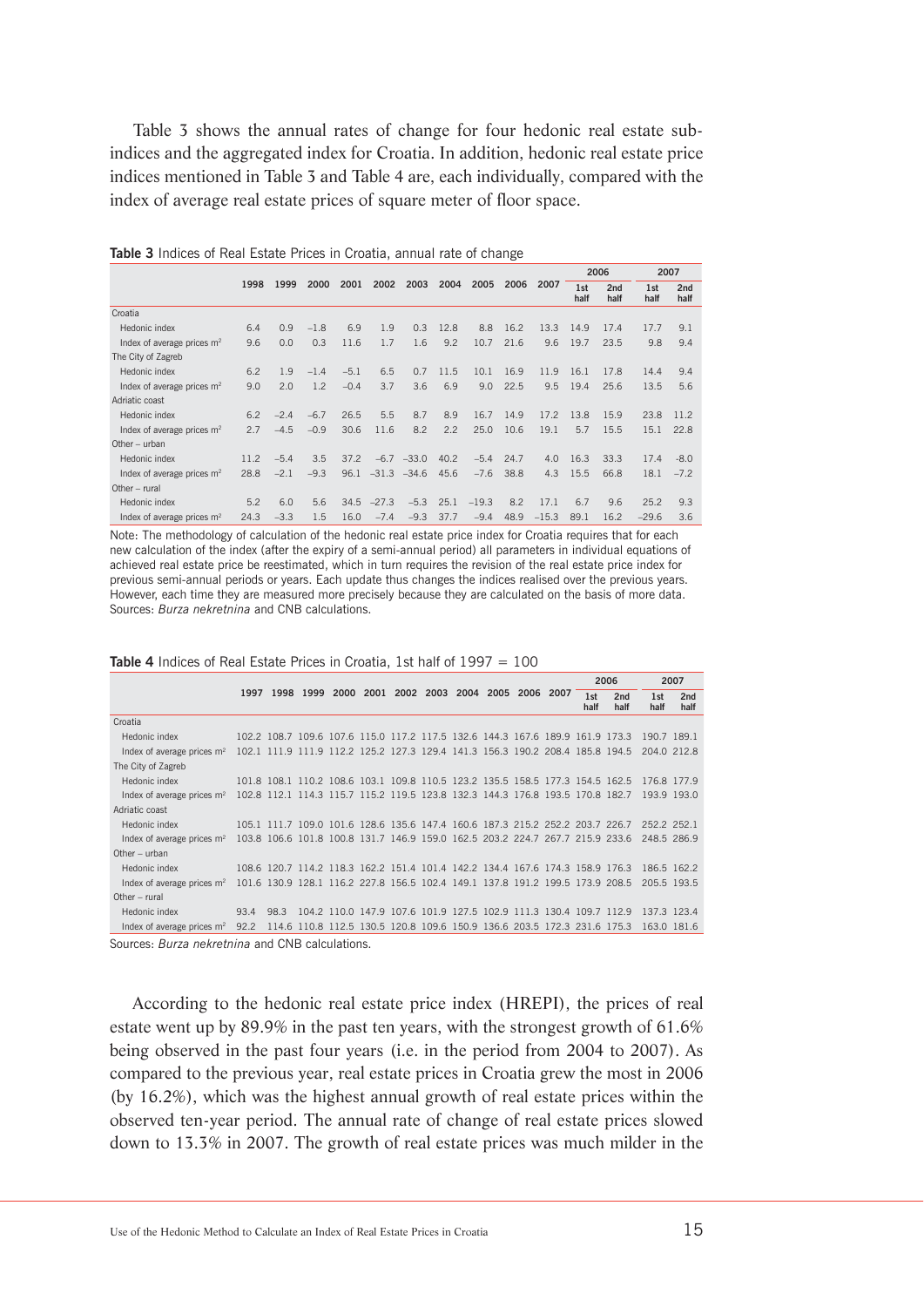Table 3 shows the annual rates of change for four hedonic real estate subindices and the aggregated index for Croatia. In addition, hedonic real estate price indices mentioned in Table 3 and Table 4 are, each individually, compared with the index of average real estate prices of square meter of floor space.

| 2 <sub>nd</sub> |
|-----------------|
| half            |
|                 |
| 9.1             |
| 9.4             |
|                 |
| 9.4             |
| 5.6             |
|                 |
| 11.2            |
| 22.8            |
|                 |
| $-8.0$          |
| $-7.2$          |
|                 |
| 9.3             |
| 3.6             |
|                 |

**Table 3** Indices of Real Estate Prices in Croatia, annual rate of change

Note: The methodology of calculation of the hedonic real estate price index for Croatia requires that for each new calculation of the index (after the expiry of a semi-annual period) all parameters in individual equations of achieved real estate price be reestimated, which in turn requires the revision of the real estate price index for previous semi-annual periods or years. Each update thus changes the indices realised over the previous years. However, each time they are measured more precisely because they are calculated on the basis of more data. Sources: *Burza nekretnina* and CNB calculations.

|                                                                                                                 |      |                                                        |  |  |  |  |             | 2006                                                                                      |             | 2007        |
|-----------------------------------------------------------------------------------------------------------------|------|--------------------------------------------------------|--|--|--|--|-------------|-------------------------------------------------------------------------------------------|-------------|-------------|
|                                                                                                                 |      | 1997 1998 1999 2000 2001 2002 2003 2004 2005 2006 2007 |  |  |  |  | 1st<br>half | 2 <sub>nd</sub><br>half                                                                   | 1st<br>half | 2nd<br>half |
| Croatia                                                                                                         |      |                                                        |  |  |  |  |             |                                                                                           |             |             |
| Hedonic index                                                                                                   |      |                                                        |  |  |  |  |             | 102.2 108.7 109.6 107.6 115.0 117.2 117.5 132.6 144.3 167.6 189.9 161.9 173.3             | 190.7 189.1 |             |
| Index of average prices $m2$                                                                                    |      |                                                        |  |  |  |  |             | 102.1 111.9 111.9 112.2 125.2 127.3 129.4 141.3 156.3 190.2 208.4 185.8 194.5             | 204.0 212.8 |             |
| The City of Zagreb                                                                                              |      |                                                        |  |  |  |  |             |                                                                                           |             |             |
| Hedonic index                                                                                                   |      |                                                        |  |  |  |  |             | 101.8 108.1 110.2 108.6 103.1 109.8 110.5 123.2 135.5 158.5 177.3 154.5 162.5             | 176.8 177.9 |             |
| Index of average prices $m2$                                                                                    |      |                                                        |  |  |  |  |             | 102.8 112.1 114.3 115.7 115.2 119.5 123.8 132.3 144.3 176.8 193.5 170.8 182.7             | 193.9 193.0 |             |
| Adriatic coast                                                                                                  |      |                                                        |  |  |  |  |             |                                                                                           |             |             |
| Hedonic index                                                                                                   |      |                                                        |  |  |  |  |             | 105.1 111.7 109.0 101.6 128.6 135.6 147.4 160.6 187.3 215.2 252.2 203.7 226.7             | 252.2 252.1 |             |
| Index of average prices $m2$                                                                                    |      |                                                        |  |  |  |  |             | 103.8 106.6 101.8 100.8 131.7 146.9 159.0 162.5 203.2 224.7 267.7 215.9 233.6 248.5 286.9 |             |             |
| Other $-$ urban                                                                                                 |      |                                                        |  |  |  |  |             |                                                                                           |             |             |
| Hedonic index                                                                                                   |      |                                                        |  |  |  |  |             | 108.6 120.7 114.2 118.3 162.2 151.4 101.4 142.2 134.4 167.6 174.3 158.9 176.3 186.5 162.2 |             |             |
| Index of average prices m <sup>2</sup>                                                                          |      |                                                        |  |  |  |  |             | 101.6 130.9 128.1 116.2 227.8 156.5 102.4 149.1 137.8 191.2 199.5 173.9 208.5 205.5 193.5 |             |             |
| Other $-$ rural                                                                                                 |      |                                                        |  |  |  |  |             |                                                                                           |             |             |
| Hedonic index                                                                                                   |      | 93.4 98.3                                              |  |  |  |  |             | 104.2 110.0 147.9 107.6 101.9 127.5 102.9 111.3 130.4 109.7 112.9 137.3 123.4             |             |             |
| Index of average prices $m2$                                                                                    | 92.2 |                                                        |  |  |  |  |             | 114.6 110.8 112.5 130.5 120.8 109.6 150.9 136.6 203.5 172.3 231.6 175.3                   | 163.0 181.6 |             |
| $\Omega$ . The $\Omega$ contract of $\Omega$ is the set of $\Omega$ $\Omega$ in $\Omega$ is the set of $\Omega$ |      |                                                        |  |  |  |  |             |                                                                                           |             |             |

**Table 4** Indices of Real Estate Prices in Croatia, 1st half of 1997 = 100

Sources: *Burza nekretnina* and CNB calculations.

According to the hedonic real estate price index (HREPI), the prices of real estate went up by 89.9% in the past ten years, with the strongest growth of 61.6% being observed in the past four years (i.e. in the period from 2004 to 2007). As compared to the previous year, real estate prices in Croatia grew the most in 2006 (by 16.2%), which was the highest annual growth of real estate prices within the observed ten-year period. The annual rate of change of real estate prices slowed down to 13.3% in 2007. The growth of real estate prices was much milder in the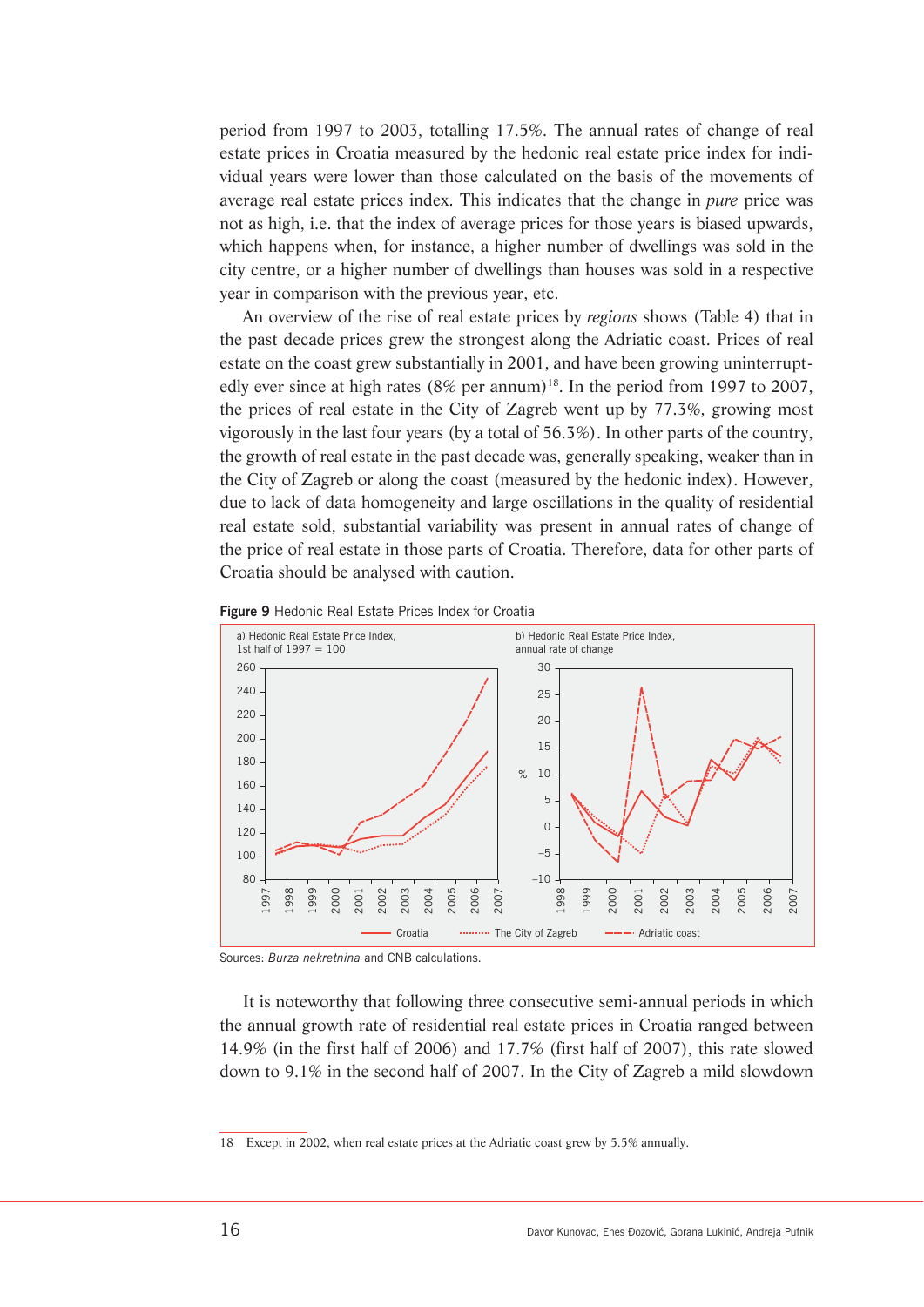period from 1997 to 2003, totalling 17.5%. The annual rates of change of real estate prices in Croatia measured by the hedonic real estate price index for individual years were lower than those calculated on the basis of the movements of average real estate prices index. This indicates that the change in *pure* price was not as high, i.e. that the index of average prices for those years is biased upwards, which happens when, for instance, a higher number of dwellings was sold in the city centre, or a higher number of dwellings than houses was sold in a respective year in comparison with the previous year, etc.

An overview of the rise of real estate prices by *regions* shows (Table 4) that in the past decade prices grew the strongest along the Adriatic coast. Prices of real estate on the coast grew substantially in 2001, and have been growing uninterruptedly ever since at high rates  $(8\% \text{ per annum})^{18}$ . In the period from 1997 to 2007, the prices of real estate in the City of Zagreb went up by 77.3%, growing most vigorously in the last four years (by a total of 56.3%). In other parts of the country, the growth of real estate in the past decade was, generally speaking, weaker than in the City of Zagreb or along the coast (measured by the hedonic index). However, due to lack of data homogeneity and large oscillations in the quality of residential real estate sold, substantial variability was present in annual rates of change of the price of real estate in those parts of Croatia. Therefore, data for other parts of Croatia should be analysed with caution.





Sources: *Burza nekretnina* and CNB calculations.

It is noteworthy that following three consecutive semi-annual periods in which the annual growth rate of residential real estate prices in Croatia ranged between 14.9% (in the first half of 2006) and 17.7% (first half of 2007), this rate slowed down to 9.1% in the second half of 2007. In the City of Zagreb a mild slowdown

<sup>18</sup> Except in 2002, when real estate prices at the Adriatic coast grew by 5.5% annually.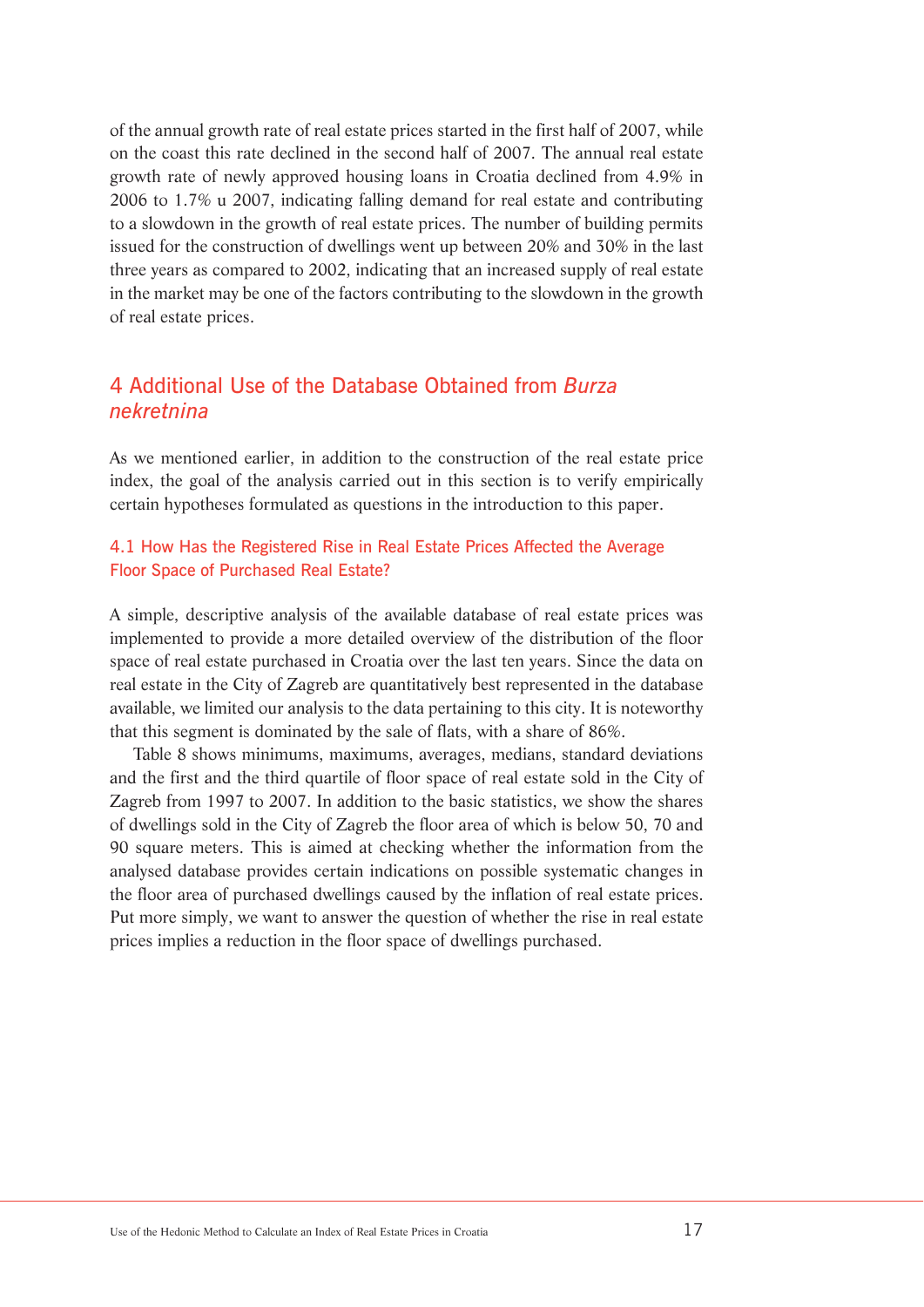of the annual growth rate of real estate prices started in the first half of 2007, while on the coast this rate declined in the second half of 2007. The annual real estate growth rate of newly approved housing loans in Croatia declined from 4.9% in 2006 to 1.7% u 2007, indicating falling demand for real estate and contributing to a slowdown in the growth of real estate prices. The number of building permits issued for the construction of dwellings went up between 20% and 30% in the last three years as compared to 2002, indicating that an increased supply of real estate in the market may be one of the factors contributing to the slowdown in the growth of real estate prices.

## 4 Additional Use of the Database Obtained from *Burza nekretnina*

As we mentioned earlier, in addition to the construction of the real estate price index, the goal of the analysis carried out in this section is to verify empirically certain hypotheses formulated as questions in the introduction to this paper.

## 4.1 How Has the Registered Rise in Real Estate Prices Affected the Average Floor Space of Purchased Real Estate?

A simple, descriptive analysis of the available database of real estate prices was implemented to provide a more detailed overview of the distribution of the floor space of real estate purchased in Croatia over the last ten years. Since the data on real estate in the City of Zagreb are quantitatively best represented in the database available, we limited our analysis to the data pertaining to this city. It is noteworthy that this segment is dominated by the sale of flats, with a share of 86%.

Table 8 shows minimums, maximums, averages, medians, standard deviations and the first and the third quartile of floor space of real estate sold in the City of Zagreb from 1997 to 2007. In addition to the basic statistics, we show the shares of dwellings sold in the City of Zagreb the floor area of which is below 50, 70 and 90 square meters. This is aimed at checking whether the information from the analysed database provides certain indications on possible systematic changes in the floor area of purchased dwellings caused by the inflation of real estate prices. Put more simply, we want to answer the question of whether the rise in real estate prices implies a reduction in the floor space of dwellings purchased.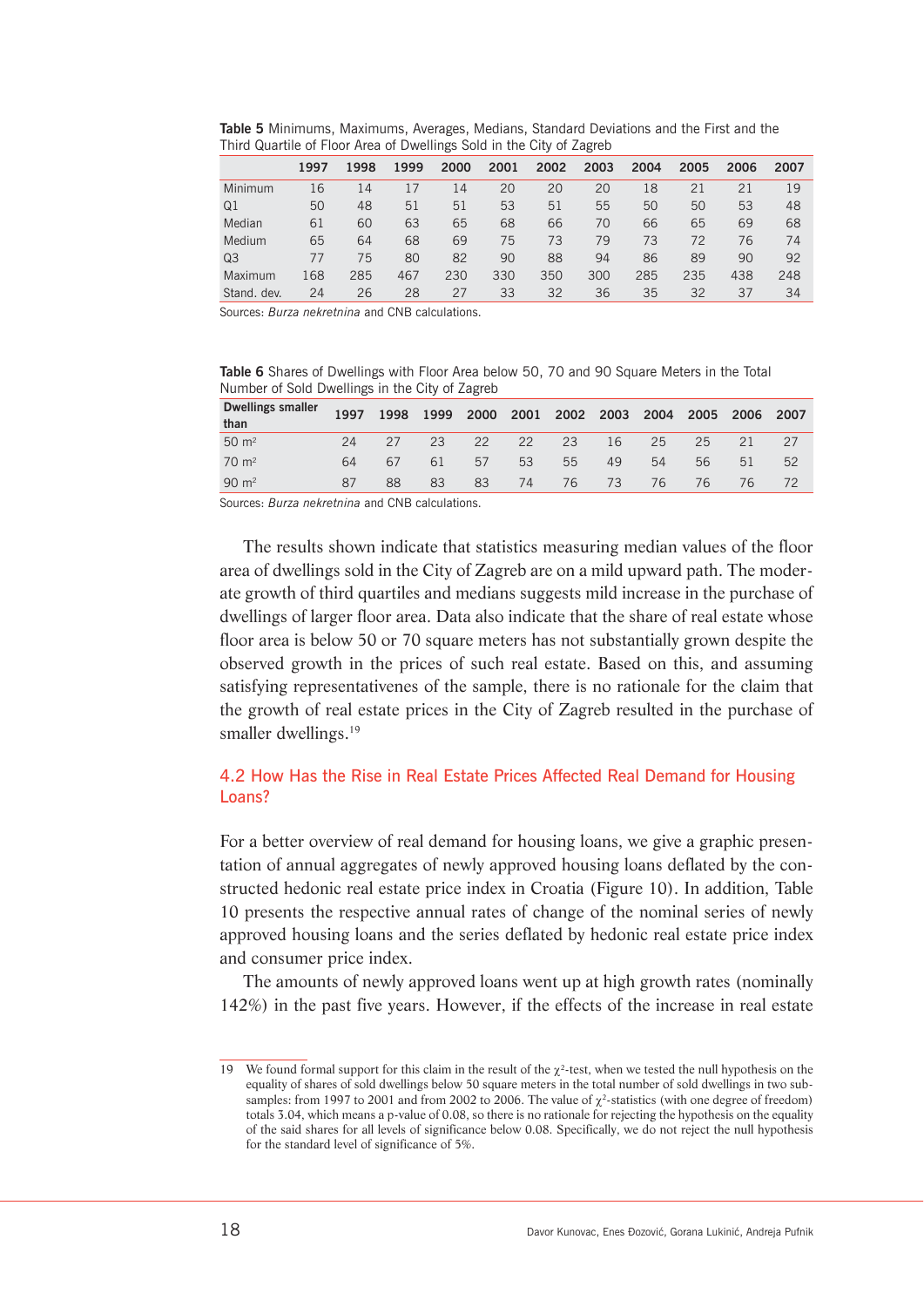**Table 5** Minimums, Maximums, Averages, Medians, Standard Deviations and the First and the Third Quartile of Floor Area of Dwellings Sold in the City of Zagreb

|             | 1997 | 1998 | 1999 | 2000 | 2001 | 2002 | 2003 | 2004 | 2005 | 2006 | 2007 |
|-------------|------|------|------|------|------|------|------|------|------|------|------|
| Minimum     | 16   | 14   | 17   | 14   | 20   | 20   | 20   | 18   | 21   | 21   | 19   |
| Q1          | 50   | 48   | 51   | 51   | 53   | 51   | 55   | 50   | 50   | 53   | 48   |
| Median      | 61   | 60   | 63   | 65   | 68   | 66   | 70   | 66   | 65   | 69   | 68   |
| Medium      | 65   | 64   | 68   | 69   | 75   | 73   | 79   | 73   | 72   | 76   | 74   |
| Q3          | 77   | 75   | 80   | 82   | 90   | 88   | 94   | 86   | 89   | 90   | 92   |
| Maximum     | 168  | 285  | 467  | 230  | 330  | 350  | 300  | 285  | 235  | 438  | 248  |
| Stand, dev. | 24   | 26   | 28   | 27   | 33   | 32   | 36   | 35   | 32   | 37   | 34   |

Sources: *Burza nekretnina* and CNB calculations.

**Table 6** Shares of Dwellings with Floor Area below 50, 70 and 90 Square Meters in the Total Number of Sold Dwellings in the City of Zagreb

| <b>Dwellings smaller</b><br>than | 1997 | 1998 |    | 1999 2000 2001 2002 2003 2004 2005 |    |    |          |    |    | 2006 2007 |    |
|----------------------------------|------|------|----|------------------------------------|----|----|----------|----|----|-----------|----|
| $50 \; \text{m}^2$               |      |      |    | 24 27 23 22 22                     |    | 23 | 16       | 25 | 25 | 21        |    |
| $70 \text{ m}^2$                 | 64   | 67   |    | 61 57                              | 53 | 55 | 49       | 54 | 56 | 51        | 52 |
| $90 \; \text{m}^2$               | 87   | 88   | 83 | 83                                 |    |    | 74 76 73 | 76 | 76 | 76        |    |

Sources: *Burza nekretnina* and CNB calculations.

The results shown indicate that statistics measuring median values of the floor area of dwellings sold in the City of Zagreb are on a mild upward path. The moderate growth of third quartiles and medians suggests mild increase in the purchase of dwellings of larger floor area. Data also indicate that the share of real estate whose floor area is below 50 or 70 square meters has not substantially grown despite the observed growth in the prices of such real estate. Based on this, and assuming satisfying representativenes of the sample, there is no rationale for the claim that the growth of real estate prices in the City of Zagreb resulted in the purchase of smaller dwellings.<sup>19</sup>

## 4.2 How Has the Rise in Real Estate Prices Affected Real Demand for Housing Loans?

For a better overview of real demand for housing loans, we give a graphic presentation of annual aggregates of newly approved housing loans deflated by the constructed hedonic real estate price index in Croatia (Figure 10). In addition, Table 10 presents the respective annual rates of change of the nominal series of newly approved housing loans and the series deflated by hedonic real estate price index and consumer price index.

The amounts of newly approved loans went up at high growth rates (nominally 142%) in the past five years. However, if the effects of the increase in real estate

<sup>19</sup> We found formal support for this claim in the result of the  $\chi^2$ -test, when we tested the null hypothesis on the equality of shares of sold dwellings below 50 square meters in the total number of sold dwellings in two subsamples: from 1997 to 2001 and from 2002 to 2006. The value of  $\chi^2$ -statistics (with one degree of freedom) totals 3.04, which means a p-value of 0.08, so there is no rationale for rejecting the hypothesis on the equality of the said shares for all levels of significance below 0.08. Specifically, we do not reject the null hypothesis for the standard level of significance of 5%.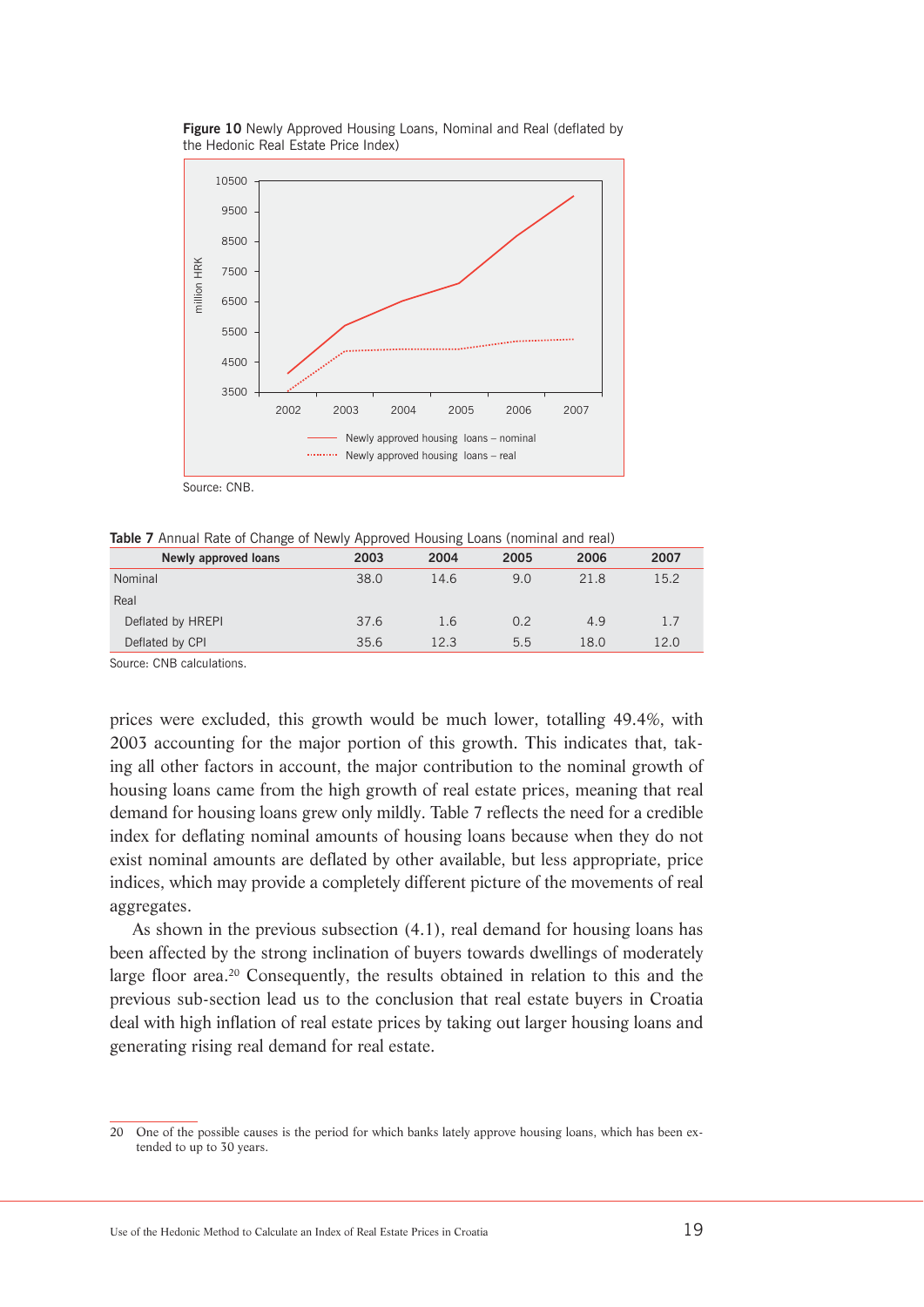



Source: CNB.

**Table 7** Annual Rate of Change of Newly Approved Housing Loans (nominal and real)

| Newly approved loans | 2003 | 2004 | 2005 | 2006 | 2007 |
|----------------------|------|------|------|------|------|
| Nominal              | 38.0 | 14.6 | 9.0  | 21.8 | 15.2 |
| Real                 |      |      |      |      |      |
| Deflated by HREPI    | 37.6 | 1.6  | 0.2  | 4.9  | 1.7  |
| Deflated by CPI      | 35.6 | 12.3 | 5.5  | 18.0 | 12.0 |
|                      |      |      |      |      |      |

Source: CNB calculations.

prices were excluded, this growth would be much lower, totalling 49.4%, with 2003 accounting for the major portion of this growth. This indicates that, taking all other factors in account, the major contribution to the nominal growth of housing loans came from the high growth of real estate prices, meaning that real demand for housing loans grew only mildly. Table 7 reflects the need for a credible index for deflating nominal amounts of housing loans because when they do not exist nominal amounts are deflated by other available, but less appropriate, price indices, which may provide a completely different picture of the movements of real aggregates.

As shown in the previous subsection (4.1), real demand for housing loans has been affected by the strong inclination of buyers towards dwellings of moderately large floor area.20 Consequently, the results obtained in relation to this and the previous sub-section lead us to the conclusion that real estate buyers in Croatia deal with high inflation of real estate prices by taking out larger housing loans and generating rising real demand for real estate.

<sup>20</sup> One of the possible causes is the period for which banks lately approve housing loans, which has been extended to up to 30 years.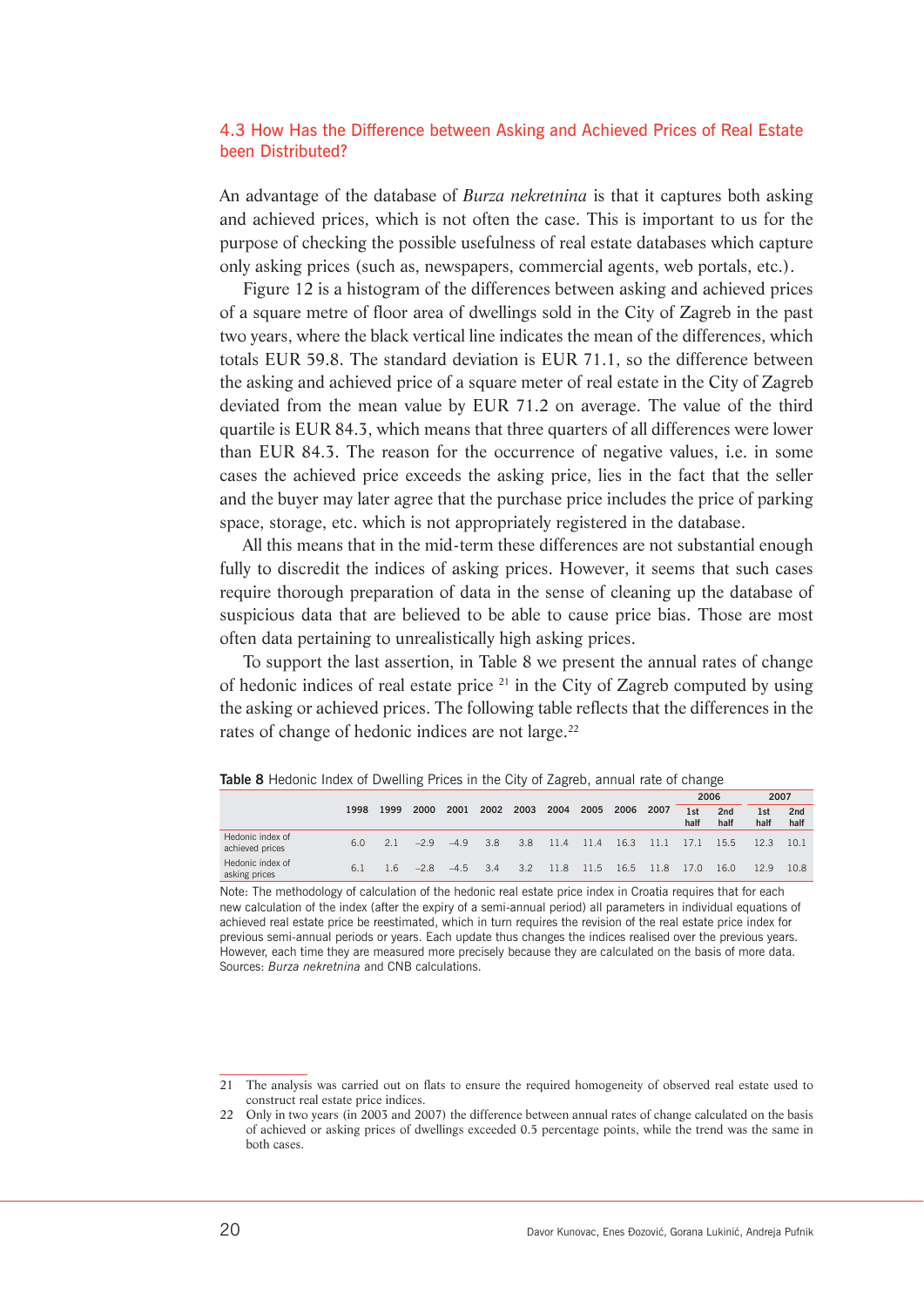#### 4.3 How Has the Difference between Asking and Achieved Prices of Real Estate been Distributed?

An advantage of the database of *Burza nekretnina* is that it captures both asking and achieved prices, which is not often the case. This is important to us for the purpose of checking the possible usefulness of real estate databases which capture only asking prices (such as, newspapers, commercial agents, web portals, etc.).

Figure 12 is a histogram of the differences between asking and achieved prices of a square metre of floor area of dwellings sold in the City of Zagreb in the past two years, where the black vertical line indicates the mean of the differences, which totals EUR 59.8. The standard deviation is EUR 71.1, so the difference between the asking and achieved price of a square meter of real estate in the City of Zagreb deviated from the mean value by EUR 71.2 on average. The value of the third quartile is EUR 84.3, which means that three quarters of all differences were lower than EUR 84.3. The reason for the occurrence of negative values, i.e. in some cases the achieved price exceeds the asking price, lies in the fact that the seller and the buyer may later agree that the purchase price includes the price of parking space, storage, etc. which is not appropriately registered in the database.

All this means that in the mid-term these differences are not substantial enough fully to discredit the indices of asking prices. However, it seems that such cases require thorough preparation of data in the sense of cleaning up the database of suspicious data that are believed to be able to cause price bias. Those are most often data pertaining to unrealistically high asking prices.

To support the last assertion, in Table 8 we present the annual rates of change of hedonic indices of real estate price  $21$  in the City of Zagreb computed by using the asking or achieved prices. The following table reflects that the differences in the rates of change of hedonic indices are not large.<sup>22</sup>

|                                     |      |      |       |        |      |               |      |      |      |      | 2006                    |                         | 2007        |                         |
|-------------------------------------|------|------|-------|--------|------|---------------|------|------|------|------|-------------------------|-------------------------|-------------|-------------------------|
|                                     | 1998 | 1999 | 2000  | 2001   | 2002 | 2003          | 2004 | 2005 | 2006 | 2007 | 1 <sub>st</sub><br>half | 2 <sub>nd</sub><br>half | 1st<br>half | 2 <sub>nd</sub><br>half |
| Hedonic index of<br>achieved prices | 6.0  | 21   | $-29$ | $-49$  | 3.8  | 3.8           | 11.4 | 11.4 | 16.3 | 11.1 | 17.1                    | 15.5                    | 12.3        | 10.1                    |
| Hedonic index of<br>asking prices   | 6.1  | 16   | $-28$ | $-4.5$ | 3.4  | $3.2^{\circ}$ | 11.8 | 11.5 | 16.5 | 11.8 | 17.0                    | 16.0                    | 12.9        | 10.8                    |

**Table 8** Hedonic Index of Dwelling Prices in the City of Zagreb, annual rate of change

Note: The methodology of calculation of the hedonic real estate price index in Croatia requires that for each new calculation of the index (after the expiry of a semi-annual period) all parameters in individual equations of achieved real estate price be reestimated, which in turn requires the revision of the real estate price index for previous semi-annual periods or years. Each update thus changes the indices realised over the previous years. However, each time they are measured more precisely because they are calculated on the basis of more data. Sources: *Burza nekretnina* and CNB calculations.

<sup>21</sup> The analysis was carried out on flats to ensure the required homogeneity of observed real estate used to construct real estate price indices.

<sup>22</sup> Only in two years (in 2003 and 2007) the difference between annual rates of change calculated on the basis of achieved or asking prices of dwellings exceeded 0.5 percentage points, while the trend was the same in both cases.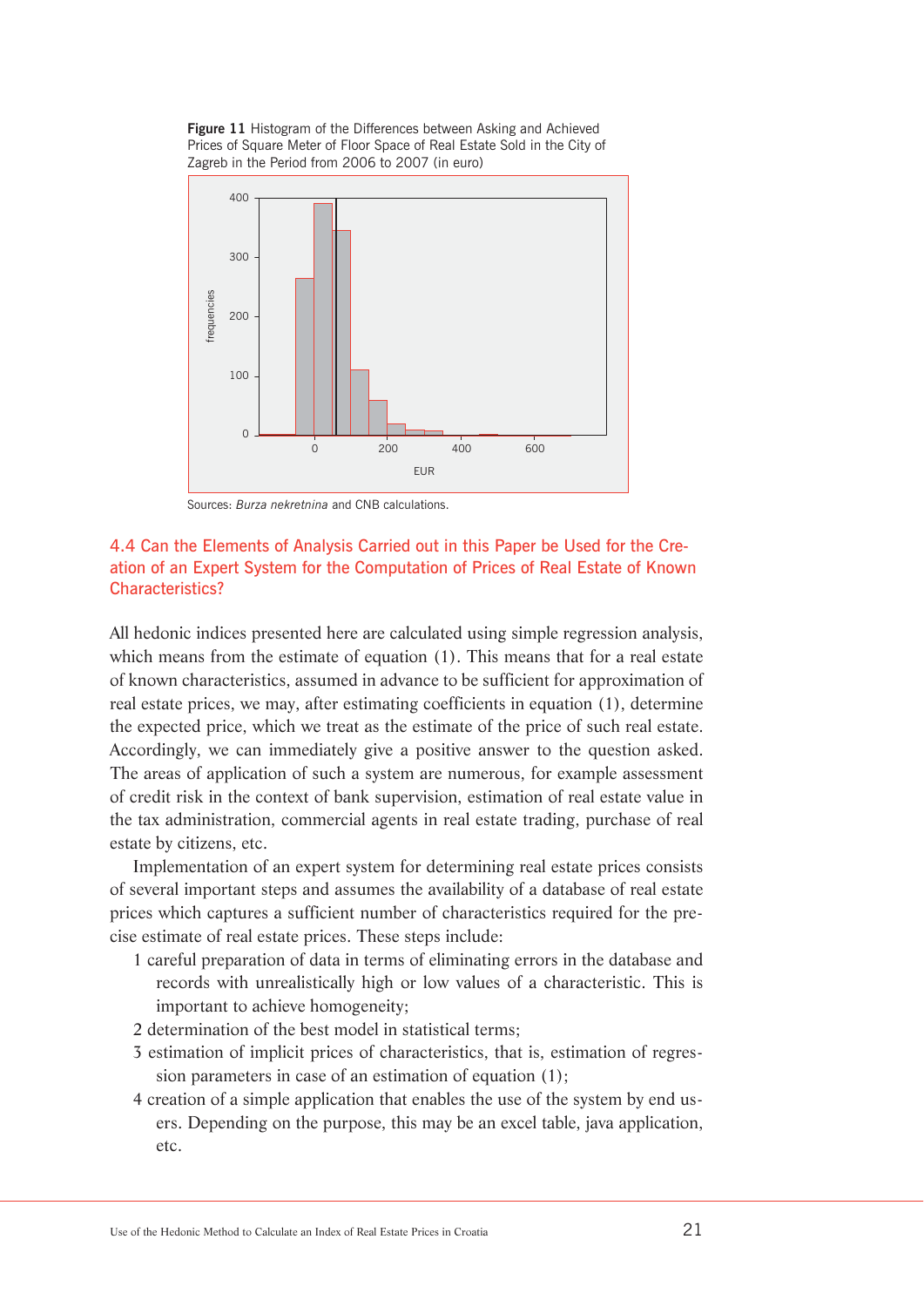



Sources: *Burza nekretnina* and CNB calculations.

## 4.4 Can the Elements of Analysis Carried out in this Paper be Used for the Creation of an Expert System for the Computation of Prices of Real Estate of Known Characteristics?

All hedonic indices presented here are calculated using simple regression analysis, which means from the estimate of equation (1). This means that for a real estate of known characteristics, assumed in advance to be sufficient for approximation of real estate prices, we may, after estimating coefficients in equation (1), determine the expected price, which we treat as the estimate of the price of such real estate. Accordingly, we can immediately give a positive answer to the question asked. The areas of application of such a system are numerous, for example assessment of credit risk in the context of bank supervision, estimation of real estate value in the tax administration, commercial agents in real estate trading, purchase of real estate by citizens, etc.

Implementation of an expert system for determining real estate prices consists of several important steps and assumes the availability of a database of real estate prices which captures a sufficient number of characteristics required for the precise estimate of real estate prices. These steps include:

- 1 careful preparation of data in terms of eliminating errors in the database and records with unrealistically high or low values of a characteristic. This is important to achieve homogeneity;
- 2 determination of the best model in statistical terms;
- 3 estimation of implicit prices of characteristics, that is, estimation of regression parameters in case of an estimation of equation (1);
- 4 creation of a simple application that enables the use of the system by end users. Depending on the purpose, this may be an excel table, java application, etc.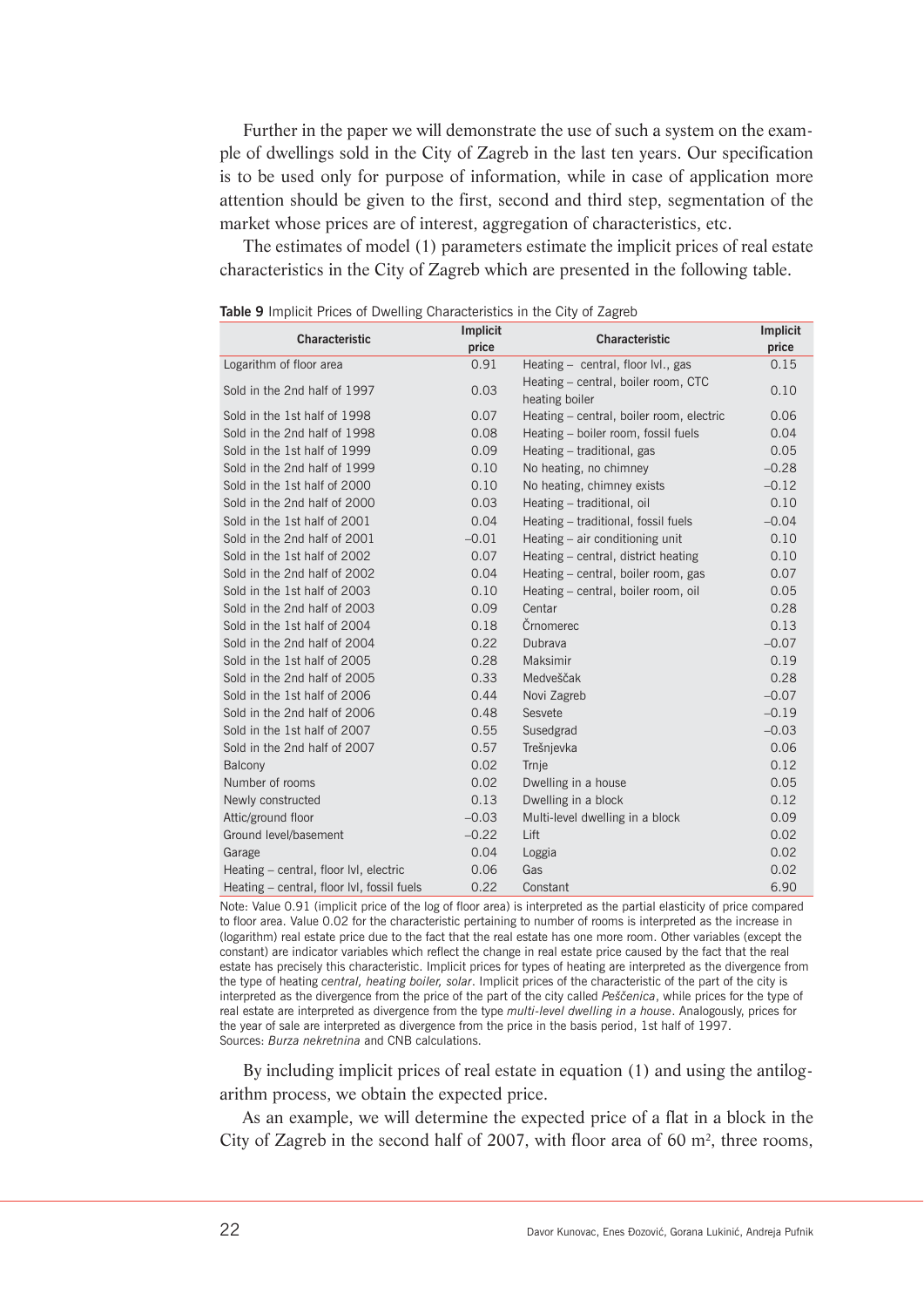Further in the paper we will demonstrate the use of such a system on the example of dwellings sold in the City of Zagreb in the last ten years. Our specification is to be used only for purpose of information, while in case of application more attention should be given to the first, second and third step, segmentation of the market whose prices are of interest, aggregation of characteristics, etc.

The estimates of model (1) parameters estimate the implicit prices of real estate characteristics in the City of Zagreb which are presented in the following table.

| Characteristic                             | Implicit<br>price | Characteristic                                        | Implicit<br>price |
|--------------------------------------------|-------------------|-------------------------------------------------------|-------------------|
| Logarithm of floor area                    | 0.91              | Heating - central, floor lvl., gas                    | 0.15              |
| Sold in the 2nd half of 1997               | 0.03              | Heating - central, boiler room, CTC<br>heating boiler | 0.10              |
| Sold in the 1st half of 1998               | 0.07              | Heating - central, boiler room, electric              | 0.06              |
| Sold in the 2nd half of 1998               | 0.08              | Heating - boiler room, fossil fuels                   | 0.04              |
| Sold in the 1st half of 1999               | 0.09              | Heating - traditional, gas                            | 0.05              |
| Sold in the 2nd half of 1999               | 0.10              | No heating, no chimney                                | $-0.28$           |
| Sold in the 1st half of 2000               | 0.10              | No heating, chimney exists                            | $-0.12$           |
| Sold in the 2nd half of 2000               | 0.03              | Heating - traditional, oil                            | 0.10              |
| Sold in the 1st half of 2001               | 0.04              | Heating - traditional, fossil fuels                   | $-0.04$           |
| Sold in the 2nd half of 2001               | $-0.01$           | Heating - air conditioning unit                       | 0.10              |
| Sold in the 1st half of 2002               | 0.07              | Heating - central, district heating                   | 0.10              |
| Sold in the 2nd half of 2002               | 0.04              | Heating - central, boiler room, gas                   | 0.07              |
| Sold in the 1st half of 2003               | 0.10              | Heating - central, boiler room, oil                   | 0.05              |
| Sold in the 2nd half of 2003               | 0.09              | Centar                                                | 0.28              |
| Sold in the 1st half of 2004               | 0.18              | Črnomerec                                             | 0.13              |
| Sold in the 2nd half of 2004               | 0.22              | Dubrava                                               | $-0.07$           |
| Sold in the 1st half of 2005               | 0.28              | Maksimir                                              | 0.19              |
| Sold in the 2nd half of 2005               | 0.33              | Medveščak                                             | 0.28              |
| Sold in the 1st half of 2006               | 0.44              | Novi Zagreb                                           | $-0.07$           |
| Sold in the 2nd half of 2006               | 0.48              | Sesvete                                               | $-0.19$           |
| Sold in the 1st half of 2007               | 0.55              | Susedgrad                                             | $-0.03$           |
| Sold in the 2nd half of 2007               | 0.57              | Trešnjevka                                            | 0.06              |
| Balcony                                    | 0.02              | Trnje                                                 | 0.12              |
| Number of rooms                            | 0.02              | Dwelling in a house                                   | 0.05              |
| Newly constructed                          | 0.13              | Dwelling in a block                                   | 0.12              |
| Attic/ground floor                         | $-0.03$           | Multi-level dwelling in a block                       | 0.09              |
| Ground level/basement                      | $-0.22$           | Lift                                                  | 0.02              |
| Garage                                     | 0.04              | Loggia                                                | 0.02              |
| Heating - central, floor lvl, electric     | 0.06              | Gas                                                   | 0.02              |
| Heating - central, floor lvl, fossil fuels | 0.22              | Constant                                              | 6.90              |

**Table 9** Implicit Prices of Dwelling Characteristics in the City of Zagreb

Note: Value 0.91 (implicit price of the log of floor area) is interpreted as the partial elasticity of price compared to floor area. Value 0.02 for the characteristic pertaining to number of rooms is interpreted as the increase in (logarithm) real estate price due to the fact that the real estate has one more room. Other variables (except the constant) are indicator variables which reflect the change in real estate price caused by the fact that the real estate has precisely this characteristic. Implicit prices for types of heating are interpreted as the divergence from the type of heating *central, heating boiler, solar*. Implicit prices of the characteristic of the part of the city is interpreted as the divergence from the price of the part of the city called *Peščenica*, while prices for the type of real estate are interpreted as divergence from the type *multi-level dwelling in a house*. Analogously, prices for the year of sale are interpreted as divergence from the price in the basis period, 1st half of 1997. Sources: *Burza nekretnina* and CNB calculations.

By including implicit prices of real estate in equation (1) and using the antilogarithm process, we obtain the expected price.

As an example, we will determine the expected price of a flat in a block in the City of Zagreb in the second half of 2007, with floor area of 60  $m^2$ , three rooms,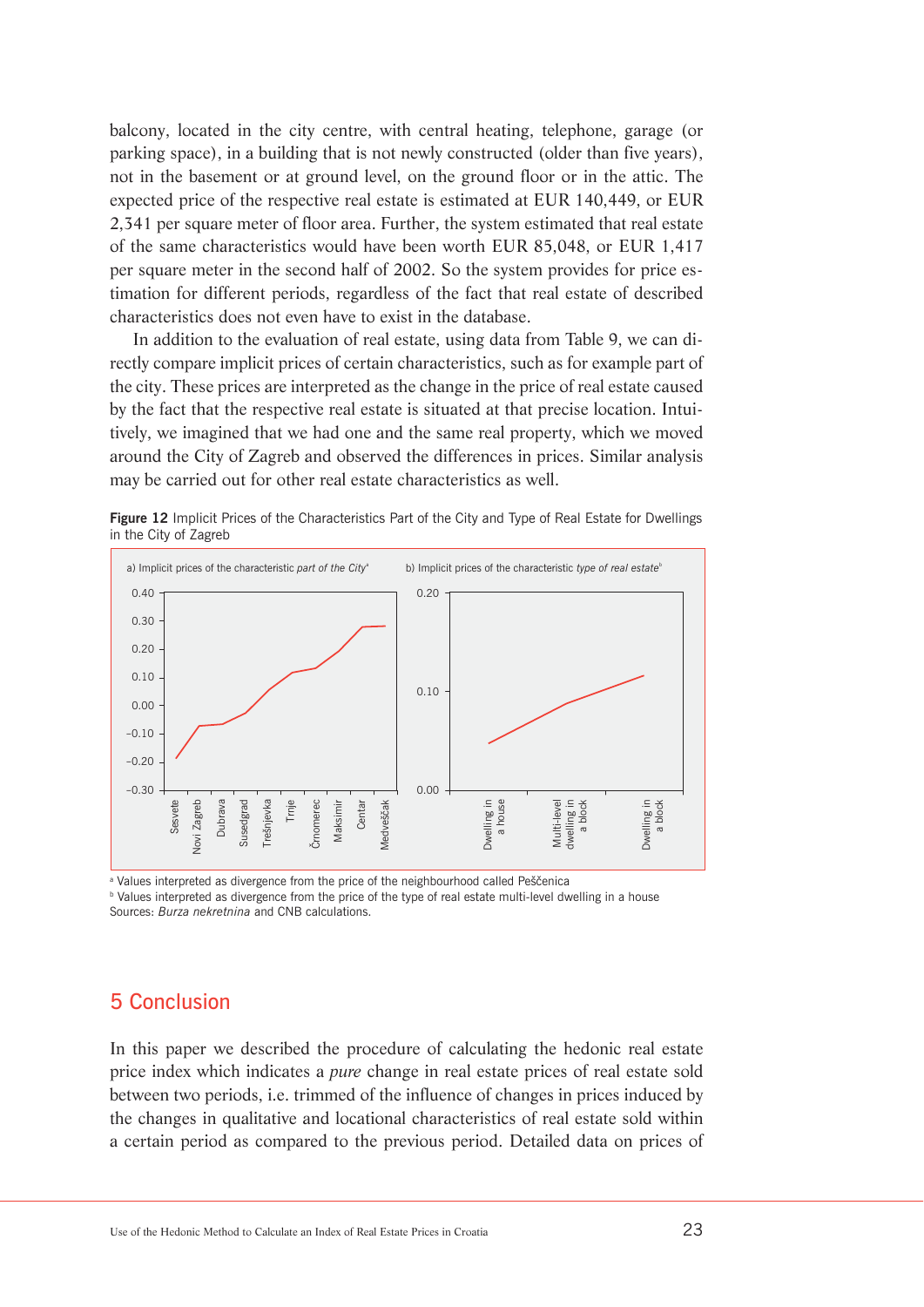balcony, located in the city centre, with central heating, telephone, garage (or parking space), in a building that is not newly constructed (older than five years), not in the basement or at ground level, on the ground floor or in the attic. The expected price of the respective real estate is estimated at EUR 140,449, or EUR 2,341 per square meter of floor area. Further, the system estimated that real estate of the same characteristics would have been worth EUR 85,048, or EUR 1,417 per square meter in the second half of 2002. So the system provides for price estimation for different periods, regardless of the fact that real estate of described characteristics does not even have to exist in the database.

In addition to the evaluation of real estate, using data from Table 9, we can directly compare implicit prices of certain characteristics, such as for example part of the city. These prices are interpreted as the change in the price of real estate caused by the fact that the respective real estate is situated at that precise location. Intuitively, we imagined that we had one and the same real property, which we moved around the City of Zagreb and observed the differences in prices. Similar analysis may be carried out for other real estate characteristics as well.



Figure 12 Implicit Prices of the Characteristics Part of the City and Type of Real Estate for Dwellings in the City of Zagreb

<sup>a</sup> Values interpreted as divergence from the price of the neighbourhood called Peščenica

**b** Values interpreted as divergence from the price of the type of real estate multi-level dwelling in a house Sources: *Burza nekretnina* and CNB calculations.

## 5 Conclusion

In this paper we described the procedure of calculating the hedonic real estate price index which indicates a *pure* change in real estate prices of real estate sold between two periods, i.e. trimmed of the influence of changes in prices induced by the changes in qualitative and locational characteristics of real estate sold within a certain period as compared to the previous period. Detailed data on prices of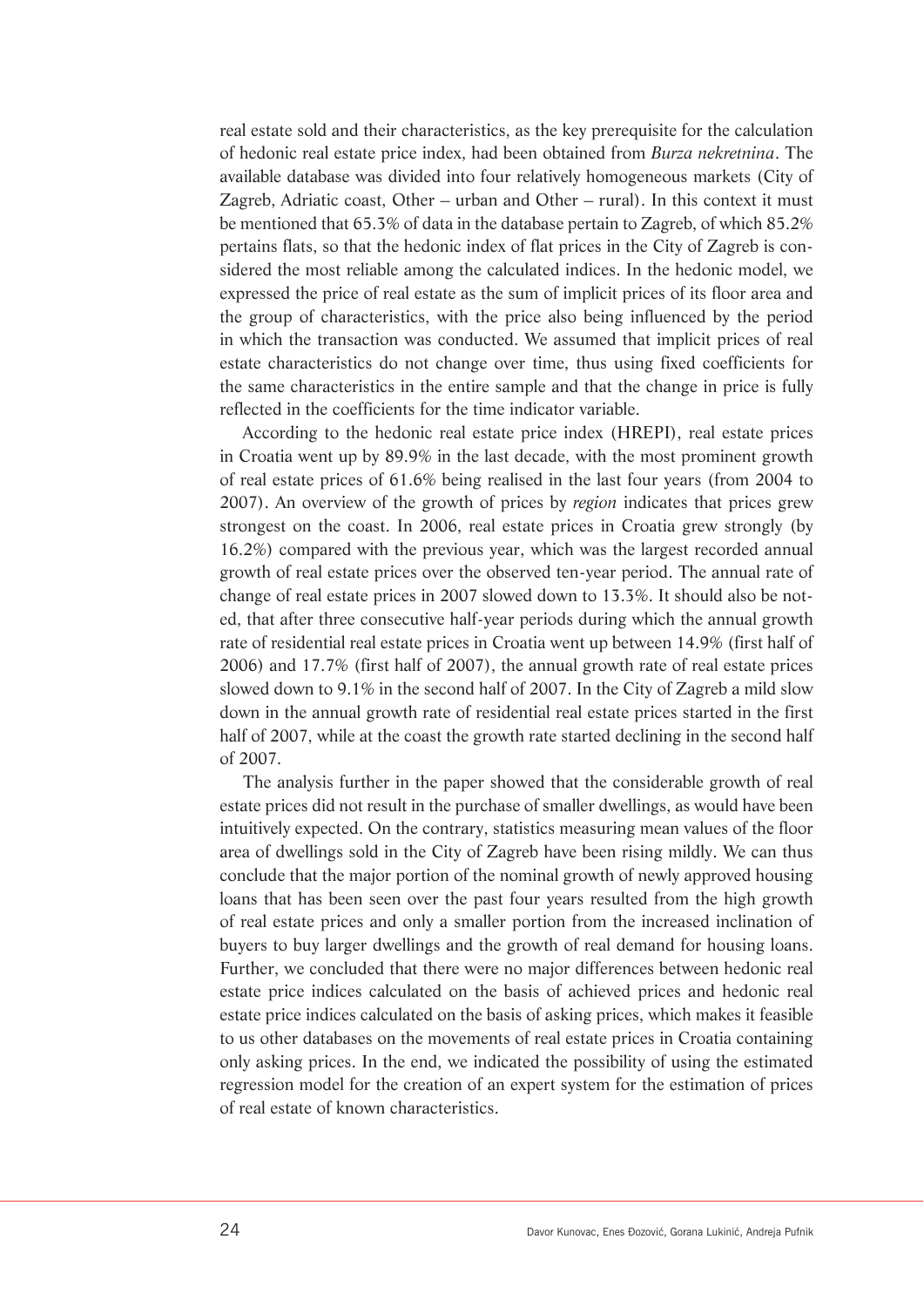real estate sold and their characteristics, as the key prerequisite for the calculation of hedonic real estate price index, had been obtained from *Burza nekretnina*. The available database was divided into four relatively homogeneous markets (City of Zagreb, Adriatic coast, Other – urban and Other – rural). In this context it must be mentioned that 65.3% of data in the database pertain to Zagreb, of which 85.2% pertains flats, so that the hedonic index of flat prices in the City of Zagreb is considered the most reliable among the calculated indices. In the hedonic model, we expressed the price of real estate as the sum of implicit prices of its floor area and the group of characteristics, with the price also being influenced by the period in which the transaction was conducted. We assumed that implicit prices of real estate characteristics do not change over time, thus using fixed coefficients for the same characteristics in the entire sample and that the change in price is fully reflected in the coefficients for the time indicator variable.

According to the hedonic real estate price index (HREPI), real estate prices in Croatia went up by 89.9% in the last decade, with the most prominent growth of real estate prices of 61.6% being realised in the last four years (from 2004 to 2007). An overview of the growth of prices by *region* indicates that prices grew strongest on the coast. In 2006, real estate prices in Croatia grew strongly (by 16.2%) compared with the previous year, which was the largest recorded annual growth of real estate prices over the observed ten-year period. The annual rate of change of real estate prices in 2007 slowed down to 13.3%. It should also be noted, that after three consecutive half-year periods during which the annual growth rate of residential real estate prices in Croatia went up between 14.9% (first half of 2006) and 17.7% (first half of 2007), the annual growth rate of real estate prices slowed down to 9.1% in the second half of 2007. In the City of Zagreb a mild slow down in the annual growth rate of residential real estate prices started in the first half of 2007, while at the coast the growth rate started declining in the second half of 2007.

The analysis further in the paper showed that the considerable growth of real estate prices did not result in the purchase of smaller dwellings, as would have been intuitively expected. On the contrary, statistics measuring mean values of the floor area of dwellings sold in the City of Zagreb have been rising mildly. We can thus conclude that the major portion of the nominal growth of newly approved housing loans that has been seen over the past four years resulted from the high growth of real estate prices and only a smaller portion from the increased inclination of buyers to buy larger dwellings and the growth of real demand for housing loans. Further, we concluded that there were no major differences between hedonic real estate price indices calculated on the basis of achieved prices and hedonic real estate price indices calculated on the basis of asking prices, which makes it feasible to us other databases on the movements of real estate prices in Croatia containing only asking prices. In the end, we indicated the possibility of using the estimated regression model for the creation of an expert system for the estimation of prices of real estate of known characteristics.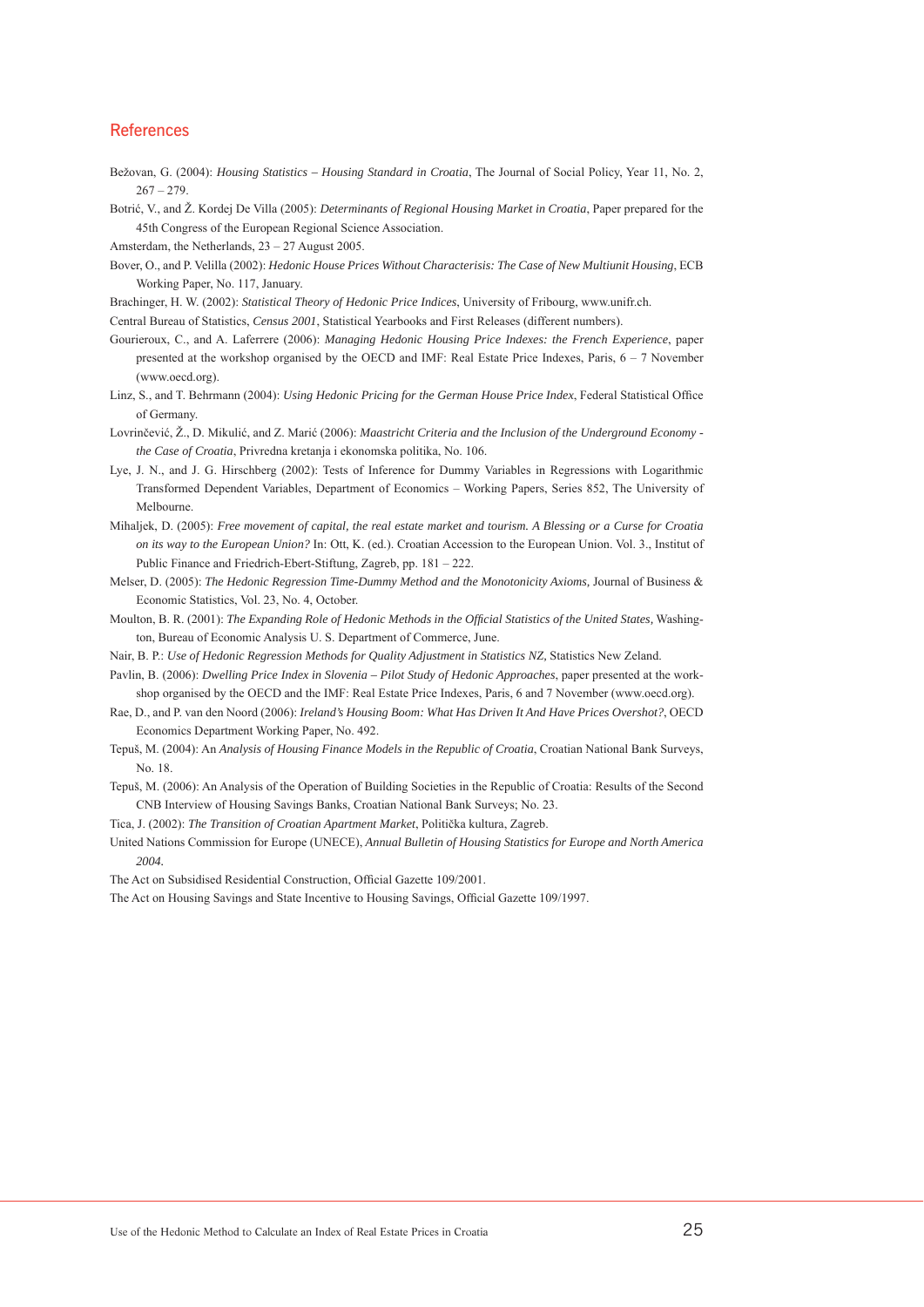#### References

- Bežovan, G. (2004): *Housing Statistics Housing Standard in Croatia*, The Journal of Social Policy, Year 11, No. 2,  $267 - 279$
- Botrić, V., and Ž. Kordej De Villa (2005): *Determinants of Regional Housing Market in Croatia*, Paper prepared for the 45th Congress of the European Regional Science Association.
- Amsterdam, the Netherlands, 23 27 August 2005.
- Bover, O., and P. Velilla (2002): *Hedonic House Prices Without Characterisis: The Case of New Multiunit Housing*, ECB Working Paper, No. 117, January.
- Brachinger, H. W. (2002): *Statistical Theory of Hedonic Price Indices*, University of Fribourg, www.unifr.ch.
- Central Bureau of Statistics, *Census 2001*, Statistical Yearbooks and First Releases (different numbers).
- Gourieroux, C., and A. Laferrere (2006): *Managing Hedonic Housing Price Indexes: the French Experience*, paper presented at the workshop organised by the OECD and IMF: Real Estate Price Indexes, Paris, 6 – 7 November (www.oecd.org).
- Linz, S., and T. Behrmann (2004): *Using Hedonic Pricing for the German House Price Index*, Federal Statistical Office of Germany.
- Lovrinčević, Ž., D. Mikulić, and Z. Marić (2006): *Maastricht Criteria and the Inclusion of the Underground Economy the Case of Croatia*, Privredna kretanja i ekonomska politika, No. 106.
- Lye, J. N., and J. G. Hirschberg (2002): Tests of Inference for Dummy Variables in Regressions with Logarithmic Transformed Dependent Variables, Department of Economics – Working Papers, Series 852, The University of Melbourne.
- Mihaljek, D. (2005): *Free movement of capital, the real estate market and tourism. A Blessing or a Curse for Croatia on its way to the European Union?* In: Ott, K. (ed.). Croatian Accession to the European Union. Vol. 3., Institut of Public Finance and Friedrich-Ebert-Stiftung, Zagreb, pp. 181 – 222.
- Melser, D. (2005): *The Hedonic Regression Time-Dummy Method and the Monotonicity Axioms,* Journal of Business & Economic Statistics, Vol. 23, No. 4, October.
- Moulton, B. R. (2001): *The Expanding Role of Hedonic Methods in the Official Statistics of the United States,* Washington, Bureau of Economic Analysis U. S. Department of Commerce, June.
- Nair, B. P.: *Use of Hedonic Regression Methods for Quality Adjustment in Statistics NZ*, Statistics New Zeland.
- Pavlin, B. (2006): *Dwelling Price Index in Slovenia Pilot Study of Hedonic Approaches*, paper presented at the workshop organised by the OECD and the IMF: Real Estate Price Indexes, Paris, 6 and 7 November (www.oecd.org).
- Rae, D., and P. van den Noord (2006): *Ireland's Housing Boom: What Has Driven It And Have Prices Overshot?*, OECD Economics Department Working Paper, No. 492.
- Tepuš, M. (2004): An *Analysis of Housing Finance Models in the Republic of Croatia*, Croatian National Bank Surveys, No. 18.
- Tepuš, M. (2006): An Analysis of the Operation of Building Societies in the Republic of Croatia: Results of the Second CNB Interview of Housing Savings Banks, Croatian National Bank Surveys; No. 23.
- Tica, J. (2002): *The Transition of Croatian Apartment Market*, Politička kultura, Zagreb.
- United Nations Commission for Europe (UNECE), *Annual Bulletin of Housing Statistics for Europe and North America 2004.*
- The Act on Subsidised Residential Construction, Official Gazette 109/2001.
- The Act on Housing Savings and State Incentive to Housing Savings, Official Gazette 109/1997.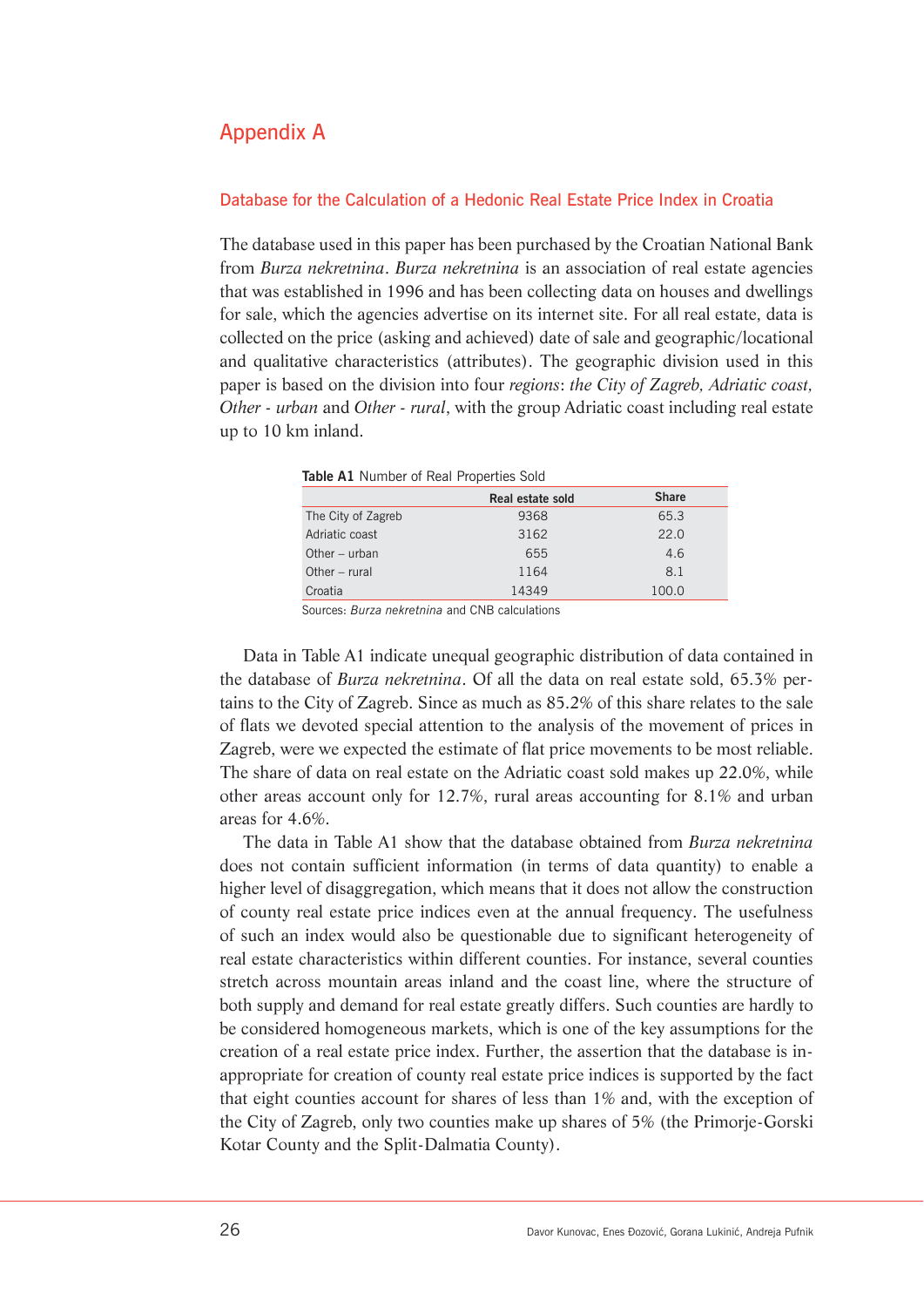## Appendix A

#### Database for the Calculation of a Hedonic Real Estate Price Index in Croatia

The database used in this paper has been purchased by the Croatian National Bank from *Burza nekretnina*. *Burza nekretnina* is an association of real estate agencies that was established in 1996 and has been collecting data on houses and dwellings for sale, which the agencies advertise on its internet site. For all real estate, data is collected on the price (asking and achieved) date of sale and geographic/locational and qualitative characteristics (attributes). The geographic division used in this paper is based on the division into four *regions*: *the City of Zagreb, Adriatic coast, Other - urban* and *Other - rural*, with the group Adriatic coast including real estate up to 10 km inland.

| <b>TRUIT AT INDITIDED OF INEXT LIDDED LIES SOLU</b> |                  |              |
|-----------------------------------------------------|------------------|--------------|
|                                                     | Real estate sold | <b>Share</b> |
| The City of Zagreb                                  | 9368             | 65.3         |
| Adriatic coast                                      | 3162             | 22.0         |
| Other $-$ urban                                     | 655              | 4.6          |
| Other $-$ rural                                     | 1164             | 81           |

Croatia 14349 100.0

**Table A1** Number of Real Properties Sold

Sources: *Burza nekretnina* and CNB calculations

Data in Table A1 indicate unequal geographic distribution of data contained in the database of *Burza nekretnina*. Of all the data on real estate sold, 65.3% pertains to the City of Zagreb. Since as much as 85.2% of this share relates to the sale of flats we devoted special attention to the analysis of the movement of prices in Zagreb, were we expected the estimate of flat price movements to be most reliable. The share of data on real estate on the Adriatic coast sold makes up 22.0%, while other areas account only for 12.7%, rural areas accounting for 8.1% and urban areas for 4.6%.

The data in Table A1 show that the database obtained from *Burza nekretnina* does not contain sufficient information (in terms of data quantity) to enable a higher level of disaggregation, which means that it does not allow the construction of county real estate price indices even at the annual frequency. The usefulness of such an index would also be questionable due to significant heterogeneity of real estate characteristics within different counties. For instance, several counties stretch across mountain areas inland and the coast line, where the structure of both supply and demand for real estate greatly differs. Such counties are hardly to be considered homogeneous markets, which is one of the key assumptions for the creation of a real estate price index. Further, the assertion that the database is inappropriate for creation of county real estate price indices is supported by the fact that eight counties account for shares of less than 1% and, with the exception of the City of Zagreb, only two counties make up shares of 5% (the Primorje-Gorski Kotar County and the Split-Dalmatia County).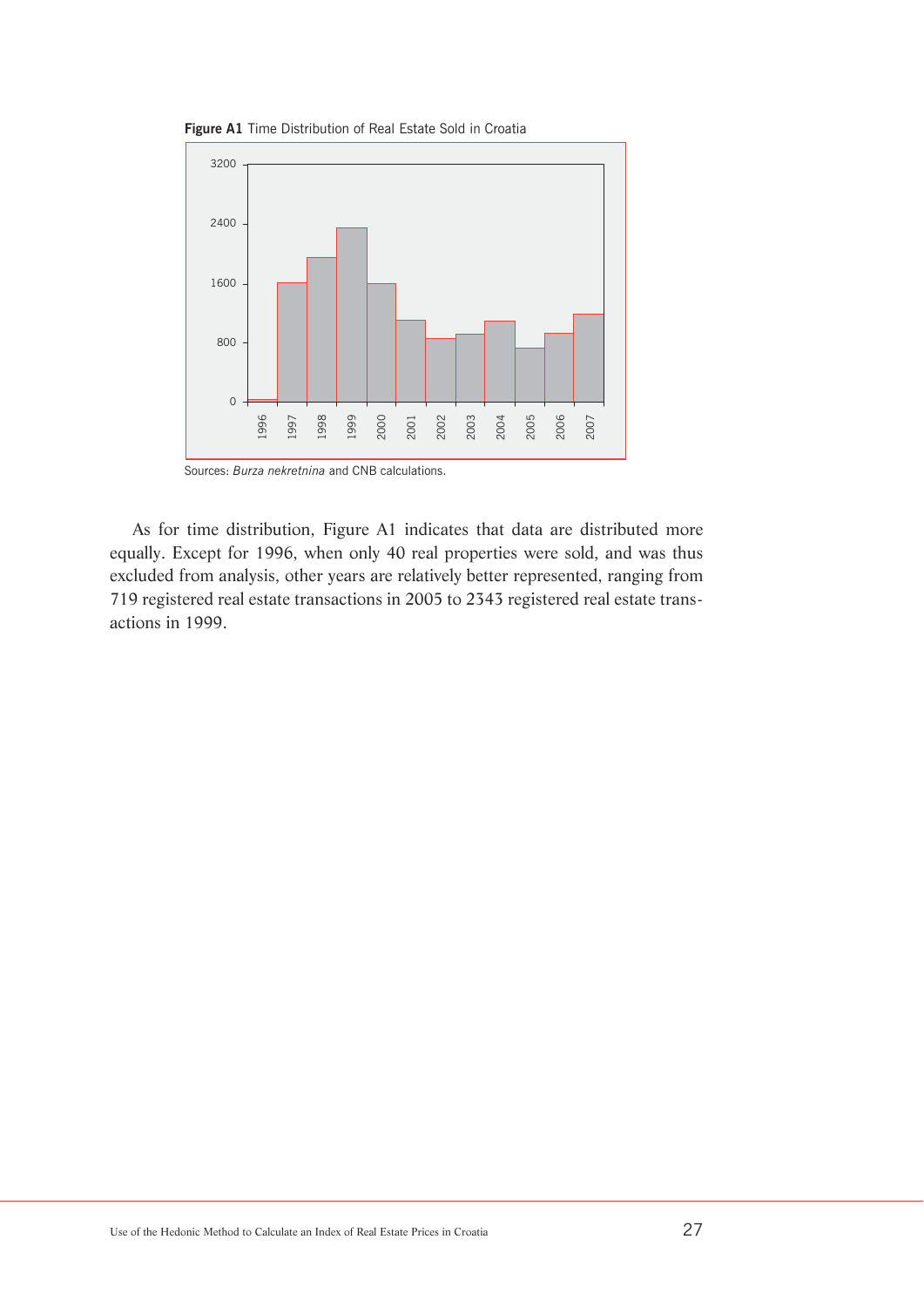



Sources: *Burza nekretnina* and CNB calculations.

As for time distribution, Figure A1 indicates that data are distributed more equally. Except for 1996, when only 40 real properties were sold, and was thus excluded from analysis, other years are relatively better represented, ranging from 719 registered real estate transactions in 2005 to 2343 registered real estate transactions in 1999.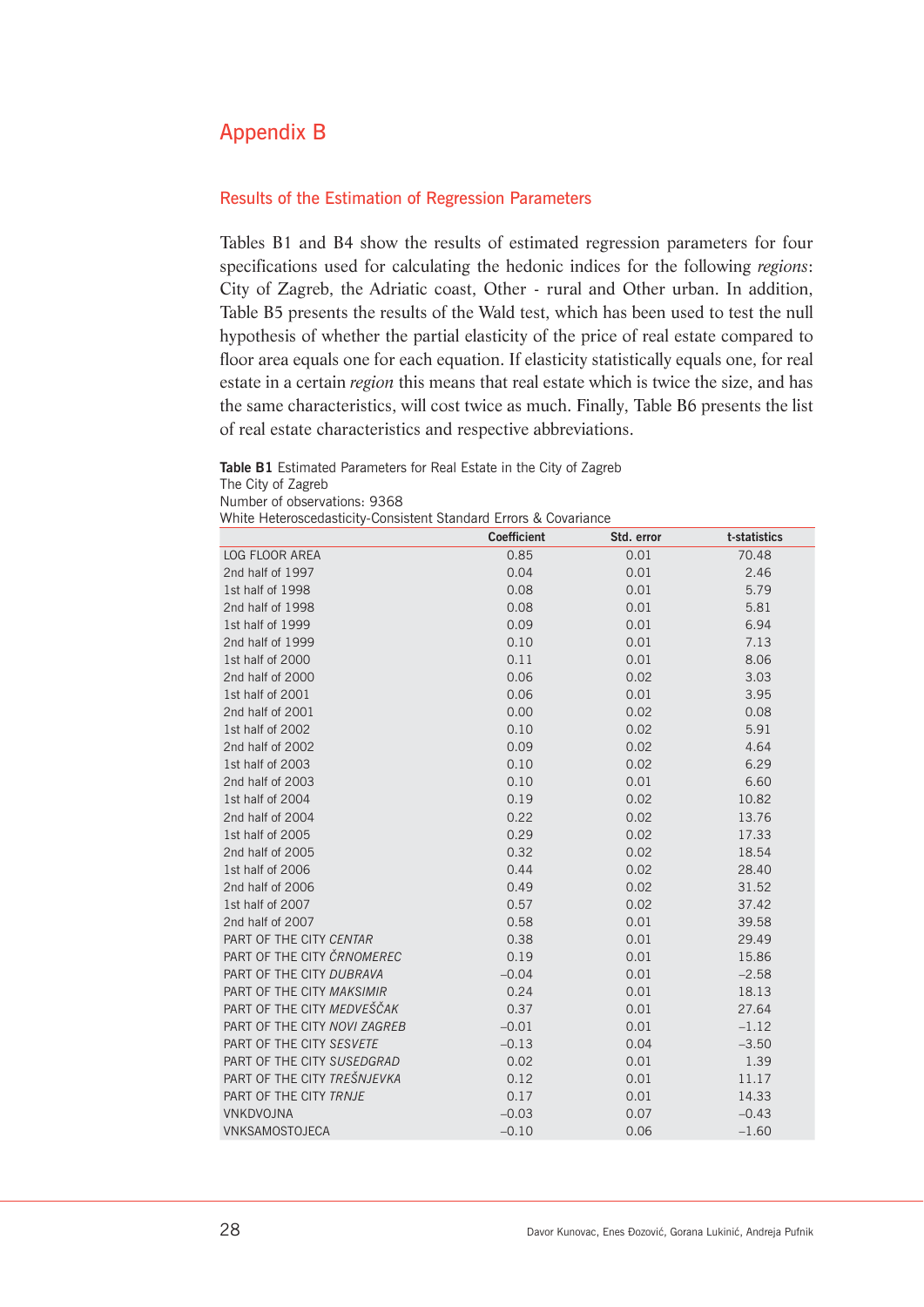## Appendix B

#### Results of the Estimation of Regression Parameters

Tables B1 and B4 show the results of estimated regression parameters for four specifications used for calculating the hedonic indices for the following *regions*: City of Zagreb, the Adriatic coast, Other - rural and Other urban. In addition, Table B5 presents the results of the Wald test, which has been used to test the null hypothesis of whether the partial elasticity of the price of real estate compared to floor area equals one for each equation. If elasticity statistically equals one, for real estate in a certain *region* this means that real estate which is twice the size, and has the same characteristics, will cost twice as much. Finally, Table B6 presents the list of real estate characteristics and respective abbreviations.

**Table B1** Estimated Parameters for Real Estate in the City of Zagreb The City of Zagreb Number of observations: 9368

White Heteroscedasticity-Consistent Standard Errors & Covariance

|                              | <b>Coefficient</b> | Std. error | t-statistics |
|------------------------------|--------------------|------------|--------------|
| <b>LOG FLOOR AREA</b>        | 0.85               | 0.01       | 70.48        |
| 2nd half of 1997             | 0.04               | 0.01       | 2.46         |
| 1st half of 1998             | 0.08               | 0.01       | 5.79         |
| 2nd half of 1998             | 0.08               | 0.01       | 5.81         |
| 1st half of 1999             | 0.09               | 0.01       | 6.94         |
| 2nd half of 1999             | 0.10               | 0.01       | 7.13         |
| 1st half of 2000             | 0.11               | 0.01       | 8.06         |
| 2nd half of 2000             | 0.06               | 0.02       | 3.03         |
| 1st half of 2001             | 0.06               | 0.01       | 3.95         |
| 2nd half of 2001             | 0.00               | 0.02       | 0.08         |
| 1st half of 2002             | 0.10               | 0.02       | 5.91         |
| 2nd half of 2002             | 0.09               | 0.02       | 4.64         |
| 1st half of 2003             | 0.10               | 0.02       | 6.29         |
| 2nd half of 2003             | 0.10               | 0.01       | 6.60         |
| 1st half of 2004             | 0.19               | 0.02       | 10.82        |
| 2nd half of 2004             | 0.22               | 0.02       | 13.76        |
| 1st half of 2005             | 0.29               | 0.02       | 17.33        |
| 2nd half of 2005             | 0.32               | 0.02       | 18.54        |
| 1st half of 2006             | 0.44               | 0.02       | 28.40        |
| 2nd half of 2006             | 0.49               | 0.02       | 31.52        |
| 1st half of 2007             | 0.57               | 0.02       | 37.42        |
| 2nd half of 2007             | 0.58               | 0.01       | 39.58        |
| PART OF THE CITY CENTAR      | 0.38               | 0.01       | 29.49        |
| PART OF THE CITY ČRNOMEREC   | 0.19               | 0.01       | 15.86        |
| PART OF THE CITY DUBRAVA     | $-0.04$            | 0.01       | $-2.58$      |
| PART OF THE CITY MAKSIMIR    | 0.24               | 0.01       | 18.13        |
| PART OF THE CITY MEDVEŠČAK   | 0.37               | 0.01       | 27.64        |
| PART OF THE CITY NOVI ZAGREB | $-0.01$            | 0.01       | $-1.12$      |
| PART OF THE CITY SESVETE     | $-0.13$            | 0.04       | $-3.50$      |
| PART OF THE CITY SUSEDGRAD   | 0.02               | 0.01       | 1.39         |
| PART OF THE CITY TREŠNJEVKA  | 0.12               | 0.01       | 11.17        |
| PART OF THE CITY TRNJE       | 0.17               | 0.01       | 14.33        |
| VNKDVOJNA                    | $-0.03$            | 0.07       | $-0.43$      |
| VNKSAMOSTOJECA               | $-0.10$            | 0.06       | $-1.60$      |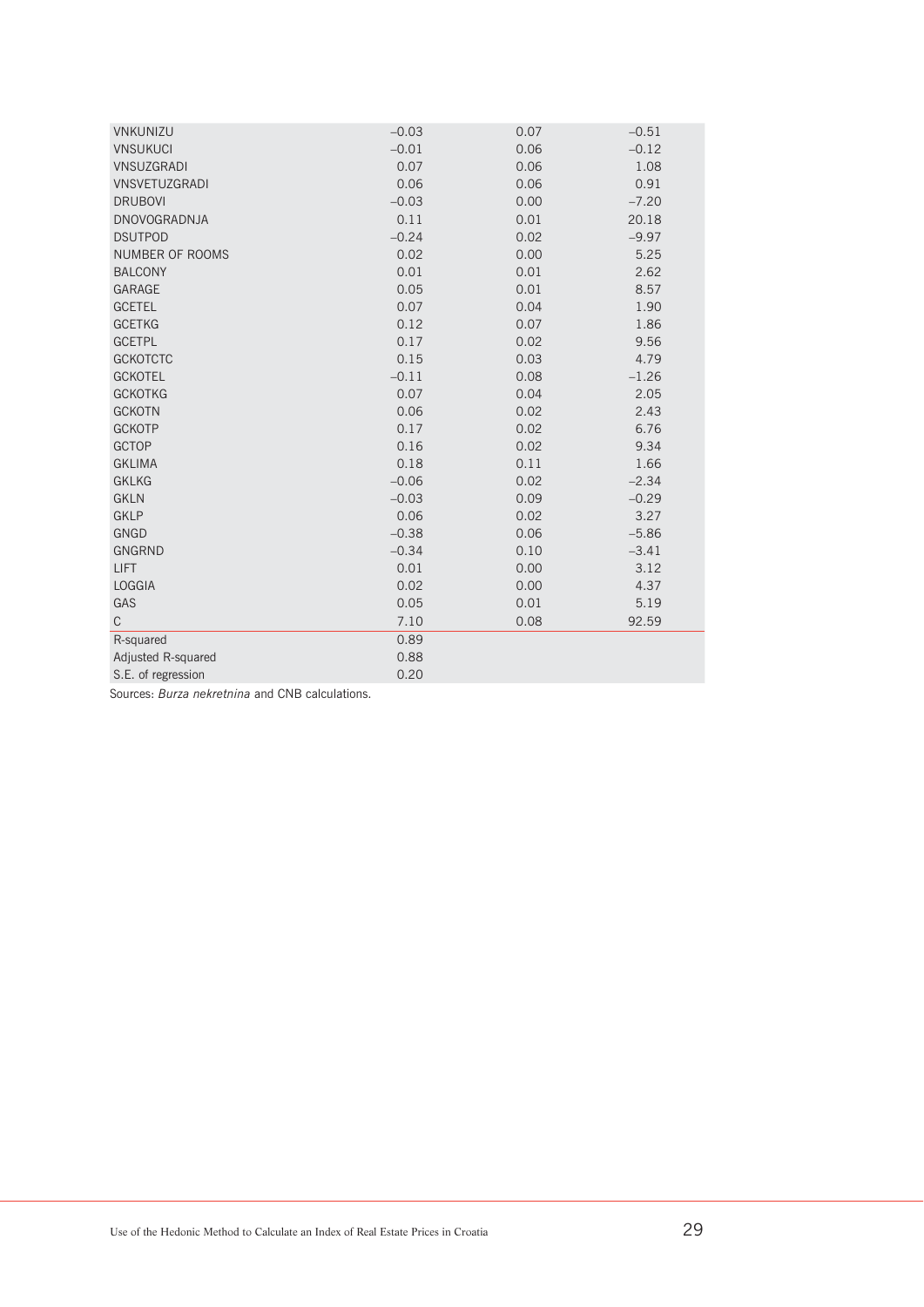| VNKUNIZU            | $-0.03$ | 0.07 | $-0.51$ |
|---------------------|---------|------|---------|
| <b>VNSUKUCI</b>     | $-0.01$ | 0.06 | $-0.12$ |
| <b>VNSUZGRADI</b>   | 0.07    | 0.06 | 1.08    |
| VNSVETUZGRADI       | 0.06    | 0.06 | 0.91    |
| <b>DRUBOVI</b>      | $-0.03$ | 0.00 | $-7.20$ |
| <b>DNOVOGRADNJA</b> | 0.11    | 0.01 | 20.18   |
| <b>DSUTPOD</b>      | $-0.24$ | 0.02 | $-9.97$ |
| NUMBER OF ROOMS     | 0.02    | 0.00 | 5.25    |
| <b>BALCONY</b>      | 0.01    | 0.01 | 2.62    |
| GARAGE              | 0.05    | 0.01 | 8.57    |
| <b>GCETEL</b>       | 0.07    | 0.04 | 1.90    |
| <b>GCETKG</b>       | 0.12    | 0.07 | 1.86    |
| <b>GCETPL</b>       | 0.17    | 0.02 | 9.56    |
| <b>GCKOTCTC</b>     | 0.15    | 0.03 | 4.79    |
| <b>GCKOTEL</b>      | $-0.11$ | 0.08 | $-1.26$ |
| <b>GCKOTKG</b>      | 0.07    | 0.04 | 2.05    |
| <b>GCKOTN</b>       | 0.06    | 0.02 | 2.43    |
| <b>GCKOTP</b>       | 0.17    | 0.02 | 6.76    |
| <b>GCTOP</b>        | 0.16    | 0.02 | 9.34    |
| <b>GKLIMA</b>       | 0.18    | 0.11 | 1.66    |
| <b>GKLKG</b>        | $-0.06$ | 0.02 | $-2.34$ |
| <b>GKLN</b>         | $-0.03$ | 0.09 | $-0.29$ |
| <b>GKLP</b>         | 0.06    | 0.02 | 3.27    |
| <b>GNGD</b>         | $-0.38$ | 0.06 | $-5.86$ |
| <b>GNGRND</b>       | $-0.34$ | 0.10 | $-3.41$ |
| <b>LIFT</b>         | 0.01    | 0.00 | 3.12    |
| <b>LOGGIA</b>       | 0.02    | 0.00 | 4.37    |
| GAS                 | 0.05    | 0.01 | 5.19    |
| $\mathsf{C}$        | 7.10    | 0.08 | 92.59   |
| R-squared           | 0.89    |      |         |
| Adjusted R-squared  | 0.88    |      |         |
| S.E. of regression  | 0.20    |      |         |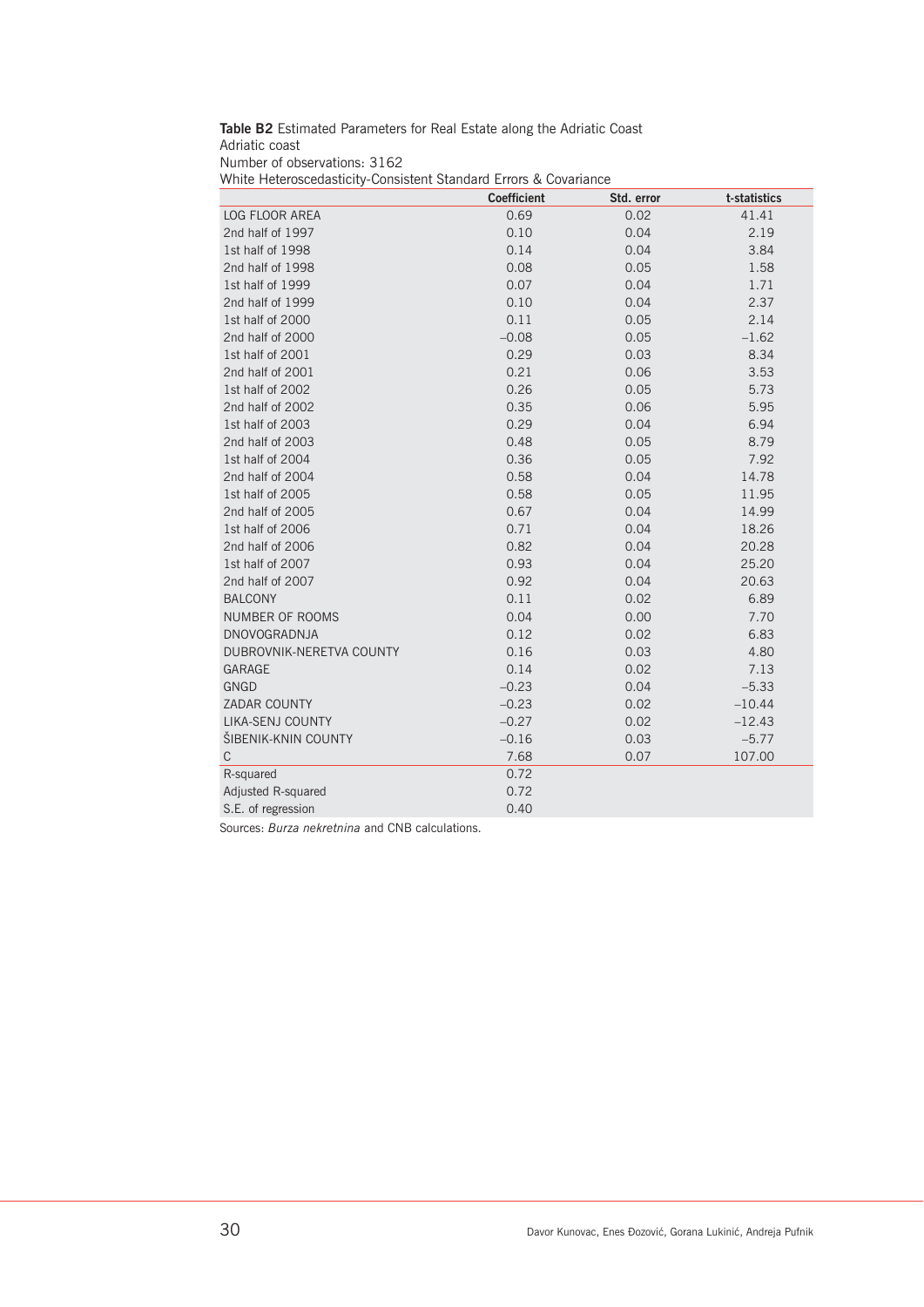**Table B2** Estimated Parameters for Real Estate along the Adriatic Coast Adriatic coast Number of observations: 3162 White Heteroscedasticity-Consistent Standard Errors & Covariance

|                          | <b>Coefficient</b> | Std. error | t-statistics |
|--------------------------|--------------------|------------|--------------|
| <b>LOG FLOOR AREA</b>    | 0.69               | 0.02       | 41.41        |
| 2nd half of 1997         | 0.10               | 0.04       | 2.19         |
| 1st half of 1998         | 0.14               | 0.04       | 3.84         |
| 2nd half of 1998         | 0.08               | 0.05       | 1.58         |
| 1st half of 1999         | 0.07               | 0.04       | 1.71         |
| 2nd half of 1999         | 0.10               | 0.04       | 2.37         |
| 1st half of 2000         | 0.11               | 0.05       | 2.14         |
| 2nd half of 2000         | $-0.08$            | 0.05       | $-1.62$      |
| 1st half of 2001         | 0.29               | 0.03       | 8.34         |
| 2nd half of 2001         | 0.21               | 0.06       | 3.53         |
| 1st half of 2002         | 0.26               | 0.05       | 5.73         |
| 2nd half of 2002         | 0.35               | 0.06       | 5.95         |
| 1st half of 2003         | 0.29               | 0.04       | 6.94         |
| 2nd half of 2003         | 0.48               | 0.05       | 8.79         |
| 1st half of 2004         | 0.36               | 0.05       | 7.92         |
| 2nd half of 2004         | 0.58               | 0.04       | 14.78        |
| 1st half of 2005         | 0.58               | 0.05       | 11.95        |
| 2nd half of 2005         | 0.67               | 0.04       | 14.99        |
| 1st half of 2006         | 0.71               | 0.04       | 18.26        |
| 2nd half of 2006         | 0.82               | 0.04       | 20.28        |
| 1st half of 2007         | 0.93               | 0.04       | 25.20        |
| 2nd half of 2007         | 0.92               | 0.04       | 20.63        |
| <b>BALCONY</b>           | 0.11               | 0.02       | 6.89         |
| <b>NUMBER OF ROOMS</b>   | 0.04               | 0.00       | 7.70         |
| <b>DNOVOGRADNJA</b>      | 0.12               | 0.02       | 6.83         |
| DUBROVNIK-NERETVA COUNTY | 0.16               | 0.03       | 4.80         |
| <b>GARAGE</b>            | 0.14               | 0.02       | 7.13         |
| <b>GNGD</b>              | $-0.23$            | 0.04       | $-5.33$      |
| <b>ZADAR COUNTY</b>      | $-0.23$            | 0.02       | $-10.44$     |
| <b>LIKA-SENJ COUNTY</b>  | $-0.27$            | 0.02       | $-12.43$     |
| ŠIBENIK-KNIN COUNTY      | $-0.16$            | 0.03       | $-5.77$      |
| $\mathsf C$              | 7.68               | 0.07       | 107.00       |
| R-squared                | 0.72               |            |              |
| Adjusted R-squared       | 0.72               |            |              |
| S.E. of regression       | 0.40               |            |              |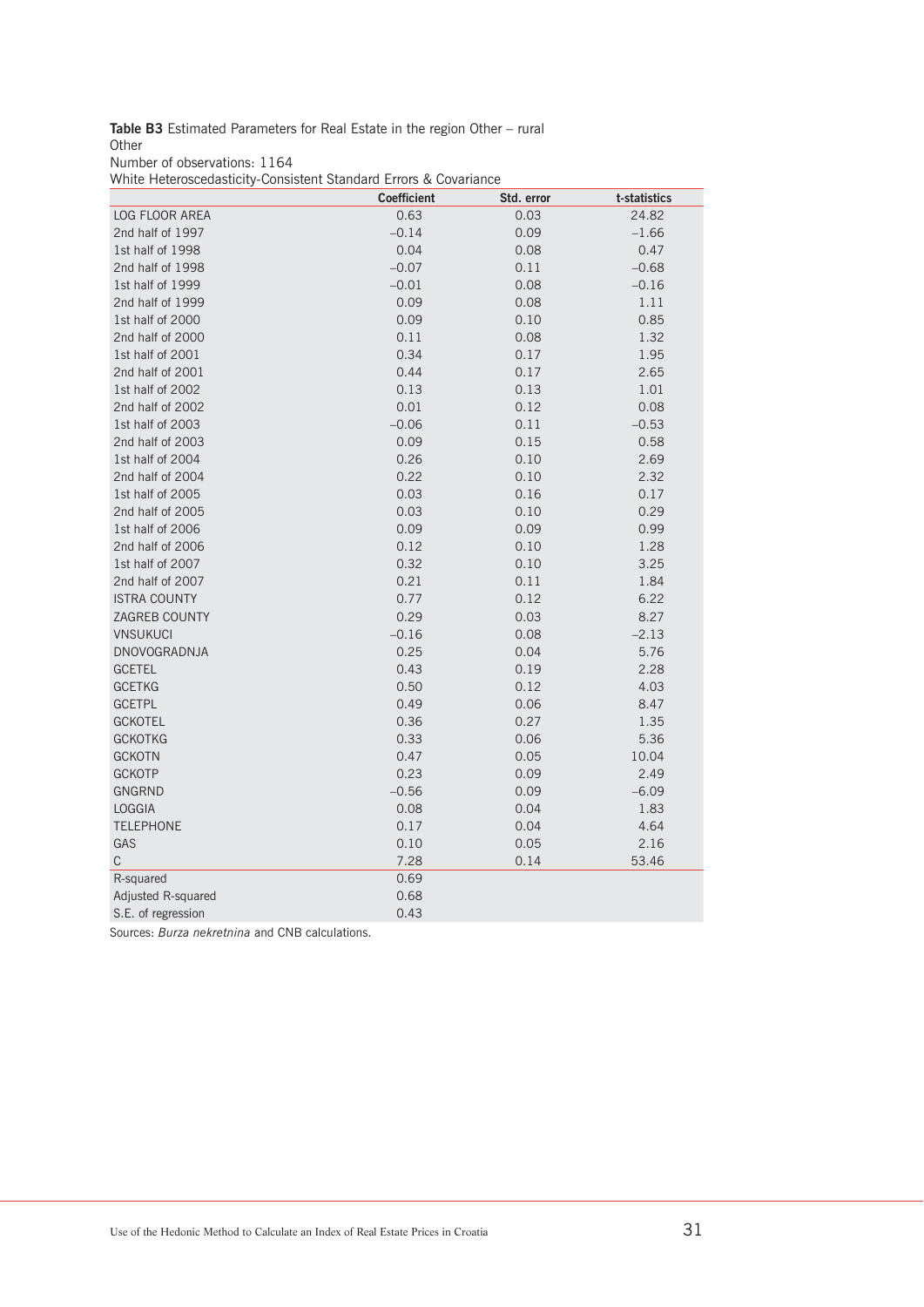**Table B3** Estimated Parameters for Real Estate in the region Other – rural **Other** 

Number of observations: 1164

White Heteroscedasticity-Consistent Standard Errors & Covariance

|                       | <b>Coefficient</b> | Std. error | t-statistics |
|-----------------------|--------------------|------------|--------------|
| <b>LOG FLOOR AREA</b> | 0.63               | 0.03       | 24.82        |
| 2nd half of 1997      | $-0.14$            | 0.09       | $-1.66$      |
| 1st half of 1998      | 0.04               | 0.08       | 0.47         |
| 2nd half of 1998      | $-0.07$            | 0.11       | $-0.68$      |
| 1st half of 1999      | $-0.01$            | 0.08       | $-0.16$      |
| 2nd half of 1999      | 0.09               | 0.08       | 1.11         |
| 1st half of 2000      | 0.09               | 0.10       | 0.85         |
| 2nd half of 2000      | 0.11               | 0.08       | 1.32         |
| 1st half of 2001      | 0.34               | 0.17       | 1.95         |
| 2nd half of 2001      | 0.44               | 0.17       | 2.65         |
| 1st half of 2002      | 0.13               | 0.13       | 1.01         |
| 2nd half of 2002      | 0.01               | 0.12       | 0.08         |
| 1st half of 2003      | $-0.06$            | 0.11       | $-0.53$      |
| 2nd half of 2003      | 0.09               | 0.15       | 0.58         |
| 1st half of 2004      | 0.26               | 0.10       | 2.69         |
| 2nd half of 2004      | 0.22               | 0.10       | 2.32         |
| 1st half of 2005      | 0.03               | 0.16       | 0.17         |
| 2nd half of 2005      | 0.03               | 0.10       | 0.29         |
| 1st half of 2006      | 0.09               | 0.09       | 0.99         |
| 2nd half of 2006      | 0.12               | 0.10       | 1.28         |
| 1st half of 2007      | 0.32               | 0.10       | 3.25         |
| 2nd half of 2007      | 0.21               | 0.11       | 1.84         |
| <b>ISTRA COUNTY</b>   | 0.77               | 0.12       | 6.22         |
| ZAGREB COUNTY         | 0.29               | 0.03       | 8.27         |
| <b>VNSUKUCI</b>       | $-0.16$            | 0.08       | $-2.13$      |
| DNOVOGRADNJA          | 0.25               | 0.04       | 5.76         |
| <b>GCETEL</b>         | 0.43               | 0.19       | 2.28         |
| <b>GCETKG</b>         | 0.50               | 0.12       | 4.03         |
| <b>GCETPL</b>         | 0.49               | 0.06       | 8.47         |
| <b>GCKOTEL</b>        | 0.36               | 0.27       | 1.35         |
| <b>GCKOTKG</b>        | 0.33               | 0.06       | 5.36         |
| <b>GCKOTN</b>         | 0.47               | 0.05       | 10.04        |
| <b>GCKOTP</b>         | 0.23               | 0.09       | 2.49         |
| <b>GNGRND</b>         | $-0.56$            | 0.09       | $-6.09$      |
| <b>LOGGIA</b>         | 0.08               | 0.04       | 1.83         |
| <b>TELEPHONE</b>      | 0.17               | 0.04       | 4.64         |
| GAS                   | 0.10               | 0.05       | 2.16         |
| $\mathbb C$           | 7.28               | 0.14       | 53.46        |
| R-squared             | 0.69               |            |              |
| Adjusted R-squared    | 0.68               |            |              |
| S.E. of regression    | 0.43               |            |              |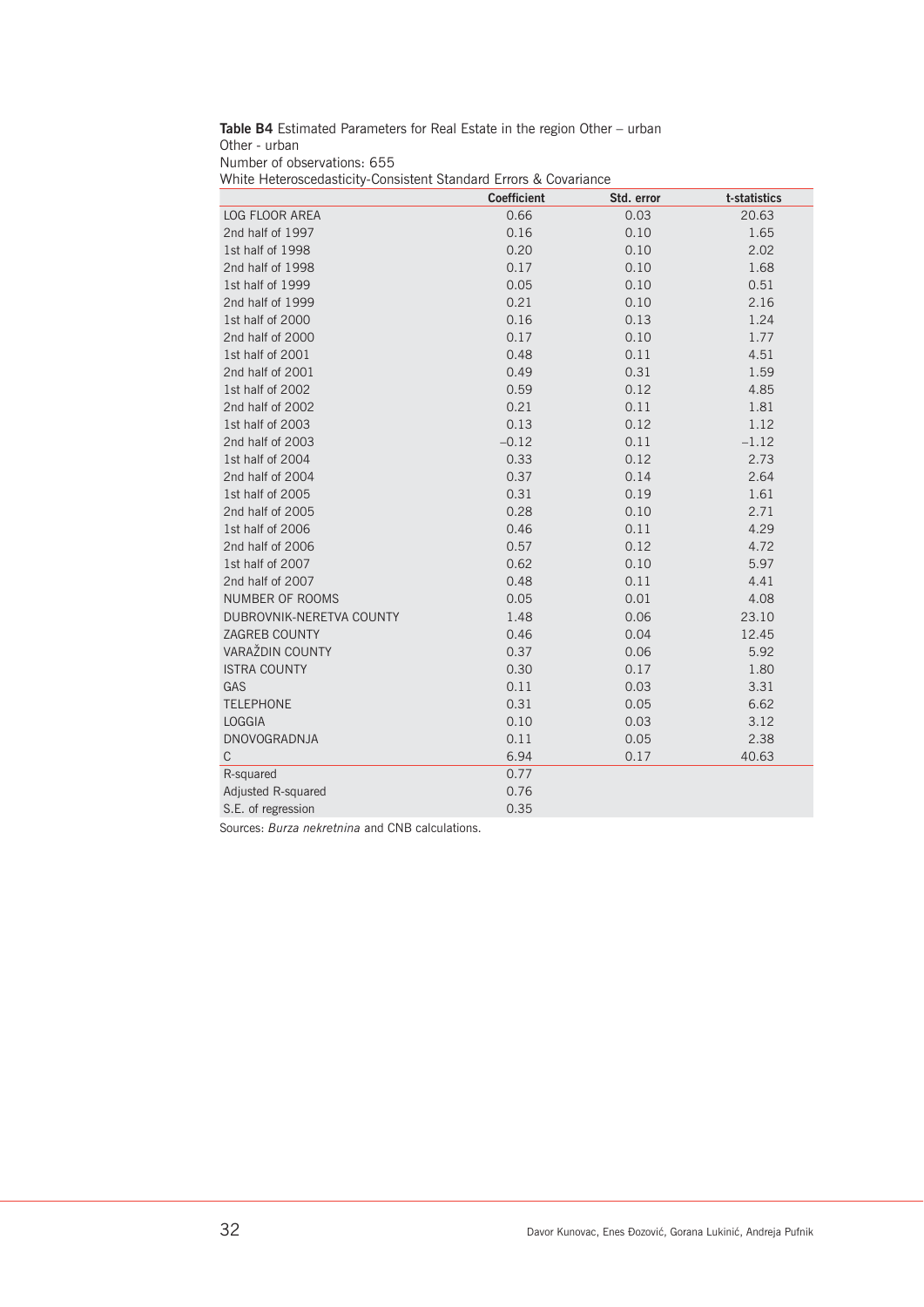**Table B4** Estimated Parameters for Real Estate in the region Other – urban Other - urban Number of observations: 655 White Heteroscedasticity-Consistent Standard Errors & Covariance

|                          | <b>Coefficient</b> | Std. error | t-statistics |
|--------------------------|--------------------|------------|--------------|
| <b>LOG FLOOR AREA</b>    | 0.66               | 0.03       | 20.63        |
| 2nd half of 1997         | 0.16               | 0.10       | 1.65         |
| 1st half of 1998         | 0.20               | 0.10       | 2.02         |
| 2nd half of 1998         | 0.17               | 0.10       | 1.68         |
| 1st half of 1999         | 0.05               | 0.10       | 0.51         |
| 2nd half of 1999         | 0.21               | 0.10       | 2.16         |
| 1st half of 2000         | 0.16               | 0.13       | 1.24         |
| 2nd half of 2000         | 0.17               | 0.10       | 1.77         |
| 1st half of 2001         | 0.48               | 0.11       | 4.51         |
| 2nd half of 2001         | 0.49               | 0.31       | 1.59         |
| 1st half of 2002         | 0.59               | 0.12       | 4.85         |
| 2nd half of 2002         | 0.21               | 0.11       | 1.81         |
| 1st half of 2003         | 0.13               | 0.12       | 1.12         |
| 2nd half of 2003         | $-0.12$            | 0.11       | $-1.12$      |
| 1st half of 2004         | 0.33               | 0.12       | 2.73         |
| 2nd half of 2004         | 0.37               | 0.14       | 2.64         |
| 1st half of 2005         | 0.31               | 0.19       | 1.61         |
| 2nd half of 2005         | 0.28               | 0.10       | 2.71         |
| 1st half of 2006         | 0.46               | 0.11       | 4.29         |
| 2nd half of 2006         | 0.57               | 0.12       | 4.72         |
| 1st half of 2007         | 0.62               | 0.10       | 5.97         |
| 2nd half of 2007         | 0.48               | 0.11       | 4.41         |
| <b>NUMBER OF ROOMS</b>   | 0.05               | 0.01       | 4.08         |
| DUBROVNIK-NERETVA COUNTY | 1.48               | 0.06       | 23.10        |
| <b>ZAGREB COUNTY</b>     | 0.46               | 0.04       | 12.45        |
| VARAŽDIN COUNTY          | 0.37               | 0.06       | 5.92         |
| <b>ISTRA COUNTY</b>      | 0.30               | 0.17       | 1.80         |
| GAS                      | 0.11               | 0.03       | 3.31         |
| <b>TELEPHONE</b>         | 0.31               | 0.05       | 6.62         |
| <b>LOGGIA</b>            | 0.10               | 0.03       | 3.12         |
| DNOVOGRADNJA             | 0.11               | 0.05       | 2.38         |
| $\mathsf C$              | 6.94               | 0.17       | 40.63        |
| R-squared                | 0.77               |            |              |
| Adjusted R-squared       | 0.76               |            |              |
| S.E. of regression       | 0.35               |            |              |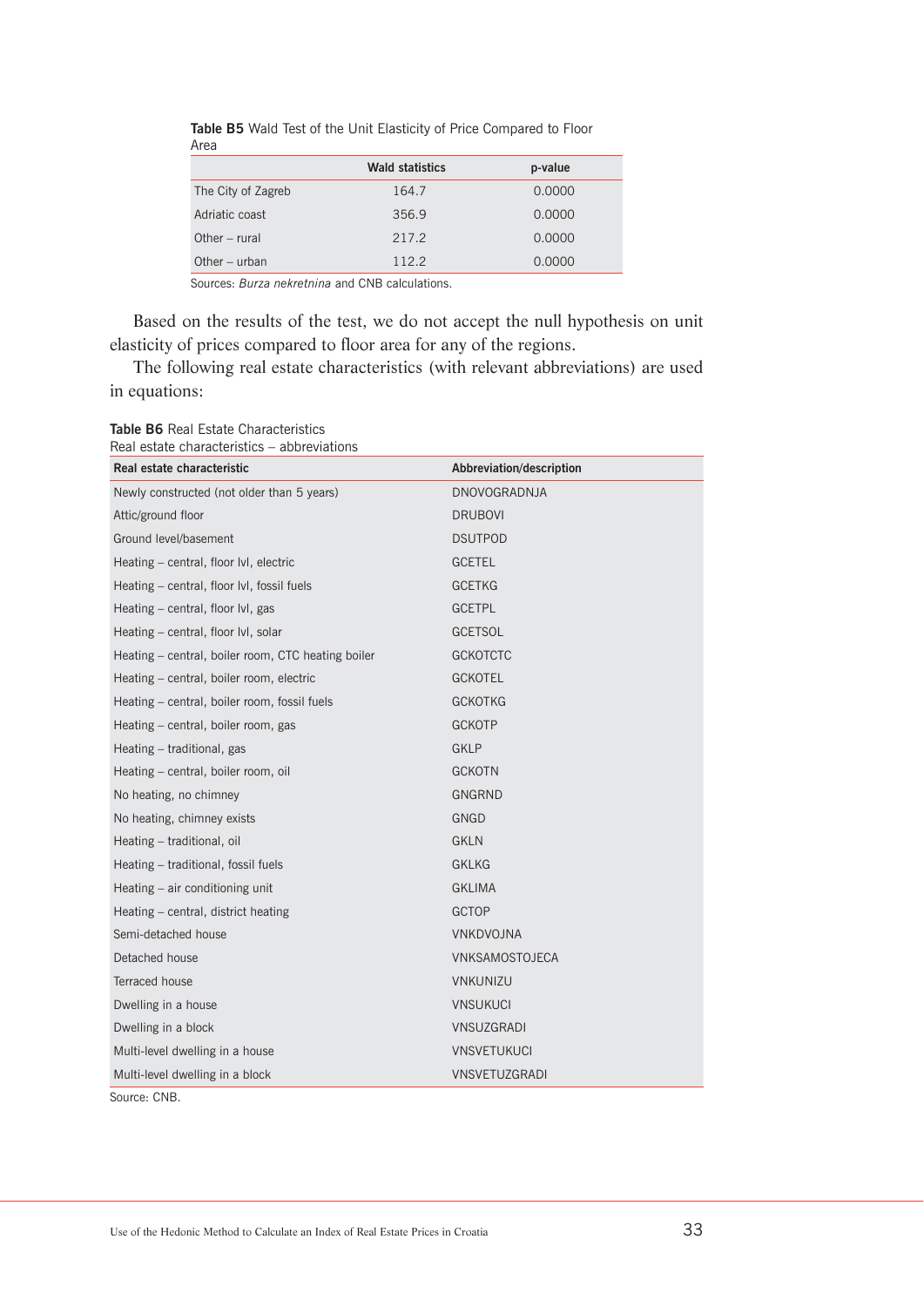|                    | <b>Wald statistics</b> | p-value |
|--------------------|------------------------|---------|
| The City of Zagreb | 164.7                  | 0.0000  |
| Adriatic coast     | 356.9                  | 0.0000  |
| Other $-$ rural    | 217.2                  | 0.0000  |
| Other $-$ urban    | 112.2                  | 0.0000  |

**Table B5** Wald Test of the Unit Elasticity of Price Compared to Floor Area

Sources: *Burza nekretnina* and CNB calculations.

Based on the results of the test, we do not accept the null hypothesis on unit elasticity of prices compared to floor area for any of the regions.

The following real estate characteristics (with relevant abbreviations) are used in equations:

| Real estate characteristic                         | Abbreviation/description |
|----------------------------------------------------|--------------------------|
| Newly constructed (not older than 5 years)         | <b>DNOVOGRADNJA</b>      |
| Attic/ground floor                                 | <b>DRUBOVI</b>           |
| Ground level/basement                              | <b>DSUTPOD</b>           |
| Heating - central, floor lvl, electric             | <b>GCETEL</b>            |
| Heating – central, floor IvI, fossil fuels         | <b>GCETKG</b>            |
| Heating – central, floor lvl, gas                  | <b>GCETPL</b>            |
| Heating - central, floor lvl, solar                | <b>GCETSOL</b>           |
| Heating - central, boiler room, CTC heating boiler | <b>GCKOTCTC</b>          |
| Heating - central, boiler room, electric           | <b>GCKOTEL</b>           |
| Heating - central, boiler room, fossil fuels       | <b>GCKOTKG</b>           |
| Heating - central, boiler room, gas                | <b>GCKOTP</b>            |
| Heating - traditional, gas                         | <b>GKLP</b>              |
| Heating – central, boiler room, oil                | <b>GCKOTN</b>            |
| No heating, no chimney                             | GNGRND                   |
| No heating, chimney exists                         | GNGD                     |
| Heating - traditional, oil                         | <b>GKLN</b>              |
| Heating - traditional, fossil fuels                | <b>GKLKG</b>             |
| Heating - air conditioning unit                    | <b>GKLIMA</b>            |
| Heating – central, district heating                | <b>GCTOP</b>             |
| Semi-detached house                                | <b>VNKDVOJNA</b>         |
| Detached house                                     | VNKSAMOSTOJECA           |
| <b>Terraced house</b>                              | <b>VNKUNIZU</b>          |
| Dwelling in a house                                | <b>VNSUKUCI</b>          |
| Dwelling in a block                                | VNSUZGRADI               |
| Multi-level dwelling in a house                    | <b>VNSVETUKUCI</b>       |
| Multi-level dwelling in a block                    | <b>VNSVETUZGRADI</b>     |
| Source: CNB.                                       |                          |

**Table B6** Real Estate Characteristics Real estate characteristics – abbreviations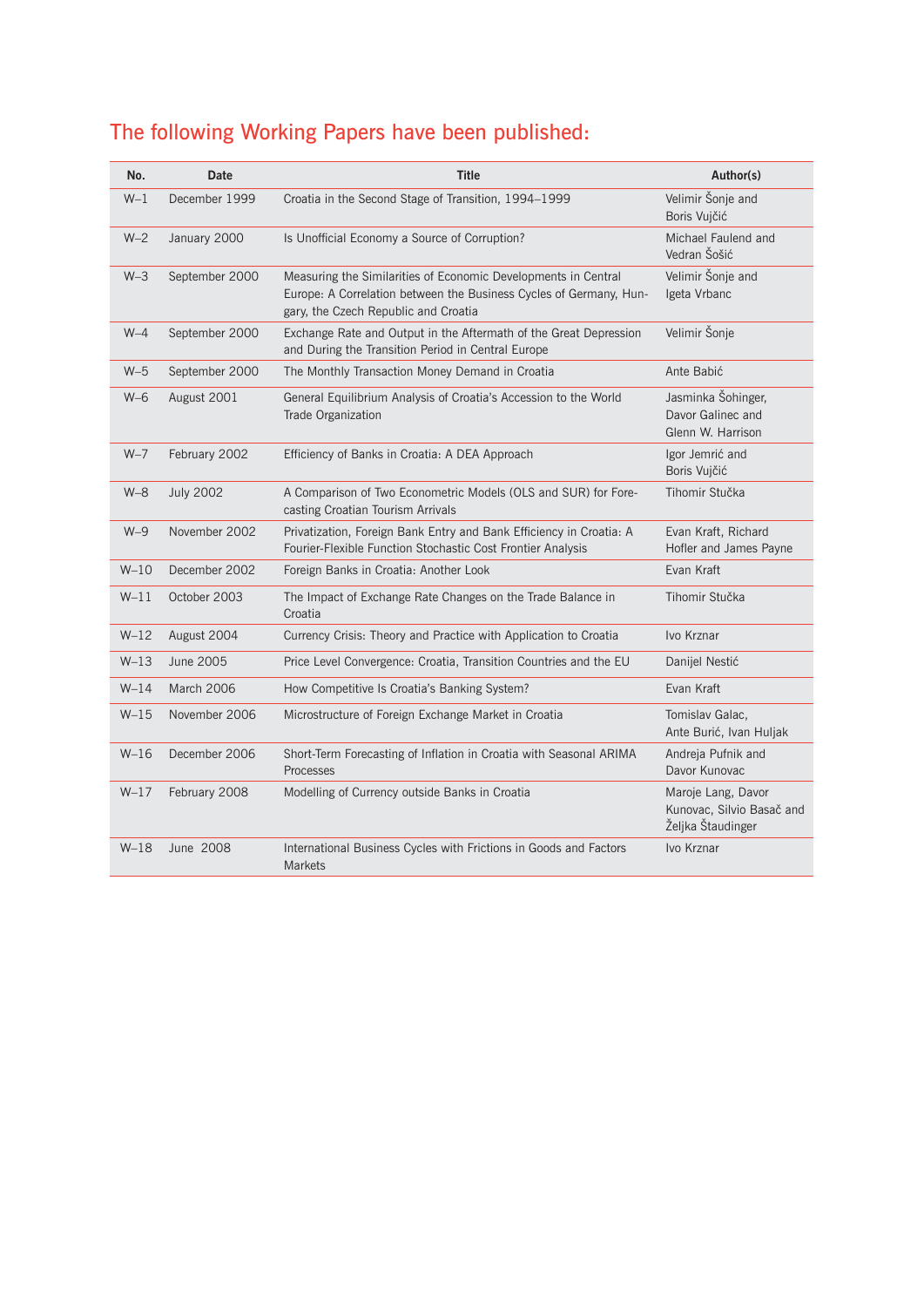# The following Working Papers have been published:

| No.     | <b>Date</b>      | <b>Title</b>                                                                                                                                                                 | Author(s)                                                            |
|---------|------------------|------------------------------------------------------------------------------------------------------------------------------------------------------------------------------|----------------------------------------------------------------------|
| $W-1$   | December 1999    | Croatia in the Second Stage of Transition, 1994-1999                                                                                                                         | Velimir Šonje and<br>Boris Vujčić                                    |
| $W-2$   | January 2000     | Is Unofficial Economy a Source of Corruption?                                                                                                                                | Michael Faulend and<br>Vedran Šošić                                  |
| $W-3$   | September 2000   | Measuring the Similarities of Economic Developments in Central<br>Europe: A Correlation between the Business Cycles of Germany, Hun-<br>gary, the Czech Republic and Croatia | Velimir Šonje and<br>Igeta Vrbanc                                    |
| $W-4$   | September 2000   | Exchange Rate and Output in the Aftermath of the Great Depression<br>and During the Transition Period in Central Europe                                                      | Velimir Šonje                                                        |
| $W-5$   | September 2000   | The Monthly Transaction Money Demand in Croatia                                                                                                                              | Ante Babić                                                           |
| $W-6$   | August 2001      | General Equilibrium Analysis of Croatia's Accession to the World<br><b>Trade Organization</b>                                                                                | Jasminka Šohinger,<br>Davor Galinec and<br>Glenn W. Harrison         |
| $W-7$   | February 2002    | Efficiency of Banks in Croatia: A DEA Approach                                                                                                                               | Igor Jemrić and<br>Boris Vujčić                                      |
| $W - 8$ | <b>July 2002</b> | A Comparison of Two Econometric Models (OLS and SUR) for Fore-<br>casting Croatian Tourism Arrivals                                                                          | Tihomir Stučka                                                       |
| $W-9$   | November 2002    | Privatization, Foreign Bank Entry and Bank Efficiency in Croatia: A<br>Fourier-Flexible Function Stochastic Cost Frontier Analysis                                           | Evan Kraft, Richard<br>Hofler and James Payne                        |
| $W-10$  | December 2002    | Foreign Banks in Croatia: Another Look                                                                                                                                       | Evan Kraft                                                           |
| $W-11$  | October 2003     | The Impact of Exchange Rate Changes on the Trade Balance in<br>Croatia                                                                                                       | Tihomir Stučka                                                       |
| $W-12$  | August 2004      | Currency Crisis: Theory and Practice with Application to Croatia                                                                                                             | Ivo Krznar                                                           |
| $W-13$  | June 2005        | Price Level Convergence: Croatia, Transition Countries and the EU                                                                                                            | Danijel Nestić                                                       |
| $W-14$  | March 2006       | How Competitive Is Croatia's Banking System?                                                                                                                                 | Evan Kraft                                                           |
| $W-15$  | November 2006    | Microstructure of Foreign Exchange Market in Croatia                                                                                                                         | Tomislav Galac,<br>Ante Burić, Ivan Huljak                           |
| $W-16$  | December 2006    | Short-Term Forecasting of Inflation in Croatia with Seasonal ARIMA<br>Processes                                                                                              | Andreja Pufnik and<br>Davor Kunovac                                  |
| $W-17$  | February 2008    | Modelling of Currency outside Banks in Croatia                                                                                                                               | Maroje Lang, Davor<br>Kunovac, Silvio Basač and<br>Željka Štaudinger |
| $W-18$  | June 2008        | International Business Cycles with Frictions in Goods and Factors<br><b>Markets</b>                                                                                          | Ivo Krznar                                                           |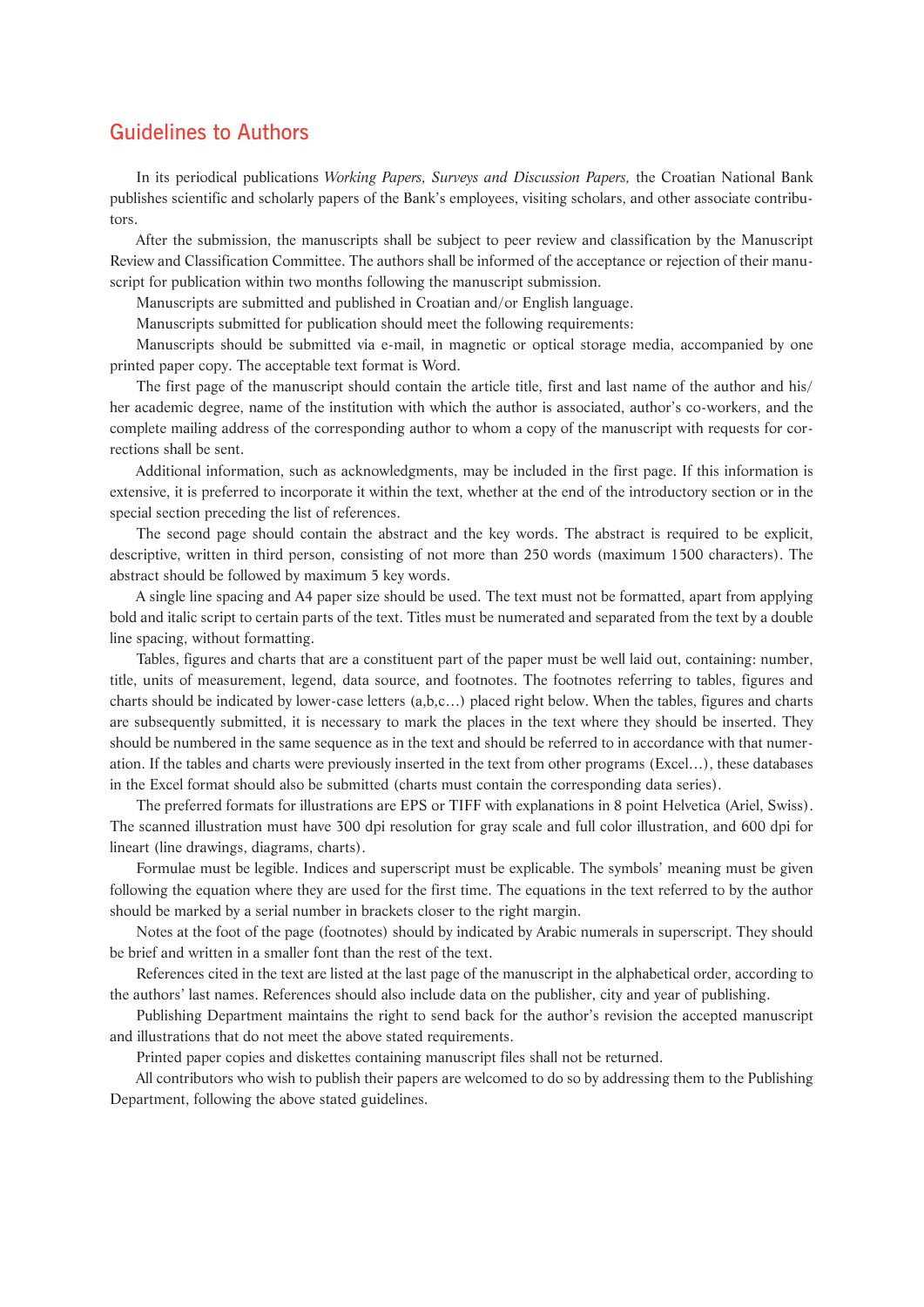## Guidelines to Authors

In its periodical publications *Working Papers, Surveys and Discussion Papers,* the Croatian National Bank publishes scientific and scholarly papers of the Bank's employees, visiting scholars, and other associate contributors.

After the submission, the manuscripts shall be subject to peer review and classification by the Manuscript Review and Classification Committee. The authors shall be informed of the acceptance or rejection of their manuscript for publication within two months following the manuscript submission.

Manuscripts are submitted and published in Croatian and/or English language.

Manuscripts submitted for publication should meet the following requirements:

Manuscripts should be submitted via e-mail, in magnetic or optical storage media, accompanied by one printed paper copy. The acceptable text format is Word.

The first page of the manuscript should contain the article title, first and last name of the author and his/ her academic degree, name of the institution with which the author is associated, author's co-workers, and the complete mailing address of the corresponding author to whom a copy of the manuscript with requests for corrections shall be sent.

Additional information, such as acknowledgments, may be included in the first page. If this information is extensive, it is preferred to incorporate it within the text, whether at the end of the introductory section or in the special section preceding the list of references.

The second page should contain the abstract and the key words. The abstract is required to be explicit, descriptive, written in third person, consisting of not more than 250 words (maximum 1500 characters). The abstract should be followed by maximum 5 key words.

A single line spacing and A4 paper size should be used. The text must not be formatted, apart from applying bold and italic script to certain parts of the text. Titles must be numerated and separated from the text by a double line spacing, without formatting.

Tables, figures and charts that are a constituent part of the paper must be well laid out, containing: number, title, units of measurement, legend, data source, and footnotes. The footnotes referring to tables, figures and charts should be indicated by lower-case letters (a,b,c…) placed right below. When the tables, figures and charts are subsequently submitted, it is necessary to mark the places in the text where they should be inserted. They should be numbered in the same sequence as in the text and should be referred to in accordance with that numeration. If the tables and charts were previously inserted in the text from other programs (Excel…), these databases in the Excel format should also be submitted (charts must contain the corresponding data series).

The preferred formats for illustrations are EPS or TIFF with explanations in 8 point Helvetica (Ariel, Swiss). The scanned illustration must have 300 dpi resolution for gray scale and full color illustration, and 600 dpi for lineart (line drawings, diagrams, charts).

Formulae must be legible. Indices and superscript must be explicable. The symbols' meaning must be given following the equation where they are used for the first time. The equations in the text referred to by the author should be marked by a serial number in brackets closer to the right margin.

Notes at the foot of the page (footnotes) should by indicated by Arabic numerals in superscript. They should be brief and written in a smaller font than the rest of the text.

References cited in the text are listed at the last page of the manuscript in the alphabetical order, according to the authors' last names. References should also include data on the publisher, city and year of publishing.

Publishing Department maintains the right to send back for the author's revision the accepted manuscript and illustrations that do not meet the above stated requirements.

Printed paper copies and diskettes containing manuscript files shall not be returned.

All contributors who wish to publish their papers are welcomed to do so by addressing them to the Publishing Department, following the above stated guidelines.